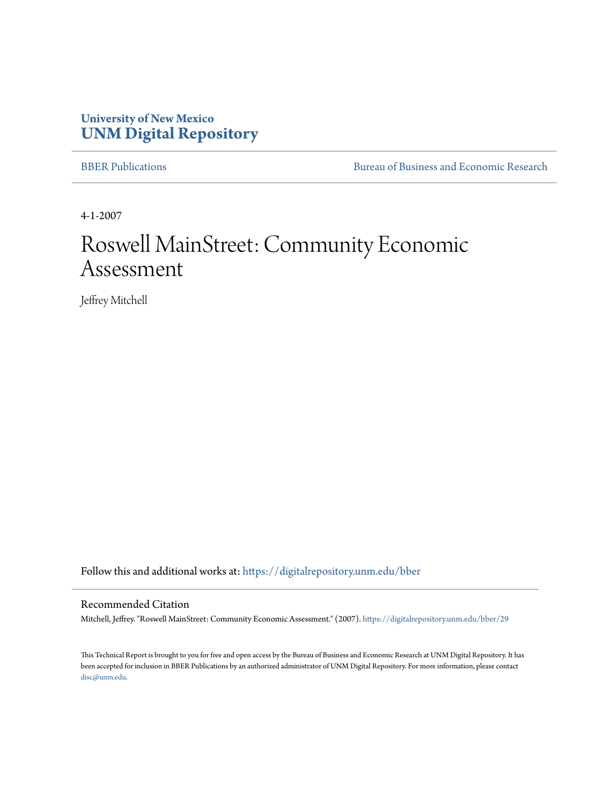### **University of New Mexico [UNM Digital Repository](https://digitalrepository.unm.edu?utm_source=digitalrepository.unm.edu%2Fbber%2F29&utm_medium=PDF&utm_campaign=PDFCoverPages)**

[BBER Publications](https://digitalrepository.unm.edu/bber?utm_source=digitalrepository.unm.edu%2Fbber%2F29&utm_medium=PDF&utm_campaign=PDFCoverPages) [Bureau of Business and Economic Research](https://digitalrepository.unm.edu/business_economic_research?utm_source=digitalrepository.unm.edu%2Fbber%2F29&utm_medium=PDF&utm_campaign=PDFCoverPages)

4-1-2007

## Roswell MainStreet: Community Economic Assessment

Jeffrey Mitchell

Follow this and additional works at: [https://digitalrepository.unm.edu/bber](https://digitalrepository.unm.edu/bber?utm_source=digitalrepository.unm.edu%2Fbber%2F29&utm_medium=PDF&utm_campaign=PDFCoverPages)

#### Recommended Citation

Mitchell, Jeffrey. "Roswell MainStreet: Community Economic Assessment." (2007). [https://digitalrepository.unm.edu/bber/29](https://digitalrepository.unm.edu/bber/29?utm_source=digitalrepository.unm.edu%2Fbber%2F29&utm_medium=PDF&utm_campaign=PDFCoverPages)

This Technical Report is brought to you for free and open access by the Bureau of Business and Economic Research at UNM Digital Repository. It has been accepted for inclusion in BBER Publications by an authorized administrator of UNM Digital Repository. For more information, please contact [disc@unm.edu](mailto:disc@unm.edu).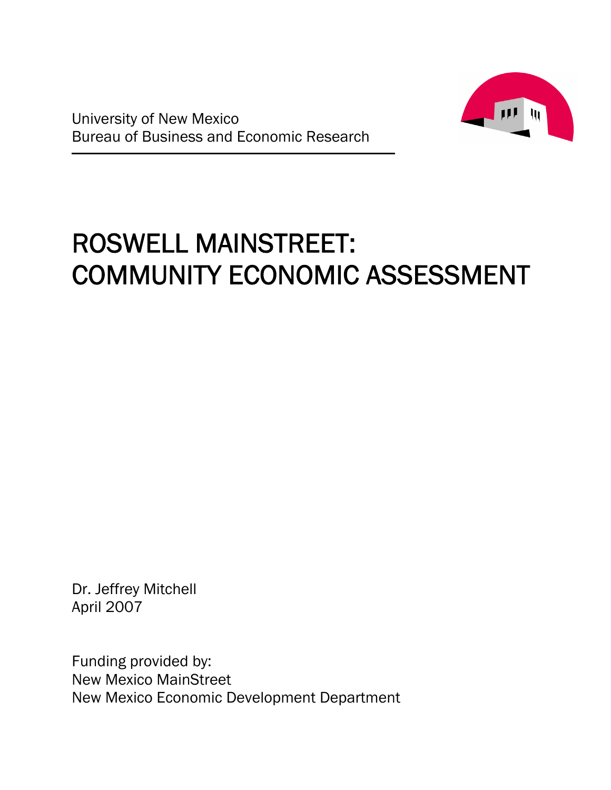



# ROSWELL MAINSTREET: COMMUNITY ECONOMIC ASSESSMENT

Dr. Jeffrey Mitchell April 2007

Funding provided by: New Mexico MainStreet New Mexico Economic Development Department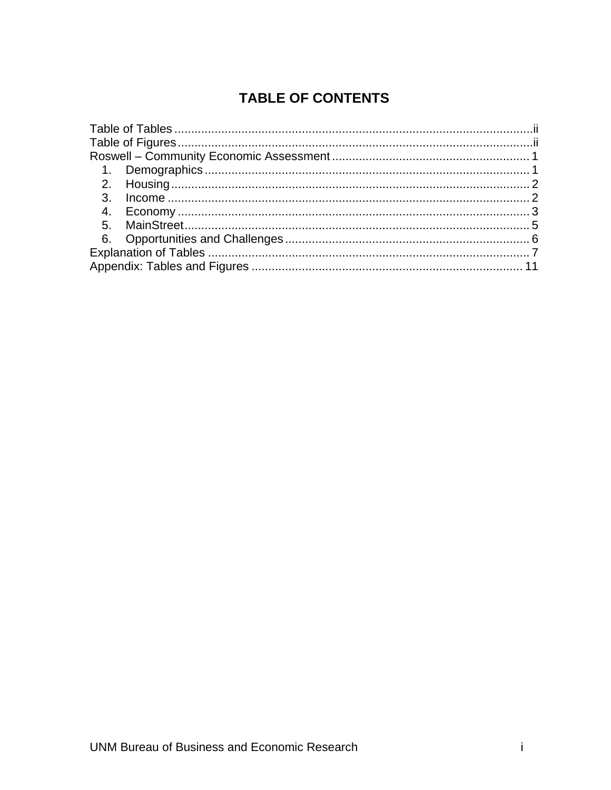### **TABLE OF CONTENTS**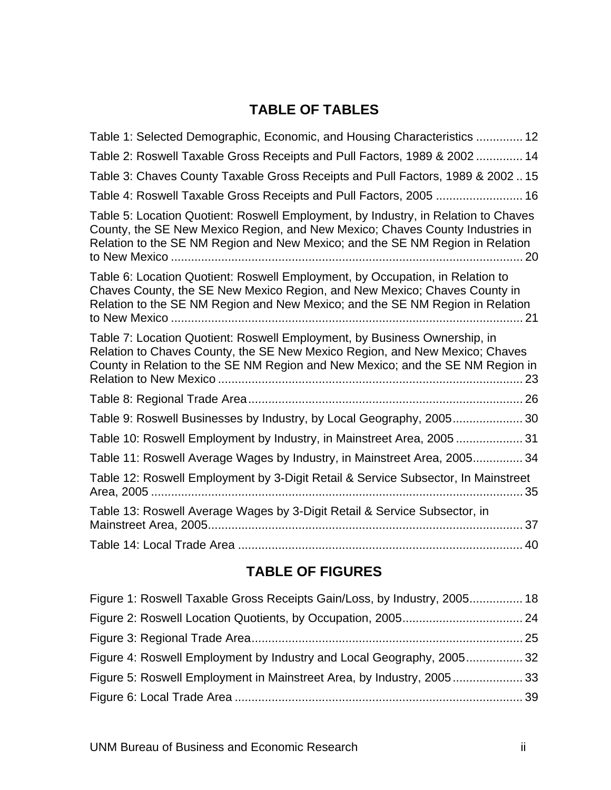### **TABLE OF TABLES**

<span id="page-3-0"></span>

| Table 1: Selected Demographic, Economic, and Housing Characteristics  12                                                                                                                                                                             |
|------------------------------------------------------------------------------------------------------------------------------------------------------------------------------------------------------------------------------------------------------|
| Table 2: Roswell Taxable Gross Receipts and Pull Factors, 1989 & 2002  14                                                                                                                                                                            |
| Table 3: Chaves County Taxable Gross Receipts and Pull Factors, 1989 & 200215                                                                                                                                                                        |
| Table 4: Roswell Taxable Gross Receipts and Pull Factors, 2005  16                                                                                                                                                                                   |
| Table 5: Location Quotient: Roswell Employment, by Industry, in Relation to Chaves<br>County, the SE New Mexico Region, and New Mexico; Chaves County Industries in<br>Relation to the SE NM Region and New Mexico; and the SE NM Region in Relation |
| Table 6: Location Quotient: Roswell Employment, by Occupation, in Relation to<br>Chaves County, the SE New Mexico Region, and New Mexico; Chaves County in<br>Relation to the SE NM Region and New Mexico; and the SE NM Region in Relation          |
| Table 7: Location Quotient: Roswell Employment, by Business Ownership, in<br>Relation to Chaves County, the SE New Mexico Region, and New Mexico; Chaves<br>County in Relation to the SE NM Region and New Mexico; and the SE NM Region in           |
|                                                                                                                                                                                                                                                      |
| Table 9: Roswell Businesses by Industry, by Local Geography, 2005 30                                                                                                                                                                                 |
| Table 10: Roswell Employment by Industry, in Mainstreet Area, 2005  31                                                                                                                                                                               |
| Table 11: Roswell Average Wages by Industry, in Mainstreet Area, 2005 34                                                                                                                                                                             |
| Table 12: Roswell Employment by 3-Digit Retail & Service Subsector, In Mainstreet<br>. 35                                                                                                                                                            |
| Table 13: Roswell Average Wages by 3-Digit Retail & Service Subsector, in                                                                                                                                                                            |
|                                                                                                                                                                                                                                                      |

### **TABLE OF FIGURES**

| Figure 1: Roswell Taxable Gross Receipts Gain/Loss, by Industry, 2005 18 |  |
|--------------------------------------------------------------------------|--|
|                                                                          |  |
|                                                                          |  |
| Figure 4: Roswell Employment by Industry and Local Geography, 200532     |  |
| Figure 5: Roswell Employment in Mainstreet Area, by Industry, 200533     |  |
|                                                                          |  |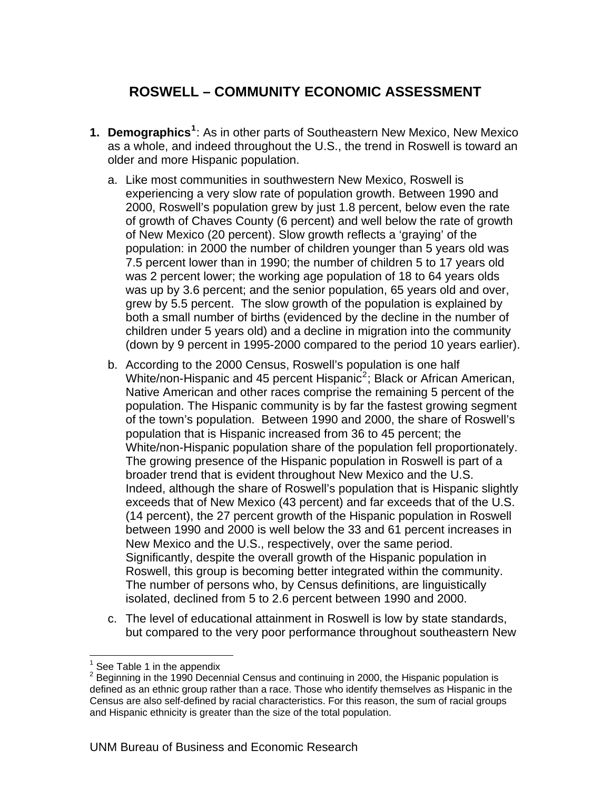### <span id="page-4-0"></span>**ROSWELL – COMMUNITY ECONOMIC ASSESSMENT**

- **1. Demographics[1](#page-4-1)** : As in other parts of Southeastern New Mexico, New Mexico as a whole, and indeed throughout the U.S., the trend in Roswell is toward an older and more Hispanic population.
	- a. Like most communities in southwestern New Mexico, Roswell is experiencing a very slow rate of population growth. Between 1990 and 2000, Roswell's population grew by just 1.8 percent, below even the rate of growth of Chaves County (6 percent) and well below the rate of growth of New Mexico (20 percent). Slow growth reflects a 'graying' of the population: in 2000 the number of children younger than 5 years old was 7.5 percent lower than in 1990; the number of children 5 to 17 years old was 2 percent lower; the working age population of 18 to 64 years olds was up by 3.6 percent; and the senior population, 65 years old and over, grew by 5.5 percent. The slow growth of the population is explained by both a small number of births (evidenced by the decline in the number of children under 5 years old) and a decline in migration into the community (down by 9 percent in 1995-2000 compared to the period 10 years earlier).
	- b. According to the 2000 Census, Roswell's population is one half White/non-Hispanic and 45 percent Hispanic<sup>[2](#page-4-2)</sup>; Black or African American, Native American and other races comprise the remaining 5 percent of the population. The Hispanic community is by far the fastest growing segment of the town's population. Between 1990 and 2000, the share of Roswell's population that is Hispanic increased from 36 to 45 percent; the White/non-Hispanic population share of the population fell proportionately. The growing presence of the Hispanic population in Roswell is part of a broader trend that is evident throughout New Mexico and the U.S. Indeed, although the share of Roswell's population that is Hispanic slightly exceeds that of New Mexico (43 percent) and far exceeds that of the U.S. (14 percent), the 27 percent growth of the Hispanic population in Roswell between 1990 and 2000 is well below the 33 and 61 percent increases in New Mexico and the U.S., respectively, over the same period. Significantly, despite the overall growth of the Hispanic population in Roswell, this group is becoming better integrated within the community. The number of persons who, by Census definitions, are linguistically isolated, declined from 5 to 2.6 percent between 1990 and 2000.
	- c. The level of educational attainment in Roswell is low by state standards, but compared to the very poor performance throughout southeastern New

 $\overline{a}$ 1 See Table 1 in the appendix

<span id="page-4-2"></span><span id="page-4-1"></span><sup>2</sup> Beginning in the 1990 Decennial Census and continuing in 2000, the Hispanic population is defined as an ethnic group rather than a race. Those who identify themselves as Hispanic in the Census are also self-defined by racial characteristics. For this reason, the sum of racial groups and Hispanic ethnicity is greater than the size of the total population.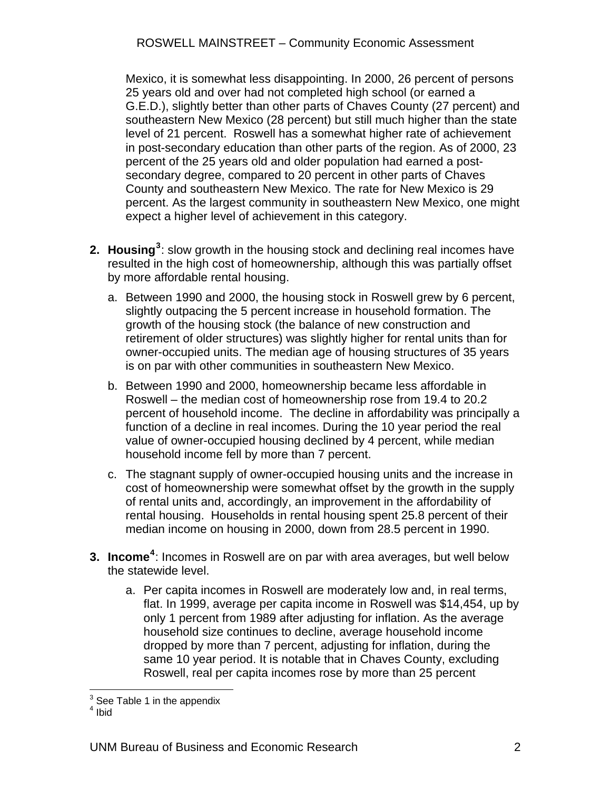<span id="page-5-0"></span>Mexico, it is somewhat less disappointing. In 2000, 26 percent of persons 25 years old and over had not completed high school (or earned a G.E.D.), slightly better than other parts of Chaves County (27 percent) and southeastern New Mexico (28 percent) but still much higher than the state level of 21 percent. Roswell has a somewhat higher rate of achievement in post-secondary education than other parts of the region. As of 2000, 23 percent of the 25 years old and older population had earned a postsecondary degree, compared to 20 percent in other parts of Chaves County and southeastern New Mexico. The rate for New Mexico is 29 percent. As the largest community in southeastern New Mexico, one might expect a higher level of achievement in this category.

- **2. Housing[3](#page-5-1)** : slow growth in the housing stock and declining real incomes have resulted in the high cost of homeownership, although this was partially offset by more affordable rental housing.
	- a. Between 1990 and 2000, the housing stock in Roswell grew by 6 percent, slightly outpacing the 5 percent increase in household formation. The growth of the housing stock (the balance of new construction and retirement of older structures) was slightly higher for rental units than for owner-occupied units. The median age of housing structures of 35 years is on par with other communities in southeastern New Mexico.
	- b. Between 1990 and 2000, homeownership became less affordable in Roswell – the median cost of homeownership rose from 19.4 to 20.2 percent of household income. The decline in affordability was principally a function of a decline in real incomes. During the 10 year period the real value of owner-occupied housing declined by 4 percent, while median household income fell by more than 7 percent.
	- c. The stagnant supply of owner-occupied housing units and the increase in cost of homeownership were somewhat offset by the growth in the supply of rental units and, accordingly, an improvement in the affordability of rental housing. Households in rental housing spent 25.8 percent of their median income on housing in 2000, down from 28.5 percent in 1990.
- **3. Income<sup>[4](#page-5-2)</sup>:** Incomes in Roswell are on par with area averages, but well below the statewide level.
	- a. Per capita incomes in Roswell are moderately low and, in real terms, flat. In 1999, average per capita income in Roswell was \$14,454, up by only 1 percent from 1989 after adjusting for inflation. As the average household size continues to decline, average household income dropped by more than 7 percent, adjusting for inflation, during the same 10 year period. It is notable that in Chaves County, excluding Roswell, real per capita incomes rose by more than 25 percent

<sup>&</sup>lt;u>Exernal produce</u><br>
<sup>3</sup> See Table 1 in the appendix

<span id="page-5-2"></span><span id="page-5-1"></span><sup>4</sup> Ibid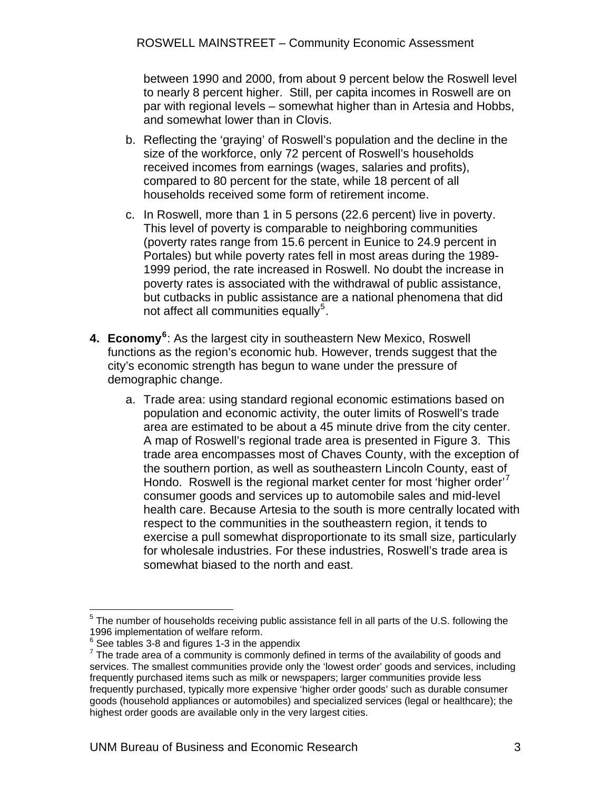<span id="page-6-0"></span>between 1990 and 2000, from about 9 percent below the Roswell level to nearly 8 percent higher. Still, per capita incomes in Roswell are on par with regional levels – somewhat higher than in Artesia and Hobbs, and somewhat lower than in Clovis.

- b. Reflecting the 'graying' of Roswell's population and the decline in the size of the workforce, only 72 percent of Roswell's households received incomes from earnings (wages, salaries and profits), compared to 80 percent for the state, while 18 percent of all households received some form of retirement income.
- c. In Roswell, more than 1 in 5 persons (22.6 percent) live in poverty. This level of poverty is comparable to neighboring communities (poverty rates range from 15.6 percent in Eunice to 24.9 percent in Portales) but while poverty rates fell in most areas during the 1989- 1999 period, the rate increased in Roswell. No doubt the increase in poverty rates is associated with the withdrawal of public assistance, but cutbacks in public assistance are a national phenomena that did not affect all communities equally<sup>[5](#page-6-1)</sup>.
- **4. Economy[6](#page-6-2)** : As the largest city in southeastern New Mexico, Roswell functions as the region's economic hub. However, trends suggest that the city's economic strength has begun to wane under the pressure of demographic change.
	- a. Trade area: using standard regional economic estimations based on population and economic activity, the outer limits of Roswell's trade area are estimated to be about a 45 minute drive from the city center. A map of Roswell's regional trade area is presented in Figure 3. This trade area encompasses most of Chaves County, with the exception of the southern portion, as well as southeastern Lincoln County, east of Hondo. Roswell is the regional market center for most 'higher order' consumer goods and services up to automobile sales and mid-level health care. Because Artesia to the south is more centrally located with respect to the communities in the southeastern region, it tends to exercise a pull somewhat disproportionate to its small size, particularly for wholesale industries. For these industries, Roswell's trade area is somewhat biased to the north and east.

<span id="page-6-1"></span><sup>1</sup>  $5$  The number of households receiving public assistance fell in all parts of the U.S. following the 1996 implementation of welfare reform.

<span id="page-6-2"></span> $6$  See tables 3-8 and figures 1-3 in the appendix

<span id="page-6-3"></span> $7$  The trade area of a community is commonly defined in terms of the availability of goods and services. The smallest communities provide only the 'lowest order' goods and services, including frequently purchased items such as milk or newspapers; larger communities provide less frequently purchased, typically more expensive 'higher order goods' such as durable consumer goods (household appliances or automobiles) and specialized services (legal or healthcare); the highest order goods are available only in the very largest cities.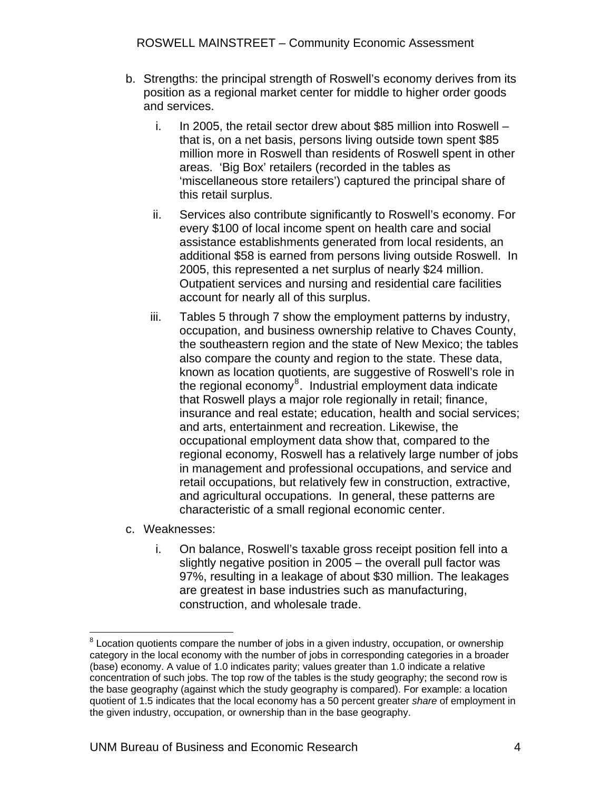- b. Strengths: the principal strength of Roswell's economy derives from its position as a regional market center for middle to higher order goods and services.
	- i. In 2005, the retail sector drew about \$85 million into Roswell that is, on a net basis, persons living outside town spent \$85 million more in Roswell than residents of Roswell spent in other areas. 'Big Box' retailers (recorded in the tables as 'miscellaneous store retailers') captured the principal share of this retail surplus.
	- ii. Services also contribute significantly to Roswell's economy. For every \$100 of local income spent on health care and social assistance establishments generated from local residents, an additional \$58 is earned from persons living outside Roswell. In 2005, this represented a net surplus of nearly \$24 million. Outpatient services and nursing and residential care facilities account for nearly all of this surplus.
	- iii. Tables 5 through 7 show the employment patterns by industry, occupation, and business ownership relative to Chaves County, the southeastern region and the state of New Mexico; the tables also compare the county and region to the state. These data, known as location quotients, are suggestive of Roswell's role in the regional economy<sup>[8](#page-7-0)</sup>. Industrial employment data indicate that Roswell plays a major role regionally in retail; finance, insurance and real estate; education, health and social services; and arts, entertainment and recreation. Likewise, the occupational employment data show that, compared to the regional economy, Roswell has a relatively large number of jobs in management and professional occupations, and service and retail occupations, but relatively few in construction, extractive, and agricultural occupations. In general, these patterns are characteristic of a small regional economic center.
- c. Weaknesses:
	- i. On balance, Roswell's taxable gross receipt position fell into a slightly negative position in 2005 – the overall pull factor was 97%, resulting in a leakage of about \$30 million. The leakages are greatest in base industries such as manufacturing, construction, and wholesale trade.

<span id="page-7-0"></span>entify contain the component controlled the number of jobs in a given industry, occupation, or ownership by a body to an industry of the contrastion of the contrastion. category in the local economy with the number of jobs in corresponding categories in a broader (base) economy. A value of 1.0 indicates parity; values greater than 1.0 indicate a relative concentration of such jobs. The top row of the tables is the study geography; the second row is the base geography (against which the study geography is compared). For example: a location quotient of 1.5 indicates that the local economy has a 50 percent greater *share* of employment in the given industry, occupation, or ownership than in the base geography.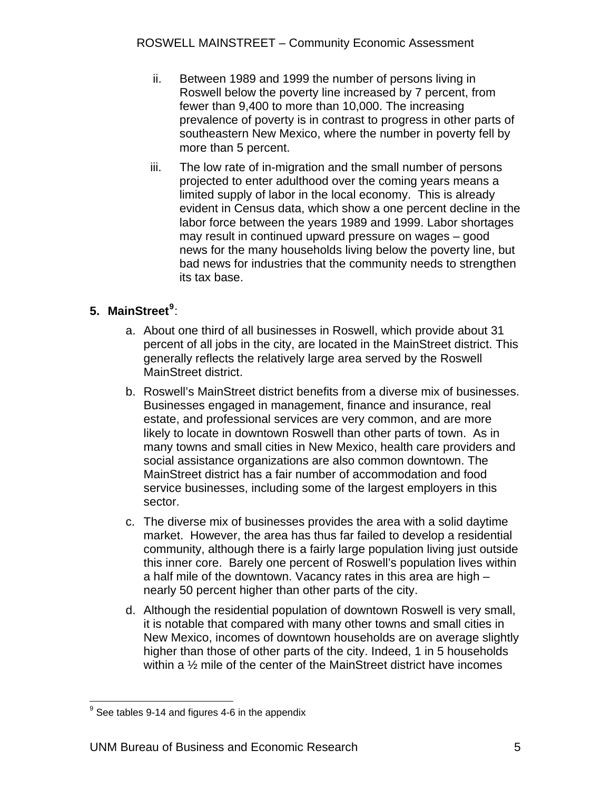- <span id="page-8-0"></span>ii. Between 1989 and 1999 the number of persons living in Roswell below the poverty line increased by 7 percent, from fewer than 9,400 to more than 10,000. The increasing prevalence of poverty is in contrast to progress in other parts of southeastern New Mexico, where the number in poverty fell by more than 5 percent.
- iii. The low rate of in-migration and the small number of persons projected to enter adulthood over the coming years means a limited supply of labor in the local economy. This is already evident in Census data, which show a one percent decline in the labor force between the years 1989 and 1999. Labor shortages may result in continued upward pressure on wages – good news for the many households living below the poverty line, but bad news for industries that the community needs to strengthen its tax base.

#### **5. MainStreet[9](#page-8-1)** :

- a. About one third of all businesses in Roswell, which provide about 31 percent of all jobs in the city, are located in the MainStreet district. This generally reflects the relatively large area served by the Roswell MainStreet district.
- b. Roswell's MainStreet district benefits from a diverse mix of businesses. Businesses engaged in management, finance and insurance, real estate, and professional services are very common, and are more likely to locate in downtown Roswell than other parts of town. As in many towns and small cities in New Mexico, health care providers and social assistance organizations are also common downtown. The MainStreet district has a fair number of accommodation and food service businesses, including some of the largest employers in this sector.
- c. The diverse mix of businesses provides the area with a solid daytime market. However, the area has thus far failed to develop a residential community, although there is a fairly large population living just outside this inner core. Barely one percent of Roswell's population lives within a half mile of the downtown. Vacancy rates in this area are high – nearly 50 percent higher than other parts of the city.
- d. Although the residential population of downtown Roswell is very small, it is notable that compared with many other towns and small cities in New Mexico, incomes of downtown households are on average slightly higher than those of other parts of the city. Indeed, 1 in 5 households within a <sup>1/2</sup> mile of the center of the MainStreet district have incomes

<span id="page-8-1"></span><sup>&</sup>lt;u>econda</u><br>If the set tables 9-14 and figures 4-6 in the appendix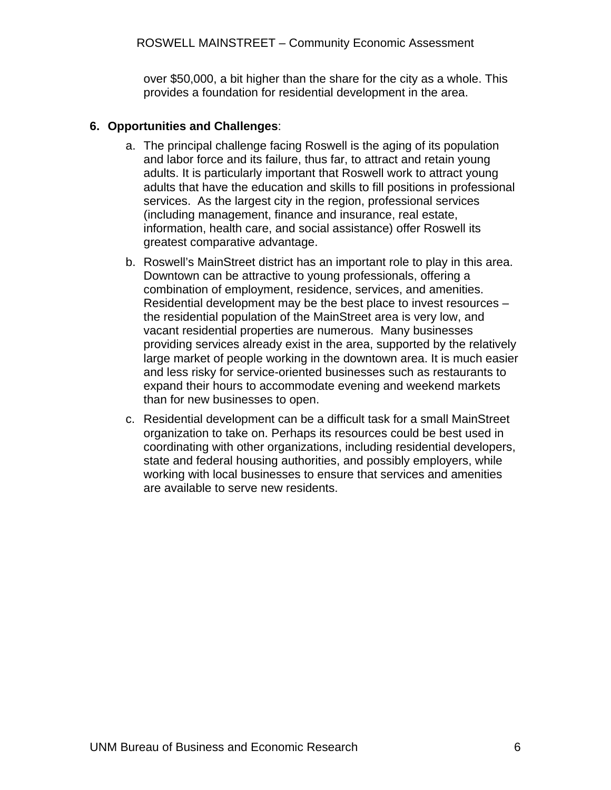over \$50,000, a bit higher than the share for the city as a whole. This provides a foundation for residential development in the area.

#### <span id="page-9-0"></span>**6. Opportunities and Challenges**:

- a. The principal challenge facing Roswell is the aging of its population and labor force and its failure, thus far, to attract and retain young adults. It is particularly important that Roswell work to attract young adults that have the education and skills to fill positions in professional services. As the largest city in the region, professional services (including management, finance and insurance, real estate, information, health care, and social assistance) offer Roswell its greatest comparative advantage.
- b. Roswell's MainStreet district has an important role to play in this area. Downtown can be attractive to young professionals, offering a combination of employment, residence, services, and amenities. Residential development may be the best place to invest resources – the residential population of the MainStreet area is very low, and vacant residential properties are numerous. Many businesses providing services already exist in the area, supported by the relatively large market of people working in the downtown area. It is much easier and less risky for service-oriented businesses such as restaurants to expand their hours to accommodate evening and weekend markets than for new businesses to open.
- c. Residential development can be a difficult task for a small MainStreet organization to take on. Perhaps its resources could be best used in coordinating with other organizations, including residential developers, state and federal housing authorities, and possibly employers, while working with local businesses to ensure that services and amenities are available to serve new residents.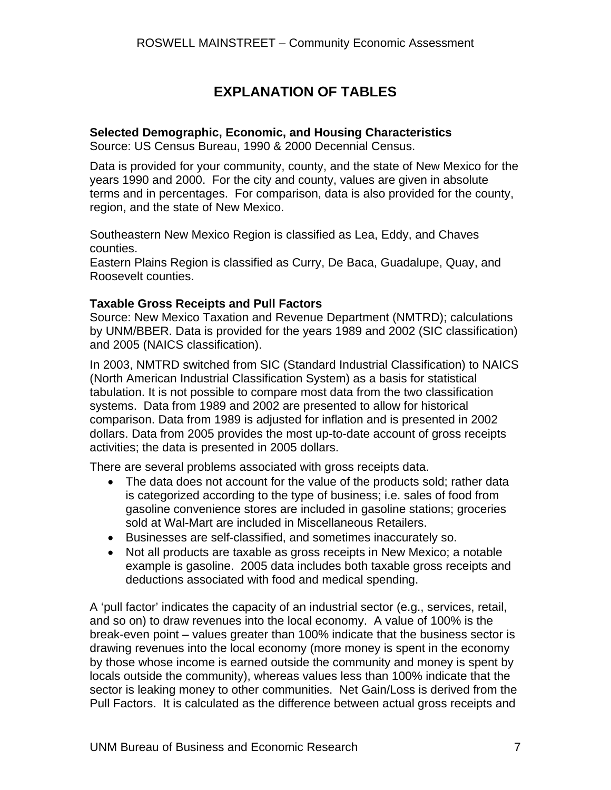### **EXPLANATION OF TABLES**

#### <span id="page-10-0"></span>**Selected Demographic, Economic, and Housing Characteristics**

Source: US Census Bureau, 1990 & 2000 Decennial Census.

Data is provided for your community, county, and the state of New Mexico for the years 1990 and 2000. For the city and county, values are given in absolute terms and in percentages. For comparison, data is also provided for the county, region, and the state of New Mexico.

Southeastern New Mexico Region is classified as Lea, Eddy, and Chaves counties.

Eastern Plains Region is classified as Curry, De Baca, Guadalupe, Quay, and Roosevelt counties.

#### **Taxable Gross Receipts and Pull Factors**

Source: New Mexico Taxation and Revenue Department (NMTRD); calculations by UNM/BBER. Data is provided for the years 1989 and 2002 (SIC classification) and 2005 (NAICS classification).

In 2003, NMTRD switched from SIC (Standard Industrial Classification) to NAICS (North American Industrial Classification System) as a basis for statistical tabulation. It is not possible to compare most data from the two classification systems. Data from 1989 and 2002 are presented to allow for historical comparison. Data from 1989 is adjusted for inflation and is presented in 2002 dollars. Data from 2005 provides the most up-to-date account of gross receipts activities; the data is presented in 2005 dollars.

There are several problems associated with gross receipts data.

- The data does not account for the value of the products sold; rather data is categorized according to the type of business; i.e. sales of food from gasoline convenience stores are included in gasoline stations; groceries sold at Wal-Mart are included in Miscellaneous Retailers.
- Businesses are self-classified, and sometimes inaccurately so.
- Not all products are taxable as gross receipts in New Mexico; a notable example is gasoline. 2005 data includes both taxable gross receipts and deductions associated with food and medical spending.

A 'pull factor' indicates the capacity of an industrial sector (e.g., services, retail, and so on) to draw revenues into the local economy. A value of 100% is the break-even point – values greater than 100% indicate that the business sector is drawing revenues into the local economy (more money is spent in the economy by those whose income is earned outside the community and money is spent by locals outside the community), whereas values less than 100% indicate that the sector is leaking money to other communities. Net Gain/Loss is derived from the Pull Factors. It is calculated as the difference between actual gross receipts and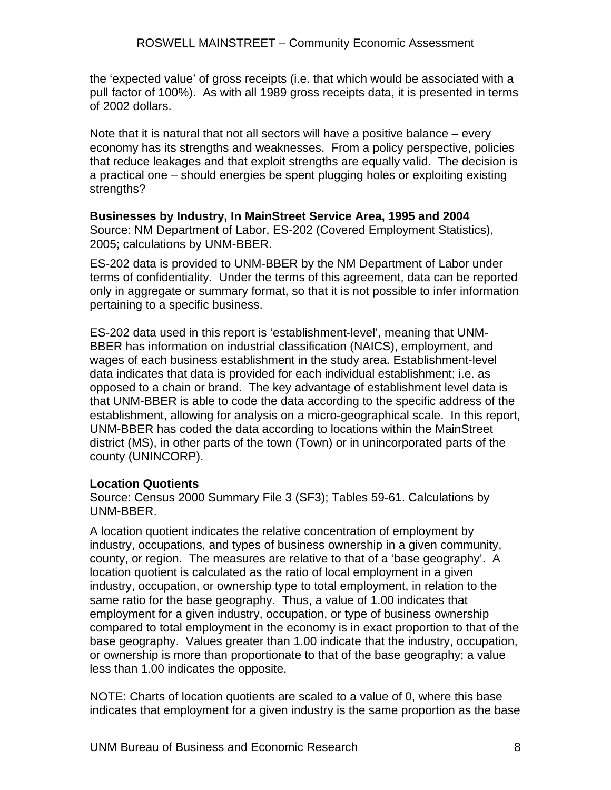the 'expected value' of gross receipts (i.e. that which would be associated with a pull factor of 100%). As with all 1989 gross receipts data, it is presented in terms of 2002 dollars.

Note that it is natural that not all sectors will have a positive balance – every economy has its strengths and weaknesses. From a policy perspective, policies that reduce leakages and that exploit strengths are equally valid. The decision is a practical one – should energies be spent plugging holes or exploiting existing strengths?

**Businesses by Industry, In MainStreet Service Area, 1995 and 2004**  Source: NM Department of Labor, ES-202 (Covered Employment Statistics), 2005; calculations by UNM-BBER.

ES-202 data is provided to UNM-BBER by the NM Department of Labor under terms of confidentiality. Under the terms of this agreement, data can be reported only in aggregate or summary format, so that it is not possible to infer information pertaining to a specific business.

ES-202 data used in this report is 'establishment-level', meaning that UNM-BBER has information on industrial classification (NAICS), employment, and wages of each business establishment in the study area. Establishment-level data indicates that data is provided for each individual establishment; i.e. as opposed to a chain or brand. The key advantage of establishment level data is that UNM-BBER is able to code the data according to the specific address of the establishment, allowing for analysis on a micro-geographical scale. In this report, UNM-BBER has coded the data according to locations within the MainStreet district (MS), in other parts of the town (Town) or in unincorporated parts of the county (UNINCORP).

#### **Location Quotients**

Source: Census 2000 Summary File 3 (SF3); Tables 59-61. Calculations by UNM-BBER.

A location quotient indicates the relative concentration of employment by industry, occupations, and types of business ownership in a given community, county, or region. The measures are relative to that of a 'base geography'. A location quotient is calculated as the ratio of local employment in a given industry, occupation, or ownership type to total employment, in relation to the same ratio for the base geography. Thus, a value of 1.00 indicates that employment for a given industry, occupation, or type of business ownership compared to total employment in the economy is in exact proportion to that of the base geography. Values greater than 1.00 indicate that the industry, occupation, or ownership is more than proportionate to that of the base geography; a value less than 1.00 indicates the opposite.

NOTE: Charts of location quotients are scaled to a value of 0, where this base indicates that employment for a given industry is the same proportion as the base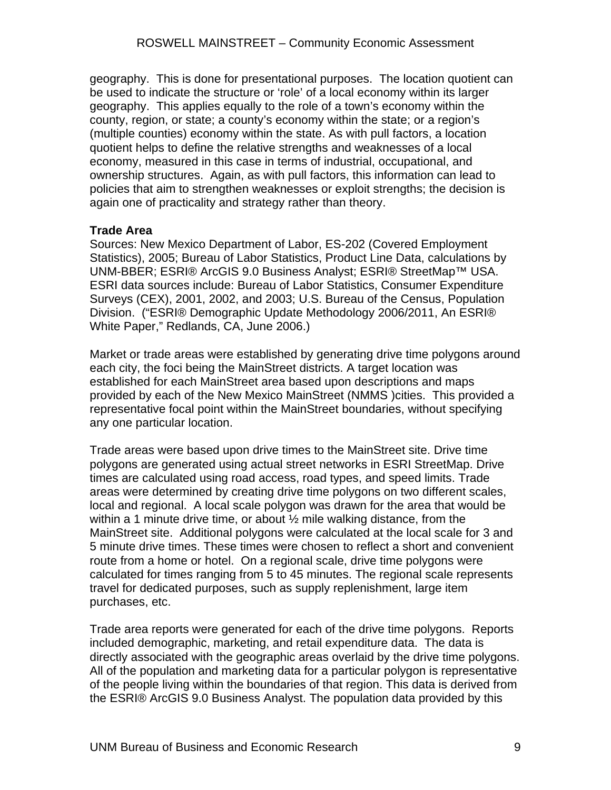geography. This is done for presentational purposes. The location quotient can be used to indicate the structure or 'role' of a local economy within its larger geography. This applies equally to the role of a town's economy within the county, region, or state; a county's economy within the state; or a region's (multiple counties) economy within the state. As with pull factors, a location quotient helps to define the relative strengths and weaknesses of a local economy, measured in this case in terms of industrial, occupational, and ownership structures. Again, as with pull factors, this information can lead to policies that aim to strengthen weaknesses or exploit strengths; the decision is again one of practicality and strategy rather than theory.

#### **Trade Area**

Sources: New Mexico Department of Labor, ES-202 (Covered Employment Statistics), 2005; Bureau of Labor Statistics, Product Line Data, calculations by UNM-BBER; ESRI® ArcGIS 9.0 Business Analyst; ESRI® StreetMap™ USA. ESRI data sources include: Bureau of Labor Statistics, Consumer Expenditure Surveys (CEX), 2001, 2002, and 2003; U.S. Bureau of the Census, Population Division. ("ESRI® Demographic Update Methodology 2006/2011, An ESRI® White Paper," Redlands, CA, June 2006.)

Market or trade areas were established by generating drive time polygons around each city, the foci being the MainStreet districts. A target location was established for each MainStreet area based upon descriptions and maps provided by each of the New Mexico MainStreet (NMMS )cities. This provided a representative focal point within the MainStreet boundaries, without specifying any one particular location.

Trade areas were based upon drive times to the MainStreet site. Drive time polygons are generated using actual street networks in ESRI StreetMap. Drive times are calculated using road access, road types, and speed limits. Trade areas were determined by creating drive time polygons on two different scales, local and regional. A local scale polygon was drawn for the area that would be within a 1 minute drive time, or about  $\frac{1}{2}$  mile walking distance, from the MainStreet site. Additional polygons were calculated at the local scale for 3 and 5 minute drive times. These times were chosen to reflect a short and convenient route from a home or hotel. On a regional scale, drive time polygons were calculated for times ranging from 5 to 45 minutes. The regional scale represents travel for dedicated purposes, such as supply replenishment, large item purchases, etc.

Trade area reports were generated for each of the drive time polygons. Reports included demographic, marketing, and retail expenditure data. The data is directly associated with the geographic areas overlaid by the drive time polygons. All of the population and marketing data for a particular polygon is representative of the people living within the boundaries of that region. This data is derived from the ESRI® ArcGIS 9.0 Business Analyst. The population data provided by this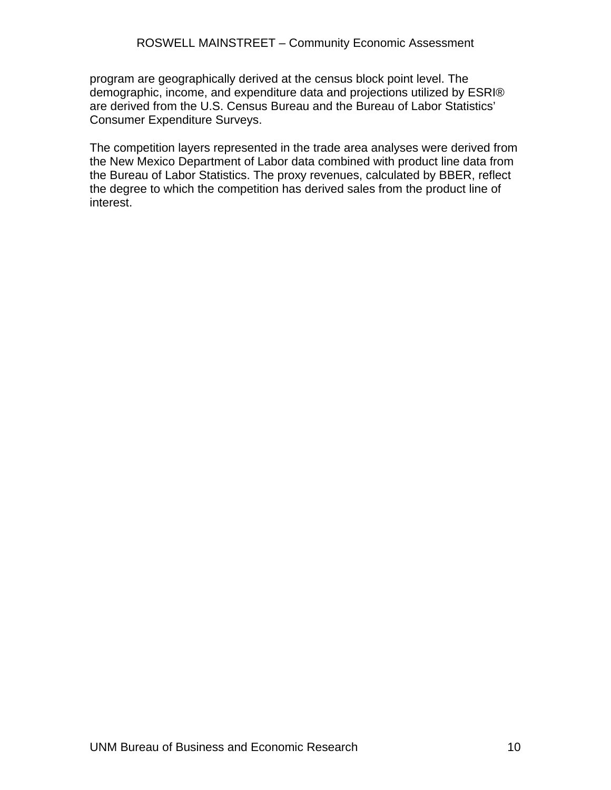program are geographically derived at the census block point level. The demographic, income, and expenditure data and projections utilized by ESRI® are derived from the U.S. Census Bureau and the Bureau of Labor Statistics' Consumer Expenditure Surveys.

The competition layers represented in the trade area analyses were derived from the New Mexico Department of Labor data combined with product line data from the Bureau of Labor Statistics. The proxy revenues, calculated by BBER, reflect the degree to which the competition has derived sales from the product line of interest.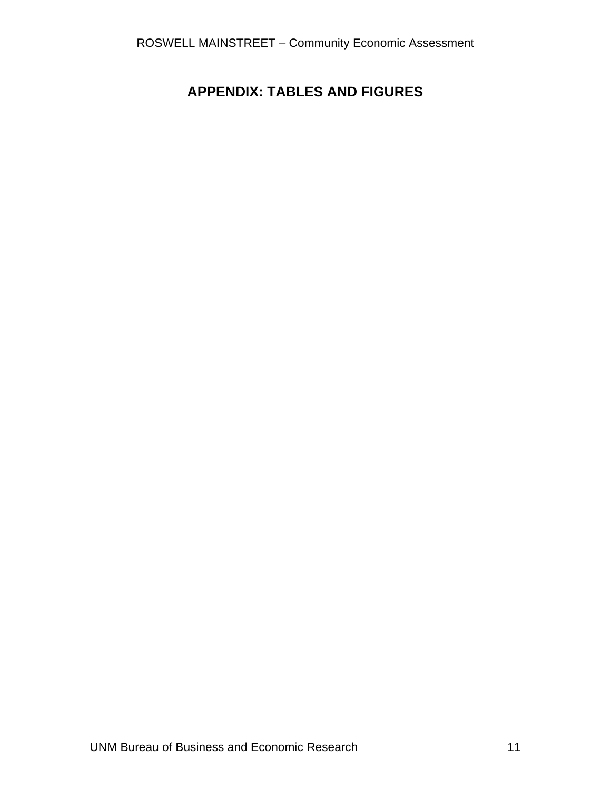### <span id="page-14-0"></span>**APPENDIX: TABLES AND FIGURES**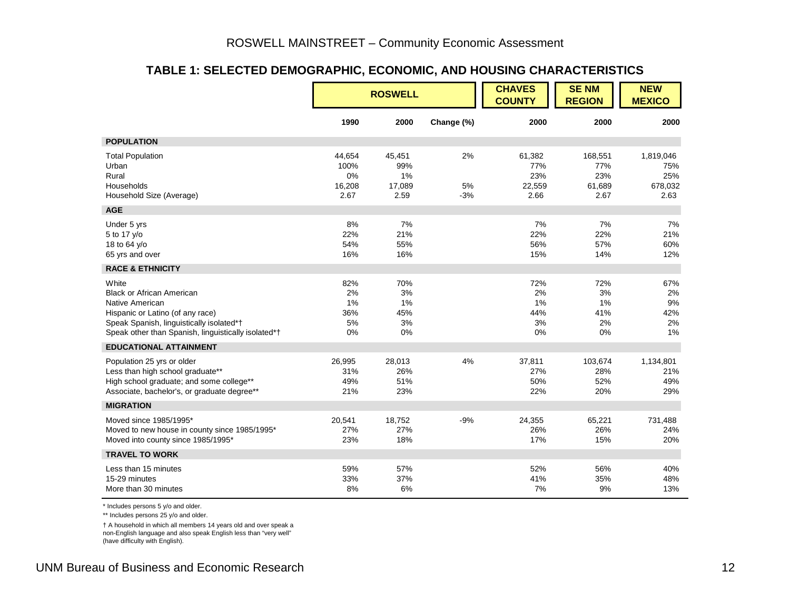#### **TABLE 1: SELECTED DEMOGRAPHIC, ECONOMIC, AND HOUSING CHARACTERISTICS**

|                                                                                                                                                                                                     |                                        | <b>ROSWELL</b>                        |                   | <b>CHAVES</b><br><b>COUNTY</b>         | <b>SENM</b><br><b>REGION</b>            | <b>NEW</b><br><b>MEXICO</b>                |
|-----------------------------------------------------------------------------------------------------------------------------------------------------------------------------------------------------|----------------------------------------|---------------------------------------|-------------------|----------------------------------------|-----------------------------------------|--------------------------------------------|
|                                                                                                                                                                                                     | 1990                                   | 2000                                  | Change (%)        | 2000                                   | 2000                                    | 2000                                       |
| <b>POPULATION</b>                                                                                                                                                                                   |                                        |                                       |                   |                                        |                                         |                                            |
| <b>Total Population</b><br>Urban<br>Rural<br>Households<br>Household Size (Average)                                                                                                                 | 44,654<br>100%<br>0%<br>16,208<br>2.67 | 45,451<br>99%<br>1%<br>17,089<br>2.59 | 2%<br>5%<br>$-3%$ | 61,382<br>77%<br>23%<br>22,559<br>2.66 | 168,551<br>77%<br>23%<br>61,689<br>2.67 | 1,819,046<br>75%<br>25%<br>678,032<br>2.63 |
| <b>AGE</b>                                                                                                                                                                                          |                                        |                                       |                   |                                        |                                         |                                            |
| Under 5 yrs<br>5 to 17 y/o<br>18 to 64 y/o<br>65 yrs and over                                                                                                                                       | 8%<br>22%<br>54%<br>16%                | 7%<br>21%<br>55%<br>16%               |                   | 7%<br>22%<br>56%<br>15%                | 7%<br>22%<br>57%<br>14%                 | 7%<br>21%<br>60%<br>12%                    |
| <b>RACE &amp; ETHNICITY</b>                                                                                                                                                                         |                                        |                                       |                   |                                        |                                         |                                            |
| White<br><b>Black or African American</b><br>Native American<br>Hispanic or Latino (of any race)<br>Speak Spanish, linguistically isolated*†<br>Speak other than Spanish, linguistically isolated*† | 82%<br>2%<br>1%<br>36%<br>5%<br>0%     | 70%<br>3%<br>1%<br>45%<br>3%<br>0%    |                   | 72%<br>2%<br>1%<br>44%<br>3%<br>0%     | 72%<br>3%<br>1%<br>41%<br>2%<br>0%      | 67%<br>2%<br>9%<br>42%<br>2%<br>1%         |
| <b>EDUCATIONAL ATTAINMENT</b>                                                                                                                                                                       |                                        |                                       |                   |                                        |                                         |                                            |
| Population 25 yrs or older<br>Less than high school graduate**<br>High school graduate; and some college**<br>Associate, bachelor's, or graduate degree**                                           | 26,995<br>31%<br>49%<br>21%            | 28,013<br>26%<br>51%<br>23%           | 4%                | 37,811<br>27%<br>50%<br>22%            | 103,674<br>28%<br>52%<br>20%            | 1,134,801<br>21%<br>49%<br>29%             |
| <b>MIGRATION</b>                                                                                                                                                                                    |                                        |                                       |                   |                                        |                                         |                                            |
| Moved since 1985/1995*<br>Moved to new house in county since 1985/1995*<br>Moved into county since 1985/1995*                                                                                       | 20,541<br>27%<br>23%                   | 18,752<br>27%<br>18%                  | $-9%$             | 24,355<br>26%<br>17%                   | 65,221<br>26%<br>15%                    | 731,488<br>24%<br>20%                      |
| <b>TRAVEL TO WORK</b>                                                                                                                                                                               |                                        |                                       |                   |                                        |                                         |                                            |
| Less than 15 minutes<br>15-29 minutes<br>More than 30 minutes                                                                                                                                       | 59%<br>33%<br>8%                       | 57%<br>37%<br>6%                      |                   | 52%<br>41%<br>7%                       | 56%<br>35%<br>9%                        | 40%<br>48%<br>13%                          |

\* Includes persons 5 y/o and older.

\*\* Includes persons 25 y/o and older.

<span id="page-15-0"></span>† A household in which all members 14 years old and over speak a non-English language and also speak English less than "very well" (have difficulty with English).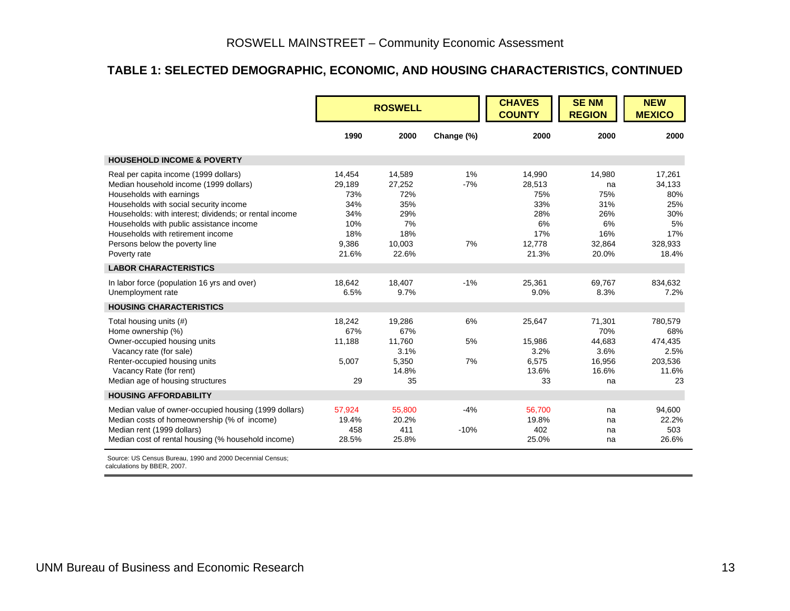#### **TABLE 1: SELECTED DEMOGRAPHIC, ECONOMIC, AND HOUSING CHARACTERISTICS, CONTINUED**

|                                                                                                                                                                                                                                                                                                                                                    | <b>ROSWELL</b>                                                        |                                                                       |                   | <b>CHAVES</b><br><b>COUNTY</b>                                        | <b>SENM</b><br><b>REGION</b>                                      | <b>NEW</b><br><b>MEXICO</b>                                            |
|----------------------------------------------------------------------------------------------------------------------------------------------------------------------------------------------------------------------------------------------------------------------------------------------------------------------------------------------------|-----------------------------------------------------------------------|-----------------------------------------------------------------------|-------------------|-----------------------------------------------------------------------|-------------------------------------------------------------------|------------------------------------------------------------------------|
|                                                                                                                                                                                                                                                                                                                                                    | 1990                                                                  | 2000                                                                  | Change (%)        | 2000                                                                  | 2000                                                              | 2000                                                                   |
| <b>HOUSEHOLD INCOME &amp; POVERTY</b>                                                                                                                                                                                                                                                                                                              |                                                                       |                                                                       |                   |                                                                       |                                                                   |                                                                        |
| Real per capita income (1999 dollars)<br>Median household income (1999 dollars)<br>Households with earnings<br>Households with social security income<br>Households: with interest; dividends; or rental income<br>Households with public assistance income<br>Households with retirement income<br>Persons below the poverty line<br>Poverty rate | 14,454<br>29,189<br>73%<br>34%<br>34%<br>10%<br>18%<br>9,386<br>21.6% | 14.589<br>27,252<br>72%<br>35%<br>29%<br>7%<br>18%<br>10,003<br>22.6% | 1%<br>$-7%$<br>7% | 14.990<br>28,513<br>75%<br>33%<br>28%<br>6%<br>17%<br>12,778<br>21.3% | 14.980<br>na<br>75%<br>31%<br>26%<br>6%<br>16%<br>32,864<br>20.0% | 17.261<br>34,133<br>80%<br>25%<br>30%<br>5%<br>17%<br>328,933<br>18.4% |
| <b>LABOR CHARACTERISTICS</b>                                                                                                                                                                                                                                                                                                                       |                                                                       |                                                                       |                   |                                                                       |                                                                   |                                                                        |
| In labor force (population 16 yrs and over)<br>Unemployment rate                                                                                                                                                                                                                                                                                   | 18,642<br>6.5%                                                        | 18,407<br>9.7%                                                        | $-1%$             | 25,361<br>9.0%                                                        | 69,767<br>8.3%                                                    | 834,632<br>7.2%                                                        |
| <b>HOUSING CHARACTERISTICS</b>                                                                                                                                                                                                                                                                                                                     |                                                                       |                                                                       |                   |                                                                       |                                                                   |                                                                        |
| Total housing units (#)<br>Home ownership (%)<br>Owner-occupied housing units                                                                                                                                                                                                                                                                      | 18,242<br>67%<br>11,188                                               | 19,286<br>67%<br>11.760                                               | 6%<br>5%          | 25,647<br>15,986                                                      | 71,301<br>70%<br>44,683                                           | 780,579<br>68%<br>474.435                                              |
| Vacancy rate (for sale)<br>Renter-occupied housing units<br>Vacancy Rate (for rent)<br>Median age of housing structures                                                                                                                                                                                                                            | 5,007<br>29                                                           | 3.1%<br>5,350<br>14.8%<br>35                                          | 7%                | 3.2%<br>6,575<br>13.6%<br>33                                          | 3.6%<br>16,956<br>16.6%<br>na                                     | 2.5%<br>203,536<br>11.6%<br>23                                         |
| <b>HOUSING AFFORDABILITY</b>                                                                                                                                                                                                                                                                                                                       |                                                                       |                                                                       |                   |                                                                       |                                                                   |                                                                        |
| Median value of owner-occupied housing (1999 dollars)<br>Median costs of homeownership (% of income)<br>Median rent (1999 dollars)<br>Median cost of rental housing (% household income)                                                                                                                                                           | 57,924<br>19.4%<br>458<br>28.5%                                       | 55,800<br>20.2%<br>411<br>25.8%                                       | $-4%$<br>$-10%$   | 56,700<br>19.8%<br>402<br>25.0%                                       | na<br>na<br>na<br>na                                              | 94,600<br>22.2%<br>503<br>26.6%                                        |
| Source: US Census Bureau, 1990 and 2000 Decennial Census;                                                                                                                                                                                                                                                                                          |                                                                       |                                                                       |                   |                                                                       |                                                                   |                                                                        |

calculations by BBER, 2007.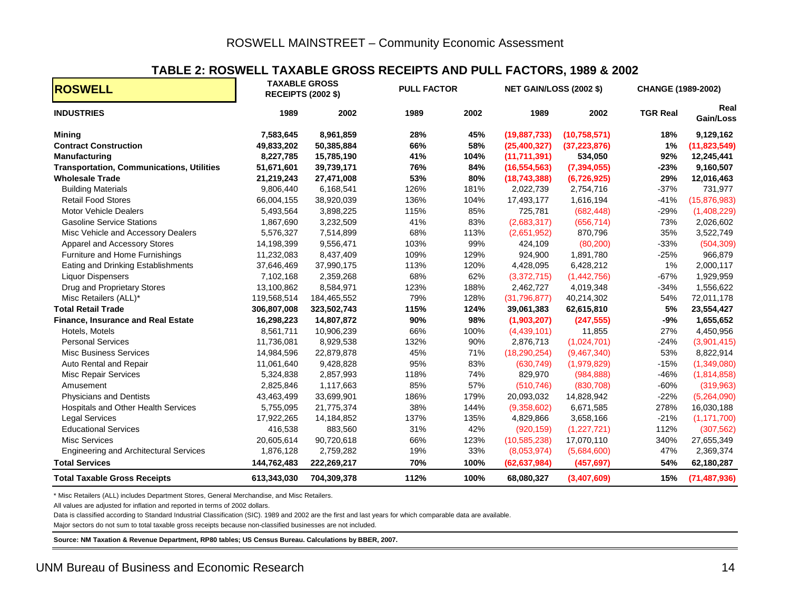#### **TABLE 2: ROSWELL TAXABLE GROSS RECEIPTS AND PULL FACTORS, 1989 & 2002**

| <b>ROSWELL</b>                                   |             | <b>TAXABLE GROSS</b><br><b>RECEIPTS (2002 \$)</b> | <b>PULL FACTOR</b> |      | <b>NET GAIN/LOSS (2002 \$)</b> |                | <b>CHANGE (1989-2002)</b> |                   |  |
|--------------------------------------------------|-------------|---------------------------------------------------|--------------------|------|--------------------------------|----------------|---------------------------|-------------------|--|
| <b>INDUSTRIES</b>                                | 1989        | 2002                                              | 1989               | 2002 | 1989                           | 2002           | <b>TGR Real</b>           | Real<br>Gain/Loss |  |
| <b>Mining</b>                                    | 7,583,645   | 8,961,859                                         | 28%                | 45%  | (19, 887, 733)                 | (10, 758, 571) | 18%                       | 9,129,162         |  |
| <b>Contract Construction</b>                     | 49,833,202  | 50,385,884                                        | 66%                | 58%  | (25,400,327)                   | (37, 223, 876) | 1%                        | (11,823,549)      |  |
| Manufacturing                                    | 8,227,785   | 15,785,190                                        | 41%                | 104% | (11,711,391)                   | 534,050        | 92%                       | 12,245,441        |  |
| <b>Transportation, Communications, Utilities</b> | 51,671,601  | 39,739,171                                        | 76%                | 84%  | (16, 554, 563)                 | (7, 394, 055)  | $-23%$                    | 9,160,507         |  |
| <b>Wholesale Trade</b>                           | 21,219,243  | 27,471,008                                        | 53%                | 80%  | (18,743,388)                   | (6,726,925)    | 29%                       | 12,016,463        |  |
| <b>Building Materials</b>                        | 9,806,440   | 6,168,541                                         | 126%               | 181% | 2,022,739                      | 2,754,716      | $-37%$                    | 731,977           |  |
| <b>Retail Food Stores</b>                        | 66,004,155  | 38,920,039                                        | 136%               | 104% | 17,493,177                     | 1,616,194      | $-41%$                    | (15,876,983)      |  |
| <b>Motor Vehicle Dealers</b>                     | 5,493,564   | 3,898,225                                         | 115%               | 85%  | 725,781                        | (682, 448)     | $-29%$                    | (1,408,229)       |  |
| <b>Gasoline Service Stations</b>                 | 1,867,690   | 3,232,509                                         | 41%                | 83%  | (2,683,317)                    | (656, 714)     | 73%                       | 2,026,602         |  |
| Misc Vehicle and Accessory Dealers               | 5,576,327   | 7,514,899                                         | 68%                | 113% | (2,651,952)                    | 870,796        | 35%                       | 3,522,749         |  |
| Apparel and Accessory Stores                     | 14,198,399  | 9,556,471                                         | 103%               | 99%  | 424,109                        | (80, 200)      | $-33%$                    | (504, 309)        |  |
| Furniture and Home Furnishings                   | 11,232,083  | 8,437,409                                         | 109%               | 129% | 924,900                        | 1,891,780      | $-25%$                    | 966,879           |  |
| Eating and Drinking Establishments               | 37,646,469  | 37,990,175                                        | 113%               | 120% | 4,428,095                      | 6,428,212      | 1%                        | 2,000,117         |  |
| <b>Liquor Dispensers</b>                         | 7,102,168   | 2,359,268                                         | 68%                | 62%  | (3,372,715)                    | (1,442,756)    | $-67%$                    | 1,929,959         |  |
| Drug and Proprietary Stores                      | 13,100,862  | 8,584,971                                         | 123%               | 188% | 2,462,727                      | 4,019,348      | $-34%$                    | 1,556,622         |  |
| Misc Retailers (ALL)*                            | 119,568,514 | 184,465,552                                       | 79%                | 128% | (31,796,877)                   | 40,214,302     | 54%                       | 72,011,178        |  |
| <b>Total Retail Trade</b>                        | 306,807,008 | 323,502,743                                       | 115%               | 124% | 39,061,383                     | 62,615,810     | 5%                        | 23,554,427        |  |
| Finance, Insurance and Real Estate               | 16,298,223  | 14,807,872                                        | 90%                | 98%  | (1,903,207)                    | (247, 555)     | $-9%$                     | 1,655,652         |  |
| Hotels, Motels                                   | 8,561,711   | 10,906,239                                        | 66%                | 100% | (4,439,101)                    | 11,855         | 27%                       | 4,450,956         |  |
| <b>Personal Services</b>                         | 11,736,081  | 8,929,538                                         | 132%               | 90%  | 2,876,713                      | (1,024,701)    | $-24%$                    | (3,901,415)       |  |
| <b>Misc Business Services</b>                    | 14,984,596  | 22,879,878                                        | 45%                | 71%  | (18, 290, 254)                 | (9,467,340)    | 53%                       | 8,822,914         |  |
| Auto Rental and Repair                           | 11,061,640  | 9,428,828                                         | 95%                | 83%  | (630, 749)                     | (1,979,829)    | $-15%$                    | (1,349,080)       |  |
| <b>Misc Repair Services</b>                      | 5,324,838   | 2,857,993                                         | 118%               | 74%  | 829,970                        | (984, 888)     | $-46%$                    | (1,814,858)       |  |
| Amusement                                        | 2,825,846   | 1,117,663                                         | 85%                | 57%  | (510, 746)                     | (830, 708)     | $-60%$                    | (319, 963)        |  |
| <b>Physicians and Dentists</b>                   | 43,463,499  | 33,699,901                                        | 186%               | 179% | 20,093,032                     | 14,828,942     | $-22%$                    | (5,264,090)       |  |
| Hospitals and Other Health Services              | 5,755,095   | 21,775,374                                        | 38%                | 144% | (9,358,602)                    | 6,671,585      | 278%                      | 16,030,188        |  |
| <b>Legal Services</b>                            | 17,922,265  | 14,184,852                                        | 137%               | 135% | 4,829,866                      | 3,658,166      | $-21%$                    | (1, 171, 700)     |  |
| <b>Educational Services</b>                      | 416,538     | 883,560                                           | 31%                | 42%  | (920, 159)                     | (1,227,721)    | 112%                      | (307, 562)        |  |
| <b>Misc Services</b>                             | 20,605,614  | 90,720,618                                        | 66%                | 123% | (10, 585, 238)                 | 17,070,110     | 340%                      | 27,655,349        |  |
| <b>Engineering and Architectural Services</b>    | 1,876,128   | 2,759,282                                         | 19%                | 33%  | (8,053,974)                    | (5,684,600)    | 47%                       | 2,369,374         |  |
| <b>Total Services</b>                            | 144,762,483 | 222,269,217                                       | 70%                | 100% | (62, 637, 984)                 | (457, 697)     | 54%                       | 62,180,287        |  |
| <b>Total Taxable Gross Receipts</b>              | 613,343,030 | 704,309,378                                       | 112%               | 100% | 68,080,327                     | (3,407,609)    | 15%                       | (71, 487, 936)    |  |

\* Misc Retailers (ALL) includes Department Stores, General Merchandise, and Misc Retailers.

All values are adjusted for inflation and reported in terms of 2002 dollars.

Data is classified according to Standard Industrial Classification (SIC). 1989 and 2002 are the first and last years for which comparable data are available.

Major sectors do not sum to total taxable gross receipts because non-classified businesses are not included.

<span id="page-17-0"></span>**Source: NM Taxation & Revenue Department, RP80 tables; US Census Bureau. Calculations by BBER, 2007.**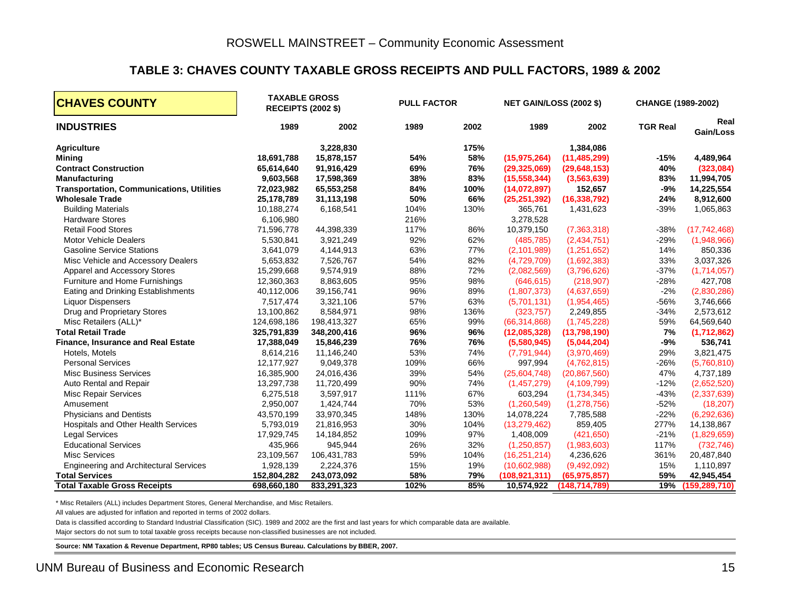#### **TABLE 3: CHAVES COUNTY TAXABLE GROSS RECEIPTS AND PULL FACTORS, 1989 & 2002**

| <b>CHAVES COUNTY</b>                             |             | <b>TAXABLE GROSS</b><br><b>RECEIPTS (2002 \$)</b> | <b>PULL FACTOR</b> | <b>NET GAIN/LOSS (2002 \$)</b><br><b>CHANGE (1989-2002)</b> |                |                |                 |                   |
|--------------------------------------------------|-------------|---------------------------------------------------|--------------------|-------------------------------------------------------------|----------------|----------------|-----------------|-------------------|
| <b>INDUSTRIES</b>                                | 1989        | 2002                                              | 1989               | 2002                                                        | 1989           | 2002           | <b>TGR Real</b> | Real<br>Gain/Loss |
| <b>Agriculture</b>                               |             | 3,228,830                                         |                    | 175%                                                        |                | 1,384,086      |                 |                   |
| <b>Mining</b>                                    | 18,691,788  | 15,878,157                                        | 54%                | 58%                                                         | (15, 975, 264) | (11, 485, 299) | $-15%$          | 4,489,964         |
| <b>Contract Construction</b>                     | 65,614,640  | 91,916,429                                        | 69%                | 76%                                                         | (29, 325, 069) | (29, 648, 153) | 40%             | (323,084)         |
| Manufacturing                                    | 9,603,568   | 17,598,369                                        | 38%                | 83%                                                         | (15, 558, 344) | (3,563,639)    | 83%             | 11,994,705        |
| <b>Transportation, Communications, Utilities</b> | 72,023,982  | 65,553,258                                        | 84%                | 100%                                                        | (14,072,897)   | 152,657        | $-9%$           | 14,225,554        |
| <b>Wholesale Trade</b>                           | 25,178,789  | 31,113,198                                        | 50%                | 66%                                                         | (25, 251, 392) | (16, 338, 792) | 24%             | 8,912,600         |
| <b>Building Materials</b>                        | 10,188,274  | 6,168,541                                         | 104%               | 130%                                                        | 365,761        | 1,431,623      | $-39%$          | 1,065,863         |
| <b>Hardware Stores</b>                           | 6,106,980   |                                                   | 216%               |                                                             | 3,278,528      |                |                 |                   |
| <b>Retail Food Stores</b>                        | 71,596,778  | 44,398,339                                        | 117%               | 86%                                                         | 10,379,150     | (7,363,318)    | $-38%$          | (17, 742, 468)    |
| <b>Motor Vehicle Dealers</b>                     | 5,530,841   | 3,921,249                                         | 92%                | 62%                                                         | (485, 785)     | (2,434,751)    | $-29%$          | (1,948,966)       |
| <b>Gasoline Service Stations</b>                 | 3,641,079   | 4,144,913                                         | 63%                | 77%                                                         | (2,101,989)    | (1,251,652)    | 14%             | 850,336           |
| Misc Vehicle and Accessory Dealers               | 5,653,832   | 7,526,767                                         | 54%                | 82%                                                         | (4,729,709)    | (1,692,383)    | 33%             | 3,037,326         |
| Apparel and Accessory Stores                     | 15,299,668  | 9,574,919                                         | 88%                | 72%                                                         | (2,082,569)    | (3,796,626)    | $-37%$          | (1,714,057)       |
| Furniture and Home Furnishings                   | 12,360,363  | 8,863,605                                         | 95%                | 98%                                                         | (646, 615)     | (218, 907)     | $-28%$          | 427,708           |
| Eating and Drinking Establishments               | 40,112,006  | 39,156,741                                        | 96%                | 89%                                                         | (1,807,373)    | (4,637,659)    | $-2%$           | (2,830,286)       |
| <b>Liquor Dispensers</b>                         | 7,517,474   | 3,321,106                                         | 57%                | 63%                                                         | (5,701,131)    | (1,954,465)    | $-56%$          | 3,746,666         |
| Drug and Proprietary Stores                      | 13,100,862  | 8,584,971                                         | 98%                | 136%                                                        | (323, 757)     | 2,249,855      | $-34%$          | 2,573,612         |
| Misc Retailers (ALL)*                            | 124,698,186 | 198,413,327                                       | 65%                | 99%                                                         | (66, 314, 868) | (1,745,228)    | 59%             | 64,569,640        |
| <b>Total Retail Trade</b>                        | 325,791,839 | 348,200,416                                       | 96%                | 96%                                                         | (12,085,328)   | (13,798,190)   | 7%              | (1,712,862)       |
| Finance, Insurance and Real Estate               | 17,388,049  | 15,846,239                                        | 76%                | 76%                                                         | (5,580,945)    | (5,044,204)    | $-9%$           | 536,741           |
| Hotels, Motels                                   | 8,614,216   | 11,146,240                                        | 53%                | 74%                                                         | (7,791,944)    | (3,970,469)    | 29%             | 3,821,475         |
| <b>Personal Services</b>                         | 12,177,927  | 9,049,378                                         | 109%               | 66%                                                         | 997,994        | (4,762,815)    | $-26%$          | (5,760,810)       |
| <b>Misc Business Services</b>                    | 16,385,900  | 24,016,436                                        | 39%                | 54%                                                         | (25,604,748)   | (20, 867, 560) | 47%             | 4,737,189         |
| Auto Rental and Repair                           | 13,297,738  | 11,720,499                                        | 90%                | 74%                                                         | (1,457,279)    | (4, 109, 799)  | $-12%$          | (2,652,520)       |
| <b>Misc Repair Services</b>                      | 6,275,518   | 3,597,917                                         | 111%               | 67%                                                         | 603,294        | (1,734,345)    | $-43%$          | (2,337,639)       |
| Amusement                                        | 2,950,007   | 1,424,744                                         | 70%                | 53%                                                         | (1,260,549)    | (1, 278, 756)  | $-52%$          | (18, 207)         |
| <b>Physicians and Dentists</b>                   | 43,570,199  | 33,970,345                                        | 148%               | 130%                                                        | 14,078,224     | 7,785,588      | $-22%$          | (6, 292, 636)     |
| <b>Hospitals and Other Health Services</b>       | 5,793,019   | 21,816,953                                        | 30%                | 104%                                                        | (13, 279, 462) | 859,405        | 277%            | 14,138,867        |
| <b>Legal Services</b>                            | 17,929,745  | 14,184,852                                        | 109%               | 97%                                                         | 1,408,009      | (421, 650)     | $-21%$          | (1,829,659)       |
| <b>Educational Services</b>                      | 435,966     | 945,944                                           | 26%                | 32%                                                         | (1,250,857)    | (1,983,603)    | 117%            | (732, 746)        |
| <b>Misc Services</b>                             | 23,109,567  | 106,431,783                                       | 59%                | 104%                                                        | (16, 251, 214) | 4,236,626      | 361%            | 20,487,840        |
| <b>Engineering and Architectural Services</b>    | 1,928,139   | 2,224,376                                         | 15%                | 19%                                                         | (10,602,988)   | (9,492,092)    | 15%             | 1,110,897         |
| <b>Total Services</b>                            | 152,804,282 | 243,073,092                                       | 58%                | 79%                                                         | (108,921,311)  | (65, 975, 857) | 59%             | 42,945,454        |
| <b>Total Taxable Gross Receipts</b>              | 698,660,180 | 833,291,323                                       | 102%               | 85%                                                         | 10,574,922     | (148.714.789)  | 19%             | (159, 289, 710)   |

\* Misc Retailers (ALL) includes Department Stores, General Merchandise, and Misc Retailers.

All values are adjusted for inflation and reported in terms of 2002 dollars.

Data is classified according to Standard Industrial Classification (SIC). 1989 and 2002 are the first and last years for which comparable data are available.

Major sectors do not sum to total taxable gross receipts because non-classified businesses are not included.

<span id="page-18-0"></span>**Source: NM Taxation & Revenue Department, RP80 tables; US Census Bureau. Calculations by BBER, 2007.**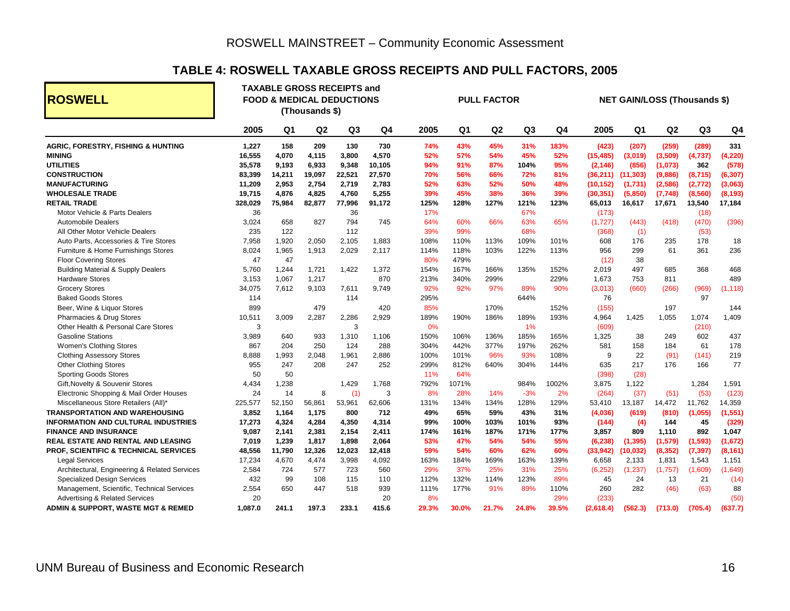#### **TABLE 4: ROSWELL TAXABLE GROSS RECEIPTS AND PULL FACTORS, 2005**

<span id="page-19-0"></span>

| <b>ROSWELL</b>                                   |         | <b>TAXABLE GROSS RECEIPTS and</b><br><b>FOOD &amp; MEDICAL DEDUCTIONS</b><br><b>PULL FACTOR</b><br><b>NET GAIN/LOSS (Thousands \$)</b><br>(Thousands \$) |                |                |        |       |                |                |                |                |           |           |          |                |          |
|--------------------------------------------------|---------|----------------------------------------------------------------------------------------------------------------------------------------------------------|----------------|----------------|--------|-------|----------------|----------------|----------------|----------------|-----------|-----------|----------|----------------|----------|
|                                                  | 2005    | Q <sub>1</sub>                                                                                                                                           | Q <sub>2</sub> | Q <sub>3</sub> | Q4     | 2005  | Q <sub>1</sub> | Q <sub>2</sub> | Q <sub>3</sub> | Q <sub>4</sub> | 2005      | Q1        | Q2       | Q <sub>3</sub> | Q4       |
| <b>AGRIC, FORESTRY, FISHING &amp; HUNTING</b>    | 1,227   | 158                                                                                                                                                      | 209            | 130            | 730    | 74%   | 43%            | 45%            | 31%            | 183%           | (423)     | (207)     | (259)    | (289)          | 331      |
| <b>MINING</b>                                    | 16,555  | 4,070                                                                                                                                                    | 4,115          | 3,800          | 4,570  | 52%   | 57%            | 54%            | 45%            | 52%            | (15, 485) | (3,019)   | (3,509)  | (4,737)        | (4, 220) |
| <b>UTILITIES</b>                                 | 35,578  | 9,193                                                                                                                                                    | 6,933          | 9,348          | 10,105 | 94%   | 91%            | 87%            | 104%           | 95%            | (2, 146)  | (856)     | (1,073)  | 362            | (578)    |
| <b>CONSTRUCTION</b>                              | 83,399  | 14,211                                                                                                                                                   | 19,097         | 22,521         | 27,570 | 70%   | 56%            | 66%            | 72%            | 81%            | (36,211)  | (11, 303) | (9,886)  | (8,715)        | (6, 307) |
| <b>MANUFACTURING</b>                             | 11,209  | 2,953                                                                                                                                                    | 2,754          | 2,719          | 2,783  | 52%   | 63%            | 52%            | 50%            | 48%            | (10, 152) | (1,731)   | (2,586)  | (2, 772)       | (3,063)  |
| <b>WHOLESALE TRADE</b>                           | 19,715  | 4,876                                                                                                                                                    | 4,825          | 4,760          | 5,255  | 39%   | 45%            | 38%            | 36%            | 39%            | (30, 351) | (5,850)   | (7,748)  | (8,560)        | (8, 193) |
| <b>RETAIL TRADE</b>                              | 328,029 | 75,984                                                                                                                                                   | 82,877         | 77,996         | 91,172 | 125%  | 128%           | 127%           | 121%           | 123%           | 65,013    | 16,617    | 17,671   | 13,540         | 17,184   |
| Motor Vehicle & Parts Dealers                    | 36      |                                                                                                                                                          |                | 36             |        | 17%   |                |                | 67%            |                | (173)     |           |          | (18)           |          |
| <b>Automobile Dealers</b>                        | 3,024   | 658                                                                                                                                                      | 827            | 794            | 745    | 64%   | 60%            | 66%            | 63%            | 65%            | (1,727)   | (443)     | (418)    | (470)          | (396)    |
| All Other Motor Vehicle Dealers                  | 235     | 122                                                                                                                                                      |                | 112            |        | 39%   | 99%            |                | 68%            |                | (368)     | (1)       |          | (53)           |          |
| Auto Parts, Accessories & Tire Stores            | 7,958   | 1,920                                                                                                                                                    | 2,050          | 2,105          | 1,883  | 108%  | 110%           | 113%           | 109%           | 101%           | 608       | 176       | 235      | 178            | 18       |
| Furniture & Home Furnishings Stores              | 8,024   | 1,965                                                                                                                                                    | 1,913          | 2,029          | 2,117  | 114%  | 118%           | 103%           | 122%           | 113%           | 956       | 299       | 61       | 361            | 236      |
| <b>Floor Covering Stores</b>                     | 47      | 47                                                                                                                                                       |                |                |        | 80%   | 479%           |                |                |                | (12)      | 38        |          |                |          |
| <b>Building Material &amp; Supply Dealers</b>    | 5,760   | 1,244                                                                                                                                                    | 1,721          | 1,422          | 1,372  | 154%  | 167%           | 166%           | 135%           | 152%           | 2,019     | 497       | 685      | 368            | 468      |
| <b>Hardware Stores</b>                           | 3,153   | 1,067                                                                                                                                                    | 1,217          |                | 870    | 213%  | 340%           | 299%           |                | 229%           | 1,673     | 753       | 811      |                | 489      |
| <b>Grocery Stores</b>                            | 34,075  | 7,612                                                                                                                                                    | 9,103          | 7,611          | 9,749  | 92%   | 92%            | 97%            | 89%            | 90%            | (3,013)   | (660)     | (266)    | (969)          | (1, 118) |
| <b>Baked Goods Stores</b>                        | 114     |                                                                                                                                                          |                | 114            |        | 295%  |                |                | 644%           |                | 76        |           |          | 97             |          |
| Beer, Wine & Liquor Stores                       | 899     |                                                                                                                                                          | 479            |                | 420    | 85%   |                | 170%           |                | 152%           | (155)     |           | 197      |                | 144      |
| Pharmacies & Drug Stores                         | 10,511  | 3,009                                                                                                                                                    | 2,287          | 2,286          | 2,929  | 189%  | 190%           | 186%           | 189%           | 193%           | 4,964     | 1,425     | 1,055    | 1,074          | 1,409    |
| Other Health & Personal Care Stores              | 3       |                                                                                                                                                          |                | 3              |        | 0%    |                |                | 1%             |                | (609)     |           |          | (210)          |          |
| <b>Gasoline Stations</b>                         | 3.989   | 640                                                                                                                                                      | 933            | 1,310          | 1,106  | 150%  | 106%           | 136%           | 185%           | 165%           | 1,325     | 38        | 249      | 602            | 437      |
| <b>Women's Clothing Stores</b>                   | 867     | 204                                                                                                                                                      | 250            | 124            | 288    | 304%  | 442%           | 377%           | 197%           | 262%           | 581       | 158       | 184      | 61             | 178      |
| <b>Clothing Assessory Stores</b>                 | 8,888   | 1,993                                                                                                                                                    | 2,048          | 1,961          | 2,886  | 100%  | 101%           | 96%            | 93%            | 108%           | 9         | 22        | (91)     | (141)          | 219      |
| <b>Other Clothing Stores</b>                     | 955     | 247                                                                                                                                                      | 208            | 247            | 252    | 299%  | 812%           | 640%           | 304%           | 144%           | 635       | 217       | 176      | 166            | 77       |
| <b>Sporting Goods Stores</b>                     | 50      | 50                                                                                                                                                       |                |                |        | 11%   | 64%            |                |                |                | (398)     | (28)      |          |                |          |
| Gift, Novelty & Souvenir Stores                  | 4,434   | 1,238                                                                                                                                                    |                | 1,429          | 1,768  | 792%  | 1071%          |                | 984%           | 1002%          | 3,875     | 1,122     |          | 1,284          | 1,591    |
| Electronic Shopping & Mail Order Houses          | 24      | 14                                                                                                                                                       | 8              | (1)            | 3      | 8%    | 28%            | 14%            | $-3%$          | 2%             | (264)     | (37)      | (51)     | (53)           | (123)    |
| Miscellaneous Store Retailers (All)*             | 225,577 | 52,150                                                                                                                                                   | 56,861         | 53,961         | 62,606 | 131%  | 134%           | 134%           | 128%           | 129%           | 53,410    | 13,187    | 14,472   | 11,762         | 14,359   |
| <b>TRANSPORTATION AND WAREHOUSING</b>            | 3,852   | 1,164                                                                                                                                                    | 1,175          | 800            | 712    | 49%   | 65%            | 59%            | 43%            | 31%            | (4,036)   | (619)     | (810)    | (1,055)        | (1, 551) |
| <b>INFORMATION AND CULTURAL INDUSTRIES</b>       | 17,273  | 4,324                                                                                                                                                    | 4,284          | 4,350          | 4,314  | 99%   | 100%           | 103%           | 101%           | 93%            | (144)     | (4)       | 144      | 45             | (329)    |
| <b>FINANCE AND INSURANCE</b>                     | 9,087   | 2,141                                                                                                                                                    | 2,381          | 2,154          | 2,411  | 174%  | 161%           | 187%           | 171%           | 177%           | 3,857     | 809       | 1,110    | 892            | 1,047    |
| REAL ESTATE AND RENTAL AND LEASING               | 7,019   | 1,239                                                                                                                                                    | 1,817          | 1,898          | 2,064  | 53%   | 47%            | 54%            | 54%            | 55%            | (6, 238)  | (1, 395)  | (1, 579) | (1, 593)       | (1,672)  |
| <b>PROF, SCIENTIFIC &amp; TECHNICAL SERVICES</b> | 48,556  | 11,790                                                                                                                                                   | 12,326         | 12,023         | 12,418 | 59%   | 54%            | 60%            | 62%            | 60%            | (33, 942) | (10, 032) | (8, 352) | (7, 397)       | (8, 161) |
| <b>Legal Services</b>                            | 17,234  | 4,670                                                                                                                                                    | 4,474          | 3,998          | 4,092  | 163%  | 184%           | 169%           | 163%           | 139%           | 6,658     | 2,133     | 1,831    | 1,543          | 1,151    |
| Architectural, Engineering & Related Services    | 2,584   | 724                                                                                                                                                      | 577            | 723            | 560    | 29%   | 37%            | 25%            | 31%            | 25%            | (6, 252)  | (1, 237)  | (1,757)  | (1,609)        | (1,649)  |
| <b>Specialized Design Services</b>               | 432     | 99                                                                                                                                                       | 108            | 115            | 110    | 112%  | 132%           | 114%           | 123%           | 89%            | 45        | 24        | 13       | 21             | (14)     |
| Management, Scientific, Technical Services       | 2,554   | 650                                                                                                                                                      | 447            | 518            | 939    | 111%  | 177%           | 91%            | 89%            | 110%           | 260       | 282       | (46)     | (63)           | 88       |
| <b>Advertising &amp; Related Services</b>        | 20      |                                                                                                                                                          |                |                | 20     | 8%    |                |                |                | 29%            | (233)     |           |          |                | (50)     |
| ADMIN & SUPPORT, WASTE MGT & REMED               | 1,087.0 | 241.1                                                                                                                                                    | 197.3          | 233.1          | 415.6  | 29.3% | 30.0%          | 21.7%          | 24.8%          | 39.5%          | (2,618.4) | (562.3)   | (713.0)  | (705.4)        | (637.7)  |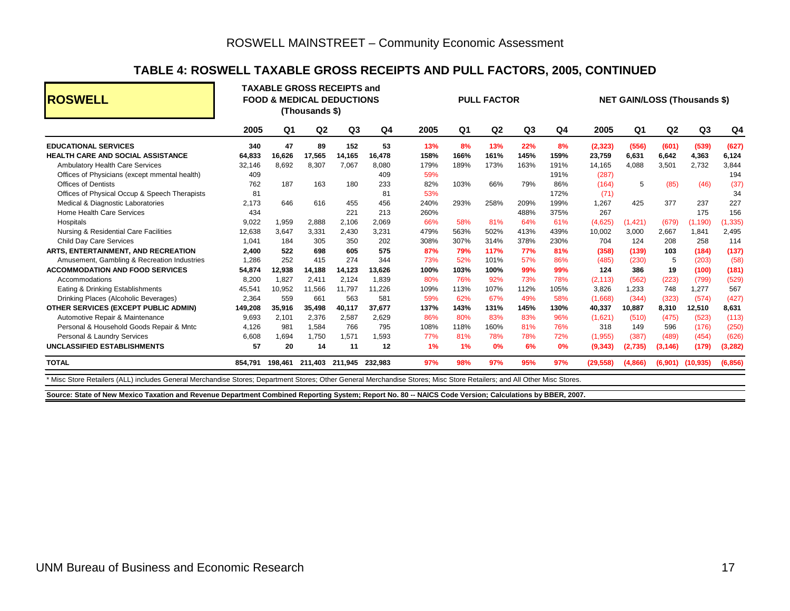#### **TABLE 4: ROSWELL TAXABLE GROSS RECEIPTS AND PULL FACTORS, 2005, CONTINUED**

| <b>ROSWELL</b>                                                                                                                                                          |         | <b>TAXABLE GROSS RECEIPTS and</b><br><b>FOOD &amp; MEDICAL DEDUCTIONS</b><br>(Thousands \$) |         |                |         | <b>PULL FACTOR</b> |                |                |                |      | <b>NET GAIN/LOSS (Thousands \$)</b> |                |                |                      |          |
|-------------------------------------------------------------------------------------------------------------------------------------------------------------------------|---------|---------------------------------------------------------------------------------------------|---------|----------------|---------|--------------------|----------------|----------------|----------------|------|-------------------------------------|----------------|----------------|----------------------|----------|
|                                                                                                                                                                         | 2005    | Q <sub>1</sub>                                                                              | Q2      | Q <sub>3</sub> | Q4      | 2005               | Q <sub>1</sub> | Q <sub>2</sub> | Q <sub>3</sub> | Q4   | 2005                                | Q <sub>1</sub> | Q <sub>2</sub> | Q <sub>3</sub>       | Q4       |
| <b>EDUCATIONAL SERVICES</b>                                                                                                                                             | 340     | 47                                                                                          | 89      | 152            | 53      | 13%                | 8%             | 13%            | 22%            | 8%   | (2,323)                             | (556)          | (601)          | (539)                | (627)    |
| <b>HEALTH CARE AND SOCIAL ASSISTANCE</b>                                                                                                                                | 64,833  | 16,626                                                                                      | 17,565  | 14,165         | 16,478  | 158%               | 166%           | 161%           | 145%           | 159% | 23,759                              | 6,631          | 6,642          | 4,363                | 6,124    |
| <b>Ambulatory Health Care Services</b>                                                                                                                                  | 32,146  | 8.692                                                                                       | 8,307   | 7,067          | 8,080   | 179%               | 189%           | 173%           | 163%           | 191% | 14,165                              | 4.088          | 3,501          | 2,732                | 3,844    |
| Offices of Physicians (except mmental health)                                                                                                                           | 409     |                                                                                             |         |                | 409     | 59%                |                |                |                | 191% | (287)                               |                |                |                      | 194      |
| <b>Offices of Dentists</b>                                                                                                                                              | 762     | 187                                                                                         | 163     | 180            | 233     | 82%                | 103%           | 66%            | 79%            | 86%  | (164)                               | 5              | (85)           | (46)                 | (37)     |
| Offices of Physical Occup & Speech Therapists                                                                                                                           | 81      |                                                                                             |         |                | 81      | 53%                |                |                |                | 172% | (71)                                |                |                |                      | 34       |
| Medical & Diagnostic Laboratories                                                                                                                                       | 2,173   | 646                                                                                         | 616     | 455            | 456     | 240%               | 293%           | 258%           | 209%           | 199% | 1,267                               | 425            | 377            | 237                  | 227      |
| Home Health Care Services                                                                                                                                               | 434     |                                                                                             |         | 221            | 213     | 260%               |                |                | 488%           | 375% | 267                                 |                |                | 175                  | 156      |
| Hospitals                                                                                                                                                               | 9,022   | 1,959                                                                                       | 2.888   | 2.106          | 2,069   | 66%                | 58%            | 81%            | 64%            | 61%  | (4,625)                             | (1, 421)       | (679)          | (1, 190)             | (1, 335) |
| Nursing & Residential Care Facilities                                                                                                                                   | 12,638  | 3.647                                                                                       | 3,331   | 2,430          | 3,231   | 479%               | 563%           | 502%           | 413%           | 439% | 10,002                              | 3,000          | 2,667          | 1,841                | 2,495    |
| <b>Child Day Care Services</b>                                                                                                                                          | 1,041   | 184                                                                                         | 305     | 350            | 202     | 308%               | 307%           | 314%           | 378%           | 230% | 704                                 | 124            | 208            | 258                  | 114      |
| ARTS, ENTERTAINMENT, AND RECREATION                                                                                                                                     | 2,400   | 522                                                                                         | 698     | 605            | 575     | 87%                | 79%            | 117%           | 77%            | 81%  | (358)                               | (139)          | 103            | (184)                | (137)    |
| Amusement, Gambling & Recreation Industries                                                                                                                             | 1,286   | 252                                                                                         | 415     | 274            | 344     | 73%                | 52%            | 101%           | 57%            | 86%  | (485)                               | (230)          | 5              | (203)                | (58)     |
| <b>ACCOMMODATION AND FOOD SERVICES</b>                                                                                                                                  | 54,874  | 12,938                                                                                      | 14,188  | 14,123         | 13,626  | 100%               | 103%           | 100%           | 99%            | 99%  | 124                                 | 386            | 19             | (100)                | (181)    |
| Accommodations                                                                                                                                                          | 8,200   | 1,827                                                                                       | 2,411   | 2,124          | 1.839   | 80%                | 76%            | 92%            | 73%            | 78%  | (2, 113)                            | (562)          | (223)          | (799)                | (529)    |
| Eating & Drinking Establishments                                                                                                                                        | 45.541  | 10,952                                                                                      | 11.566  | 11.797         | 11.226  | 109%               | 113%           | 107%           | 112%           | 105% | 3,826                               | 1.233          | 748            | 1,277                | 567      |
| Drinking Places (Alcoholic Beverages)                                                                                                                                   | 2,364   | 559                                                                                         | 661     | 563            | 581     | 59%                | 62%            | 67%            | 49%            | 58%  | (1,668)                             | (344)          | (323)          | (574)                | (427)    |
| OTHER SERVICES (EXCEPT PUBLIC ADMIN)                                                                                                                                    | 149,208 | 35,916                                                                                      | 35,498  | 40,117         | 37,677  | 137%               | 143%           | 131%           | 145%           | 130% | 40,337                              | 10,887         | 8,310          | 12,510               | 8,631    |
| Automotive Repair & Maintenance                                                                                                                                         | 9,693   | 2,101                                                                                       | 2,376   | 2,587          | 2,629   | 86%                | 80%            | 83%            | 83%            | 96%  | (1,621)                             | (510)          | (475)          | (523)                | (113)    |
| Personal & Household Goods Repair & Mntc                                                                                                                                | 4.126   | 981                                                                                         | 1.584   | 766            | 795     | 108%               | 118%           | 160%           | 81%            | 76%  | 318                                 | 149            | 596            | (176)                | (250)    |
| Personal & Laundry Services                                                                                                                                             | 6,608   | 1,694                                                                                       | 1,750   | 1,571          | 1,593   | 77%                | 81%            | 78%            | 78%            | 72%  | (1,955)                             | (387)          | (489)          | (454)                | (626)    |
| <b>UNCLASSIFIED ESTABLISHMENTS</b>                                                                                                                                      | 57      | 20                                                                                          | 14      | 11             | 12      | 1%                 | 1%             | 0%             | 6%             | 0%   | (9,343)                             | (2,735)        | (3, 146)       | (179)                | (3, 282) |
| <b>TOTAL</b>                                                                                                                                                            | 854,791 | 198,461                                                                                     | 211,403 | 211,945        | 232,983 | 97%                | 98%            | 97%            | 95%            | 97%  | (29, 558)                           | (4,866)        |                | $(6,901)$ $(10,935)$ | (6, 856) |
| * Misc Store Retailers (ALL) includes General Merchandise Stores; Department Stores; Other General Merchandise Stores; Misc Store Retailers; and All Other Misc Stores. |         |                                                                                             |         |                |         |                    |                |                |                |      |                                     |                |                |                      |          |

**Source: State of New Mexico Taxation and Revenue Department Combined Reporting System; Report No. 80 -- NAICS Code Version; Calculations by BBER, 2007.**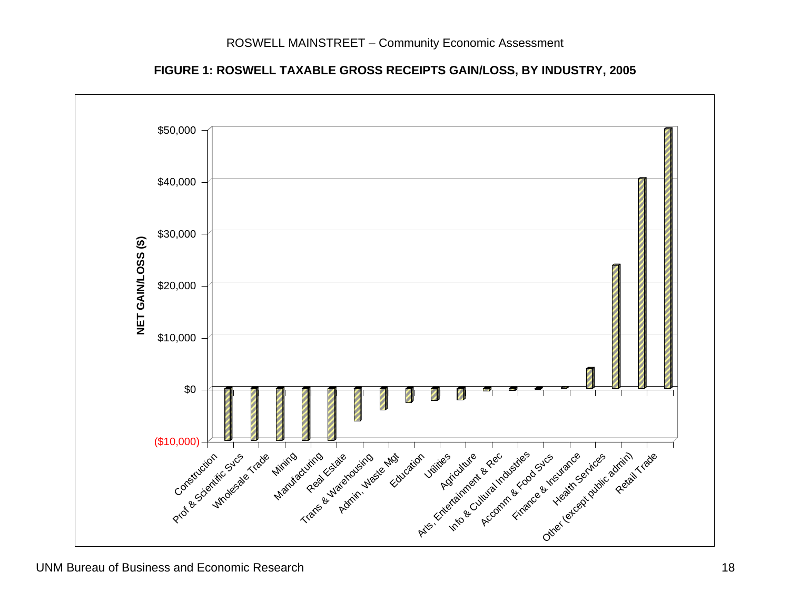**FIGURE 1: ROSWELL TAXABLE GROSS RECEIPTS GAIN/LOSS, BY INDUSTRY, 2005** 

<span id="page-21-0"></span>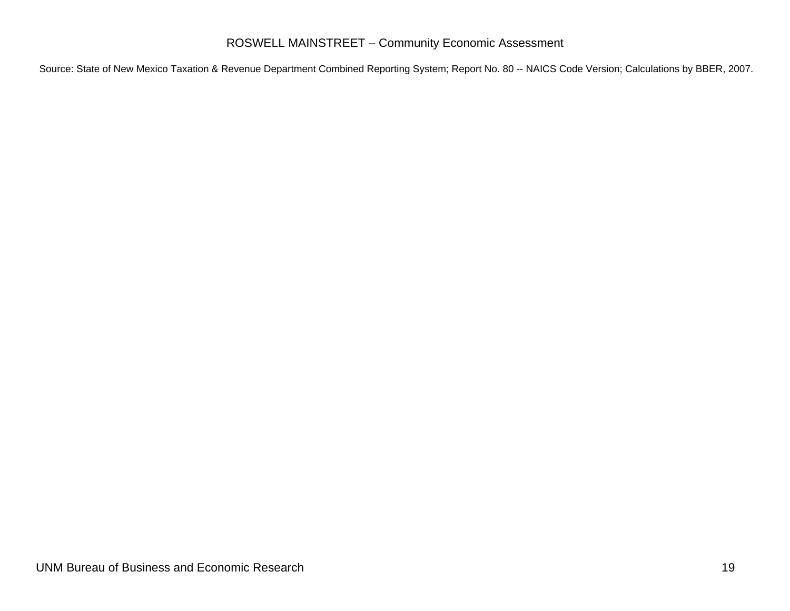#### ROSWELL MAINSTREET – Community Economic Assessment

<span id="page-22-0"></span>Source: State of New Mexico Taxation & Revenue Department Combined Reporting System; Report No. 80 -- NAICS Code Version; Calculations by BBER, 2007.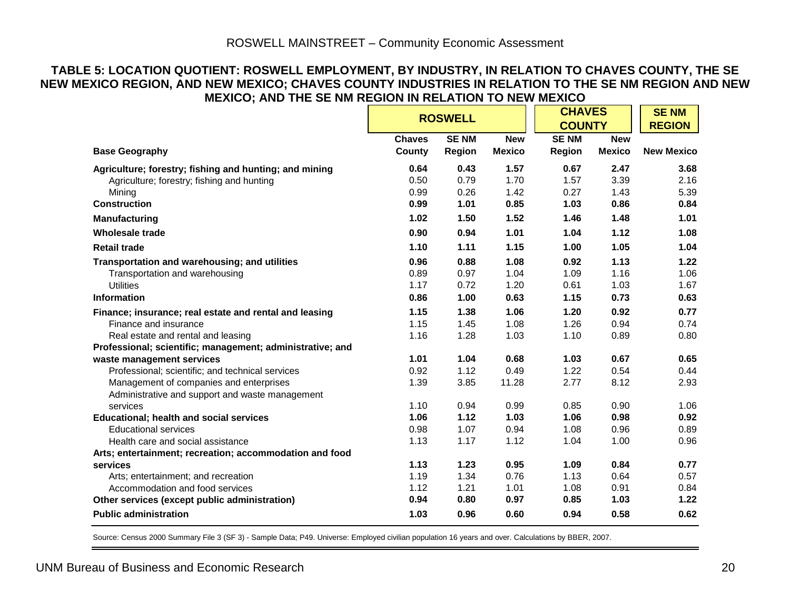#### **TABLE 5: LOCATION QUOTIENT: ROSWELL EMPLOYMENT, BY INDUSTRY, IN RELATION TO CHAVES COUNTY, THE SE NEW MEXICO REGION, AND NEW MEXICO; CHAVES COUNTY INDUSTRIES IN RELATION TO THE SE NM REGION AND NEW MEXICO; AND THE SE NM REGION IN RELATION TO NEW MEXICO**

|                                                           | <b>ROSWELL</b> |             |               | <b>CHAVES</b> | <b>SENM</b>   |                   |
|-----------------------------------------------------------|----------------|-------------|---------------|---------------|---------------|-------------------|
|                                                           |                |             |               | <b>COUNTY</b> |               | <b>REGION</b>     |
|                                                           | <b>Chaves</b>  | <b>SENM</b> | <b>New</b>    | <b>SENM</b>   | <b>New</b>    |                   |
| <b>Base Geography</b>                                     | County         | Region      | <b>Mexico</b> | Region        | <b>Mexico</b> | <b>New Mexico</b> |
| Agriculture; forestry; fishing and hunting; and mining    | 0.64           | 0.43        | 1.57          | 0.67          | 2.47          | 3.68              |
| Agriculture; forestry; fishing and hunting                | 0.50           | 0.79        | 1.70          | 1.57          | 3.39          | 2.16              |
| Mining                                                    | 0.99           | 0.26        | 1.42          | 0.27          | 1.43          | 5.39              |
| <b>Construction</b>                                       | 0.99           | 1.01        | 0.85          | 1.03          | 0.86          | 0.84              |
| <b>Manufacturing</b>                                      | 1.02           | 1.50        | 1.52          | 1.46          | 1.48          | 1.01              |
| <b>Wholesale trade</b>                                    | 0.90           | 0.94        | 1.01          | 1.04          | 1.12          | 1.08              |
| <b>Retail trade</b>                                       | 1.10           | 1.11        | 1.15          | 1.00          | 1.05          | 1.04              |
| Transportation and warehousing; and utilities             | 0.96           | 0.88        | 1.08          | 0.92          | 1.13          | 1.22              |
| Transportation and warehousing                            | 0.89           | 0.97        | 1.04          | 1.09          | 1.16          | 1.06              |
| <b>Utilities</b>                                          | 1.17           | 0.72        | 1.20          | 0.61          | 1.03          | 1.67              |
| <b>Information</b>                                        | 0.86           | 1.00        | 0.63          | 1.15          | 0.73          | 0.63              |
| Finance; insurance; real estate and rental and leasing    | 1.15           | 1.38        | 1.06          | 1.20          | 0.92          | 0.77              |
| Finance and insurance                                     | 1.15           | 1.45        | 1.08          | 1.26          | 0.94          | 0.74              |
| Real estate and rental and leasing                        | 1.16           | 1.28        | 1.03          | 1.10          | 0.89          | 0.80              |
| Professional; scientific; management; administrative; and |                |             |               |               |               |                   |
| waste management services                                 | 1.01           | 1.04        | 0.68          | 1.03          | 0.67          | 0.65              |
| Professional; scientific; and technical services          | 0.92           | 1.12        | 0.49          | 1.22          | 0.54          | 0.44              |
| Management of companies and enterprises                   | 1.39           | 3.85        | 11.28         | 2.77          | 8.12          | 2.93              |
| Administrative and support and waste management           |                |             |               |               |               |                   |
| services                                                  | 1.10           | 0.94        | 0.99          | 0.85          | 0.90          | 1.06              |
| <b>Educational; health and social services</b>            | 1.06           | 1.12        | 1.03          | 1.06          | 0.98          | 0.92              |
| <b>Educational services</b>                               | 0.98           | 1.07        | 0.94          | 1.08          | 0.96          | 0.89              |
| Health care and social assistance                         | 1.13           | 1.17        | 1.12          | 1.04          | 1.00          | 0.96              |
| Arts; entertainment; recreation; accommodation and food   |                |             |               |               |               |                   |
| services                                                  | 1.13           | 1.23        | 0.95          | 1.09          | 0.84          | 0.77              |
| Arts; entertainment; and recreation                       | 1.19           | 1.34        | 0.76          | 1.13          | 0.64          | 0.57              |
| Accommodation and food services                           | 1.12           | 1.21        | 1.01          | 1.08          | 0.91          | 0.84              |
| Other services (except public administration)             | 0.94           | 0.80        | 0.97          | 0.85          | 1.03          | 1.22              |
| <b>Public administration</b>                              | 1.03           | 0.96        | 0.60          | 0.94          | 0.58          | 0.62              |

<span id="page-23-0"></span>Source: Census 2000 Summary File 3 (SF 3) - Sample Data; P49. Universe: Employed civilian population 16 years and over. Calculations by BBER, 2007.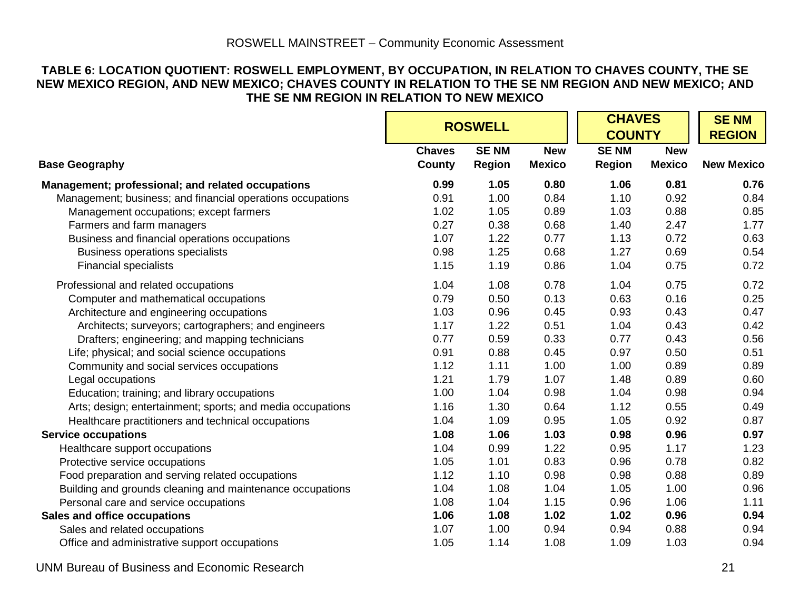#### **TABLE 6: LOCATION QUOTIENT: ROSWELL EMPLOYMENT, BY OCCUPATION, IN RELATION TO CHAVES COUNTY, THE SE NEW MEXICO REGION, AND NEW MEXICO; CHAVES COUNTY IN RELATION TO THE SE NM REGION AND NEW MEXICO; AND THE SE NM REGION IN RELATION TO NEW MEXICO**

|                                                            |                         | <b>ROSWELL</b>               |                             |                              | <b>CHAVES</b><br><b>COUNTY</b> |                   |  |
|------------------------------------------------------------|-------------------------|------------------------------|-----------------------------|------------------------------|--------------------------------|-------------------|--|
| <b>Base Geography</b>                                      | <b>Chaves</b><br>County | <b>SENM</b><br><b>Region</b> | <b>New</b><br><b>Mexico</b> | <b>SENM</b><br><b>Region</b> | <b>New</b><br><b>Mexico</b>    | <b>New Mexico</b> |  |
| Management; professional; and related occupations          | 0.99                    | 1.05                         | 0.80                        | 1.06                         | 0.81                           | 0.76              |  |
| Management; business; and financial operations occupations | 0.91                    | 1.00                         | 0.84                        | 1.10                         | 0.92                           | 0.84              |  |
| Management occupations; except farmers                     | 1.02                    | 1.05                         | 0.89                        | 1.03                         | 0.88                           | 0.85              |  |
| Farmers and farm managers                                  | 0.27                    | 0.38                         | 0.68                        | 1.40                         | 2.47                           | 1.77              |  |
| Business and financial operations occupations              | 1.07                    | 1.22                         | 0.77                        | 1.13                         | 0.72                           | 0.63              |  |
| <b>Business operations specialists</b>                     | 0.98                    | 1.25                         | 0.68                        | 1.27                         | 0.69                           | 0.54              |  |
| <b>Financial specialists</b>                               | 1.15                    | 1.19                         | 0.86                        | 1.04                         | 0.75                           | 0.72              |  |
| Professional and related occupations                       | 1.04                    | 1.08                         | 0.78                        | 1.04                         | 0.75                           | 0.72              |  |
| Computer and mathematical occupations                      | 0.79                    | 0.50                         | 0.13                        | 0.63                         | 0.16                           | 0.25              |  |
| Architecture and engineering occupations                   | 1.03                    | 0.96                         | 0.45                        | 0.93                         | 0.43                           | 0.47              |  |
| Architects; surveyors; cartographers; and engineers        | 1.17                    | 1.22                         | 0.51                        | 1.04                         | 0.43                           | 0.42              |  |
| Drafters; engineering; and mapping technicians             | 0.77                    | 0.59                         | 0.33                        | 0.77                         | 0.43                           | 0.56              |  |
| Life; physical; and social science occupations             | 0.91                    | 0.88                         | 0.45                        | 0.97                         | 0.50                           | 0.51              |  |
| Community and social services occupations                  | 1.12                    | 1.11                         | 1.00                        | 1.00                         | 0.89                           | 0.89              |  |
| Legal occupations                                          | 1.21                    | 1.79                         | 1.07                        | 1.48                         | 0.89                           | 0.60              |  |
| Education; training; and library occupations               | 1.00                    | 1.04                         | 0.98                        | 1.04                         | 0.98                           | 0.94              |  |
| Arts; design; entertainment; sports; and media occupations | 1.16                    | 1.30                         | 0.64                        | 1.12                         | 0.55                           | 0.49              |  |
| Healthcare practitioners and technical occupations         | 1.04                    | 1.09                         | 0.95                        | 1.05                         | 0.92                           | 0.87              |  |
| <b>Service occupations</b>                                 | 1.08                    | 1.06                         | 1.03                        | 0.98                         | 0.96                           | 0.97              |  |
| Healthcare support occupations                             | 1.04                    | 0.99                         | 1.22                        | 0.95                         | 1.17                           | 1.23              |  |
| Protective service occupations                             | 1.05                    | 1.01                         | 0.83                        | 0.96                         | 0.78                           | 0.82              |  |
| Food preparation and serving related occupations           | 1.12                    | 1.10                         | 0.98                        | 0.98                         | 0.88                           | 0.89              |  |
| Building and grounds cleaning and maintenance occupations  | 1.04                    | 1.08                         | 1.04                        | 1.05                         | 1.00                           | 0.96              |  |
| Personal care and service occupations                      | 1.08                    | 1.04                         | 1.15                        | 0.96                         | 1.06                           | 1.11              |  |
| <b>Sales and office occupations</b>                        | 1.06                    | 1.08                         | 1.02                        | 1.02                         | 0.96                           | 0.94              |  |
| Sales and related occupations                              | 1.07                    | 1.00                         | 0.94                        | 0.94                         | 0.88                           | 0.94              |  |
| Office and administrative support occupations              | 1.05                    | 1.14                         | 1.08                        | 1.09                         | 1.03                           | 0.94              |  |

UNM Bureau of Business and Economic Research 21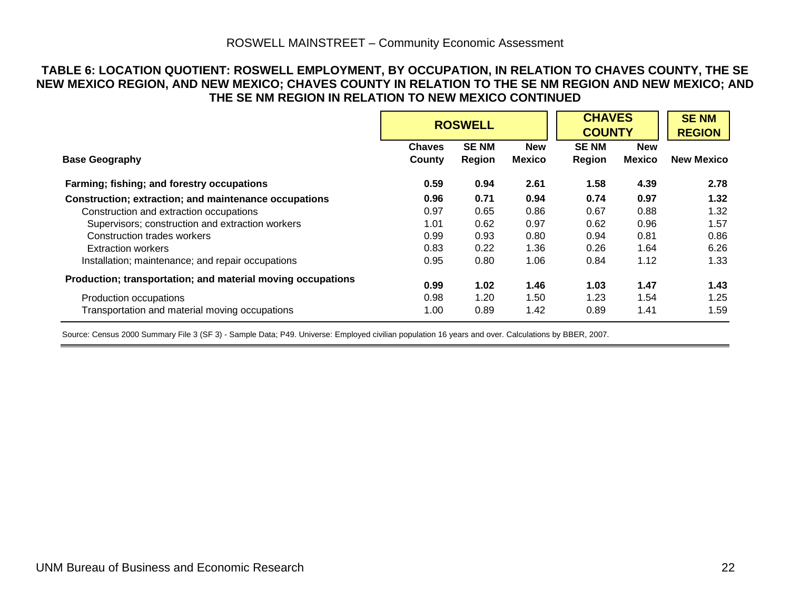#### **TABLE 6: LOCATION QUOTIENT: ROSWELL EMPLOYMENT, BY OCCUPATION, IN RELATION TO CHAVES COUNTY, THE SE NEW MEXICO REGION, AND NEW MEXICO; CHAVES COUNTY IN RELATION TO THE SE NM REGION AND NEW MEXICO; AND THE SE NM REGION IN RELATION TO NEW MEXICO CONTINUED**

|                                                             |                         | <b>ROSWELL</b>        |                             | <b>CHAVES</b><br><b>COUNTY</b> | <b>SENM</b><br><b>REGION</b> |                   |
|-------------------------------------------------------------|-------------------------|-----------------------|-----------------------------|--------------------------------|------------------------------|-------------------|
| <b>Base Geography</b>                                       | <b>Chaves</b><br>County | <b>SENM</b><br>Region | <b>New</b><br><b>Mexico</b> | <b>SENM</b><br>Region          | <b>New</b><br><b>Mexico</b>  | <b>New Mexico</b> |
| Farming; fishing; and forestry occupations                  | 0.59                    | 0.94                  | 2.61                        | 1.58                           | 4.39                         | 2.78              |
| Construction; extraction; and maintenance occupations       | 0.96                    | 0.71                  | 0.94                        | 0.74                           | 0.97                         | 1.32              |
| Construction and extraction occupations                     | 0.97                    | 0.65                  | 0.86                        | 0.67                           | 0.88                         | 1.32              |
| Supervisors; construction and extraction workers            | 1.01                    | 0.62                  | 0.97                        | 0.62                           | 0.96                         | 1.57              |
| Construction trades workers                                 | 0.99                    | 0.93                  | 0.80                        | 0.94                           | 0.81                         | 0.86              |
| <b>Extraction workers</b>                                   | 0.83                    | 0.22                  | 1.36                        | 0.26                           | 1.64                         | 6.26              |
| Installation; maintenance; and repair occupations           | 0.95                    | 0.80                  | 1.06                        | 0.84                           | 1.12                         | 1.33              |
| Production; transportation; and material moving occupations | 0.99                    | 1.02                  | 1.46                        | 1.03                           | 1.47                         | 1.43              |
| Production occupations                                      | 0.98                    | 1.20                  | 1.50                        | 1.23                           | 1.54                         | 1.25              |
| Transportation and material moving occupations              | 1.00                    | 0.89                  | 1.42                        | 0.89                           | 1.41                         | 1.59              |

<span id="page-25-0"></span>Source: Census 2000 Summary File 3 (SF 3) - Sample Data; P49. Universe: Employed civilian population 16 years and over. Calculations by BBER, 2007.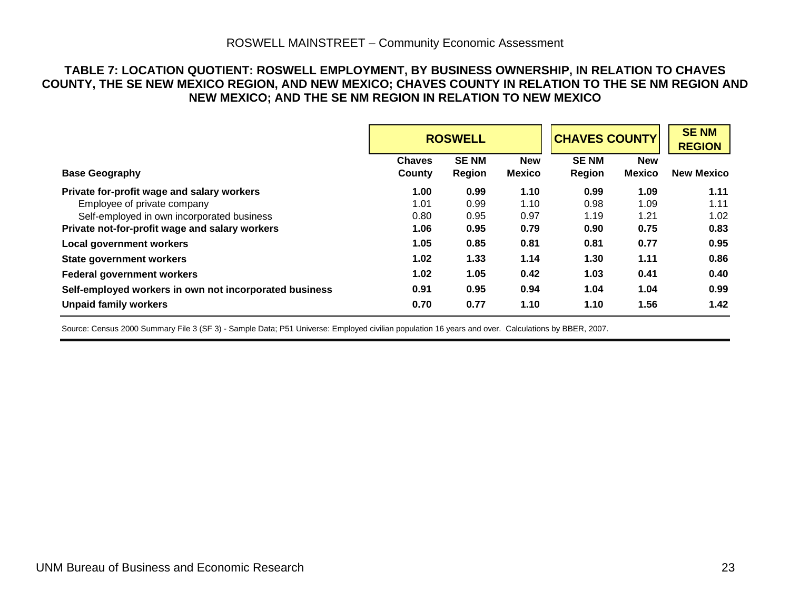#### **TABLE 7: LOCATION QUOTIENT: ROSWELL EMPLOYMENT, BY BUSINESS OWNERSHIP, IN RELATION TO CHAVES COUNTY, THE SE NEW MEXICO REGION, AND NEW MEXICO; CHAVES COUNTY IN RELATION TO THE SE NM REGION AND NEW MEXICO; AND THE SE NM REGION IN RELATION TO NEW MEXICO**

| <b>ROSWELL</b>                                         |                         |                              |                      | <b>CHAVES COUNTY</b>         |                             | <b>SENM</b><br><b>REGION</b> |
|--------------------------------------------------------|-------------------------|------------------------------|----------------------|------------------------------|-----------------------------|------------------------------|
| <b>Base Geography</b>                                  | <b>Chaves</b><br>County | <b>SENM</b><br><b>Region</b> | <b>New</b><br>Mexico | <b>SENM</b><br><b>Region</b> | <b>New</b><br><b>Mexico</b> | <b>New Mexico</b>            |
| Private for-profit wage and salary workers             | 1.00                    | 0.99                         | 1.10                 | 0.99                         | 1.09                        | 1.11                         |
| Employee of private company                            | 1.01                    | 0.99                         | 1.10                 | 0.98                         | 1.09                        | 1.11                         |
| Self-employed in own incorporated business             | 0.80                    | 0.95                         | 0.97                 | 1.19                         | 1.21                        | 1.02                         |
| Private not-for-profit wage and salary workers         | 1.06                    | 0.95                         | 0.79                 | 0.90                         | 0.75                        | 0.83                         |
| <b>Local government workers</b>                        | 1.05                    | 0.85                         | 0.81                 | 0.81                         | 0.77                        | 0.95                         |
| State government workers                               | 1.02                    | 1.33                         | 1.14                 | 1.30                         | 1.11                        | 0.86                         |
| <b>Federal government workers</b>                      | 1.02                    | 1.05                         | 0.42                 | 1.03                         | 0.41                        | 0.40                         |
| Self-employed workers in own not incorporated business | 0.91                    | 0.95                         | 0.94                 | 1.04                         | 1.04                        | 0.99                         |
| <b>Unpaid family workers</b>                           | 0.70                    | 0.77                         | 1.10                 | 1.10                         | 1.56                        | 1.42                         |

<span id="page-26-0"></span>Source: Census 2000 Summary File 3 (SF 3) - Sample Data; P51 Universe: Employed civilian population 16 years and over. Calculations by BBER, 2007.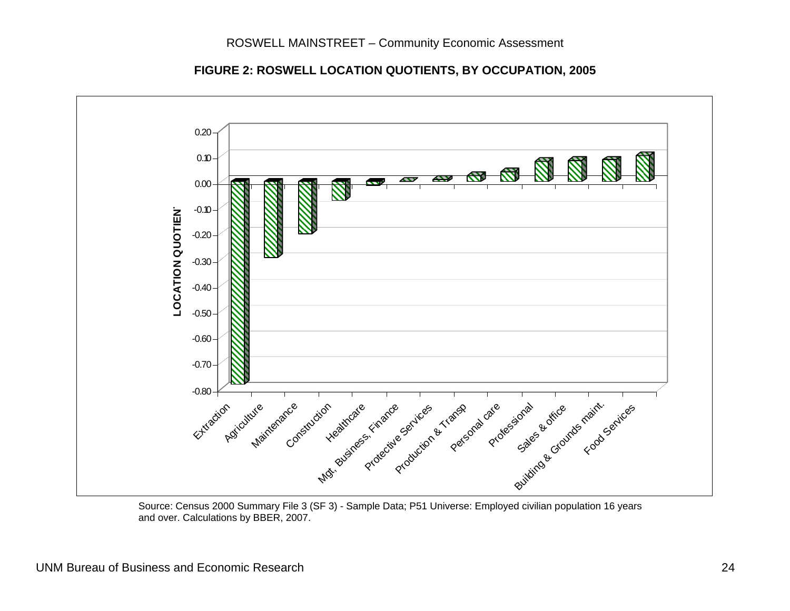

**FIGURE 2: ROSWELL LOCATION QUOTIENTS, BY OCCUPATION, 2005** 

<span id="page-27-0"></span> Source: Census 2000 Summary File 3 (SF 3) - Sample Data; P51 Universe: Employed civilian population 16 years and over. Calculations by BBER, 2007.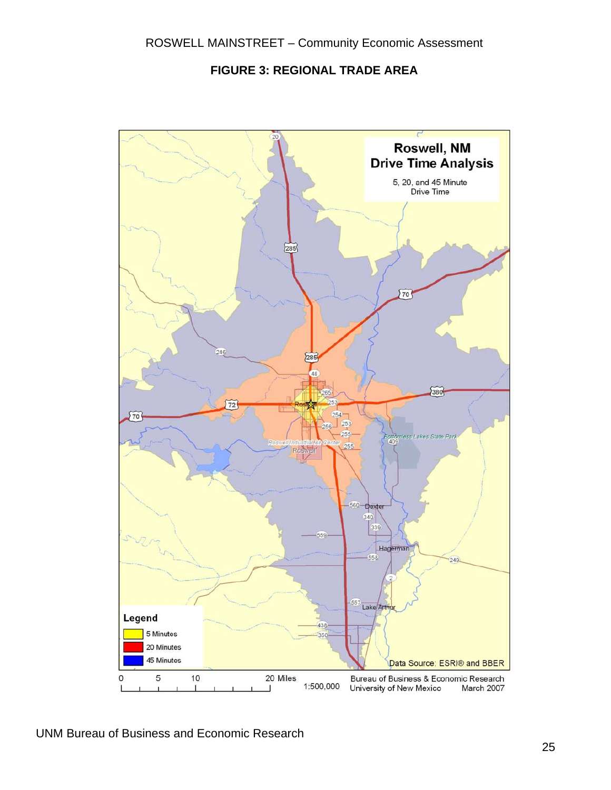**FIGURE 3: REGIONAL TRADE AREA** 

<span id="page-28-0"></span>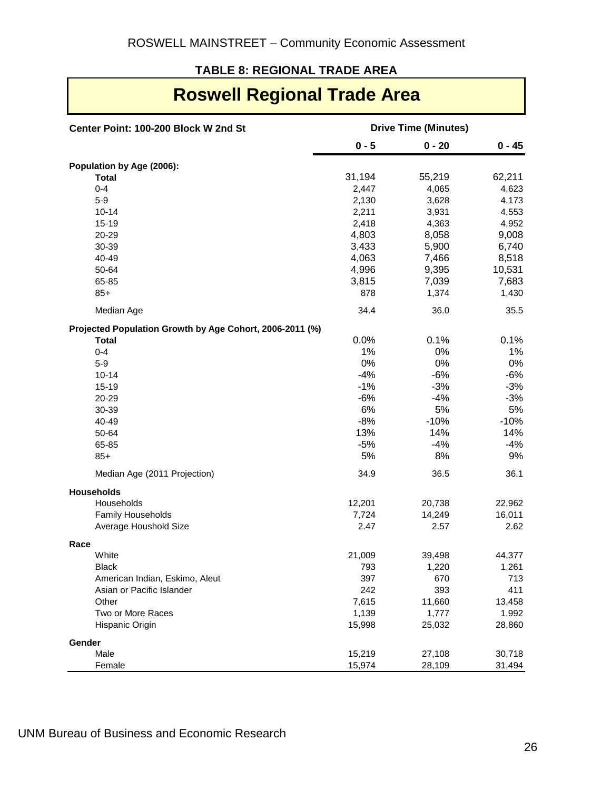#### **TABLE 8: REGIONAL TRADE AREA**

### **Roswell Regional Trade Area**

| Center Point: 100-200 Block W 2nd St                     | <b>Drive Time (Minutes)</b> |          |          |  |  |
|----------------------------------------------------------|-----------------------------|----------|----------|--|--|
|                                                          | $0 - 5$                     | $0 - 20$ | $0 - 45$ |  |  |
| Population by Age (2006):                                |                             |          |          |  |  |
| <b>Total</b>                                             | 31,194                      | 55,219   | 62,211   |  |  |
| $0 - 4$                                                  | 2,447                       | 4,065    | 4,623    |  |  |
| $5 - 9$                                                  | 2,130                       | 3,628    | 4,173    |  |  |
| $10 - 14$                                                | 2,211                       | 3,931    | 4,553    |  |  |
| $15 - 19$                                                | 2,418                       | 4,363    | 4,952    |  |  |
| 20-29                                                    | 4,803                       | 8,058    | 9,008    |  |  |
| 30-39                                                    | 3,433                       | 5,900    | 6,740    |  |  |
| 40-49                                                    | 4,063                       | 7,466    | 8,518    |  |  |
| 50-64                                                    | 4,996                       | 9,395    | 10,531   |  |  |
| 65-85                                                    | 3,815                       | 7,039    | 7,683    |  |  |
| $85+$                                                    | 878                         | 1,374    | 1,430    |  |  |
| Median Age                                               | 34.4                        | 36.0     | 35.5     |  |  |
| Projected Population Growth by Age Cohort, 2006-2011 (%) |                             |          |          |  |  |
| <b>Total</b>                                             | 0.0%                        | 0.1%     | 0.1%     |  |  |
| $0 - 4$                                                  | 1%                          | 0%       | 1%       |  |  |
| $5-9$                                                    | 0%                          | 0%       | 0%       |  |  |
| $10 - 14$                                                | $-4%$                       | $-6%$    | $-6%$    |  |  |
| $15 - 19$                                                | $-1%$                       | $-3%$    | $-3%$    |  |  |
| 20-29                                                    | $-6%$                       | $-4%$    | $-3%$    |  |  |
| 30-39                                                    | 6%                          | 5%       | 5%       |  |  |
| 40-49                                                    | $-8%$                       | $-10%$   | $-10%$   |  |  |
| 50-64                                                    | 13%                         | 14%      | 14%      |  |  |
| 65-85                                                    | $-5%$                       | $-4%$    | $-4%$    |  |  |
| $85+$                                                    | 5%                          | 8%       | 9%       |  |  |
| Median Age (2011 Projection)                             | 34.9                        | 36.5     | 36.1     |  |  |
| <b>Households</b>                                        |                             |          |          |  |  |
| Households                                               | 12,201                      | 20,738   | 22,962   |  |  |
| Family Households                                        | 7,724                       | 14,249   | 16,011   |  |  |
| Average Houshold Size                                    | 2.47                        | 2.57     | 2.62     |  |  |
| Race                                                     |                             |          |          |  |  |
| White                                                    | 21,009                      | 39,498   | 44,377   |  |  |
| <b>Black</b>                                             | 793                         | 1,220    | 1,261    |  |  |
| American Indian, Eskimo, Aleut                           | 397                         | 670      | 713      |  |  |
| Asian or Pacific Islander                                | 242                         | 393      | 411      |  |  |
| Other                                                    | 7,615                       | 11,660   | 13,458   |  |  |
| Two or More Races                                        | 1,139                       | 1,777    | 1,992    |  |  |
| Hispanic Origin                                          | 15,998                      | 25,032   | 28,860   |  |  |
| Gender                                                   |                             |          |          |  |  |
| Male                                                     | 15,219                      | 27,108   | 30,718   |  |  |
| Female                                                   | 15,974                      | 28,109   | 31,494   |  |  |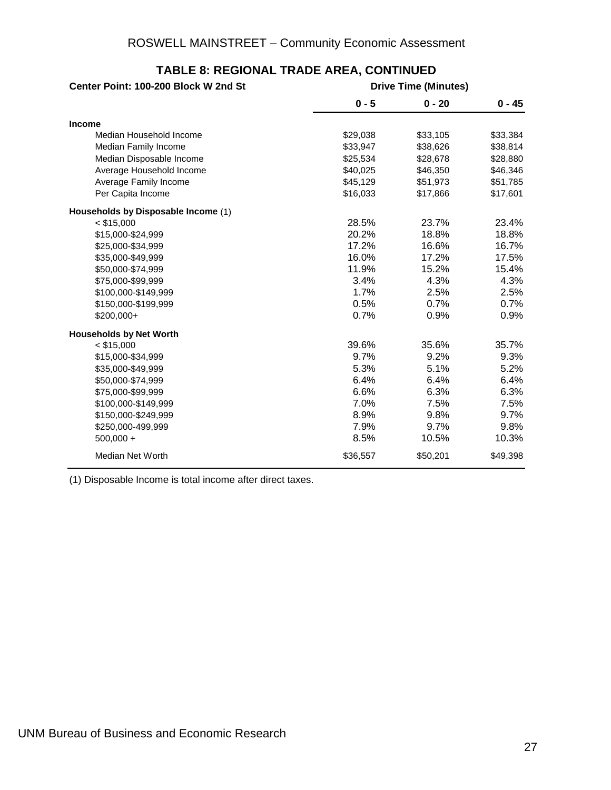| Center Point: 100-200 Block W 2nd St |          | <b>Drive Time (Minutes)</b> |          |
|--------------------------------------|----------|-----------------------------|----------|
|                                      | $0 - 5$  | $0 - 20$                    | $0 - 45$ |
| <b>Income</b>                        |          |                             |          |
| Median Household Income              | \$29,038 | \$33,105                    | \$33,384 |
| Median Family Income                 | \$33,947 | \$38,626                    | \$38,814 |
| Median Disposable Income             | \$25,534 | \$28,678                    | \$28,880 |
| Average Household Income             | \$40,025 | \$46,350                    | \$46,346 |
| Average Family Income                | \$45,129 | \$51,973                    | \$51,785 |
| Per Capita Income                    | \$16,033 | \$17,866                    | \$17,601 |
| Households by Disposable Income (1)  |          |                             |          |
| $<$ \$15,000                         | 28.5%    | 23.7%                       | 23.4%    |
| \$15,000-\$24,999                    | 20.2%    | 18.8%                       | 18.8%    |
| \$25,000-\$34,999                    | 17.2%    | 16.6%                       | 16.7%    |
| \$35,000-\$49,999                    | 16.0%    | 17.2%                       | 17.5%    |
| \$50,000-\$74,999                    | 11.9%    | 15.2%                       | 15.4%    |
| \$75,000-\$99,999                    | 3.4%     | 4.3%                        | 4.3%     |
| \$100,000-\$149,999                  | 1.7%     | 2.5%                        | 2.5%     |
| \$150,000-\$199,999                  | 0.5%     | 0.7%                        | 0.7%     |
| \$200,000+                           | 0.7%     | 0.9%                        | 0.9%     |
| <b>Households by Net Worth</b>       |          |                             |          |
| $<$ \$15,000                         | 39.6%    | 35.6%                       | 35.7%    |
| \$15,000-\$34,999                    | 9.7%     | 9.2%                        | 9.3%     |
| \$35,000-\$49,999                    | 5.3%     | 5.1%                        | 5.2%     |
| \$50,000-\$74,999                    | 6.4%     | 6.4%                        | 6.4%     |
| \$75,000-\$99,999                    | 6.6%     | 6.3%                        | 6.3%     |
| \$100,000-\$149,999                  | 7.0%     | 7.5%                        | 7.5%     |
| \$150,000-\$249,999                  | 8.9%     | 9.8%                        | 9.7%     |
| \$250,000-499,999                    | 7.9%     | 9.7%                        | 9.8%     |
| $500,000 +$                          | 8.5%     | 10.5%                       | 10.3%    |
| Median Net Worth                     | \$36,557 | \$50,201                    | \$49,398 |

#### **TABLE 8: REGIONAL TRADE AREA, CONTINUED**

(1) Disposable Income is total income after direct taxes.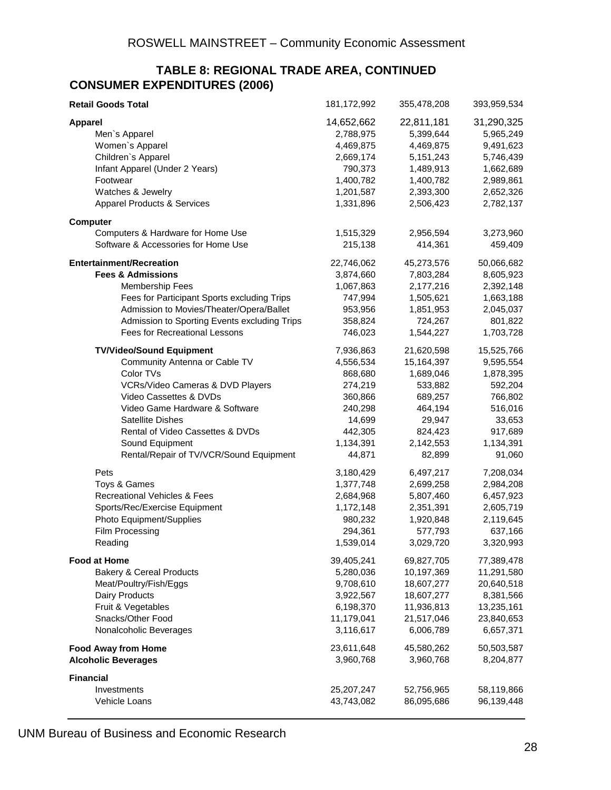#### **CONSUMER EXPENDITURES (2006) TABLE 8: REGIONAL TRADE AREA, CONTINUED**

| <b>Retail Goods Total</b>                    | 181, 172, 992 | 355,478,208 | 393,959,534 |
|----------------------------------------------|---------------|-------------|-------------|
| <b>Apparel</b>                               | 14,652,662    | 22,811,181  | 31,290,325  |
| Men's Apparel                                | 2,788,975     | 5,399,644   | 5,965,249   |
| Women's Apparel                              | 4,469,875     | 4,469,875   | 9,491,623   |
| Children's Apparel                           | 2,669,174     | 5,151,243   | 5,746,439   |
| Infant Apparel (Under 2 Years)               | 790,373       | 1,489,913   | 1,662,689   |
| Footwear                                     | 1,400,782     | 1,400,782   | 2,989,861   |
| Watches & Jewelry                            | 1,201,587     | 2,393,300   | 2,652,326   |
| <b>Apparel Products &amp; Services</b>       | 1,331,896     | 2,506,423   | 2,782,137   |
| <b>Computer</b>                              |               |             |             |
| Computers & Hardware for Home Use            | 1,515,329     | 2,956,594   | 3,273,960   |
| Software & Accessories for Home Use          | 215,138       | 414,361     | 459,409     |
| <b>Entertainment/Recreation</b>              | 22,746,062    | 45,273,576  | 50,066,682  |
| <b>Fees &amp; Admissions</b>                 | 3,874,660     | 7,803,284   | 8,605,923   |
| <b>Membership Fees</b>                       | 1,067,863     | 2,177,216   | 2,392,148   |
| Fees for Participant Sports excluding Trips  | 747,994       | 1,505,621   | 1,663,188   |
| Admission to Movies/Theater/Opera/Ballet     | 953,956       | 1,851,953   | 2,045,037   |
| Admission to Sporting Events excluding Trips | 358,824       | 724,267     | 801,822     |
| <b>Fees for Recreational Lessons</b>         | 746,023       | 1,544,227   | 1,703,728   |
| <b>TV/Video/Sound Equipment</b>              | 7,936,863     | 21,620,598  | 15,525,766  |
| Community Antenna or Cable TV                | 4,556,534     | 15,164,397  | 9,595,554   |
| Color TVs                                    | 868,680       | 1,689,046   | 1,878,395   |
| VCRs/Video Cameras & DVD Players             | 274,219       | 533,882     | 592,204     |
| Video Cassettes & DVDs                       | 360,866       | 689,257     | 766,802     |
| Video Game Hardware & Software               | 240,298       | 464,194     | 516,016     |
| <b>Satellite Dishes</b>                      | 14,699        | 29,947      | 33,653      |
| Rental of Video Cassettes & DVDs             | 442,305       | 824,423     | 917,689     |
| Sound Equipment                              | 1,134,391     | 2,142,553   | 1,134,391   |
| Rental/Repair of TV/VCR/Sound Equipment      | 44,871        | 82,899      | 91,060      |
| Pets                                         | 3,180,429     | 6,497,217   | 7,208,034   |
| Toys & Games                                 | 1,377,748     | 2,699,258   | 2,984,208   |
| Recreational Vehicles & Fees                 | 2,684,968     | 5,807,460   | 6,457,923   |
| Sports/Rec/Exercise Equipment                | 1,172,148     | 2,351,391   | 2,605,719   |
| Photo Equipment/Supplies                     | 980,232       | 1,920,848   | 2,119,645   |
| Film Processing                              | 294,361       | 577,793     | 637,166     |
| Reading                                      | 1,539,014     | 3,029,720   | 3,320,993   |
| <b>Food at Home</b>                          | 39,405,241    | 69,827,705  | 77,389,478  |
| <b>Bakery &amp; Cereal Products</b>          | 5,280,036     | 10,197,369  | 11,291,580  |
| Meat/Poultry/Fish/Eggs                       | 9,708,610     | 18,607,277  | 20,640,518  |
| Dairy Products                               | 3,922,567     | 18,607,277  | 8,381,566   |
| Fruit & Vegetables                           | 6,198,370     | 11,936,813  | 13,235,161  |
| Snacks/Other Food                            | 11,179,041    | 21,517,046  | 23,840,653  |
| Nonalcoholic Beverages                       | 3,116,617     | 6,006,789   | 6,657,371   |
| <b>Food Away from Home</b>                   | 23,611,648    | 45,580,262  | 50,503,587  |
| <b>Alcoholic Beverages</b>                   | 3,960,768     | 3,960,768   | 8,204,877   |
| <b>Financial</b>                             |               |             |             |
| Investments                                  | 25, 207, 247  | 52,756,965  | 58,119,866  |
| Vehicle Loans                                | 43,743,082    | 86,095,686  | 96,139,448  |

UNM Bureau of Business and Economic Research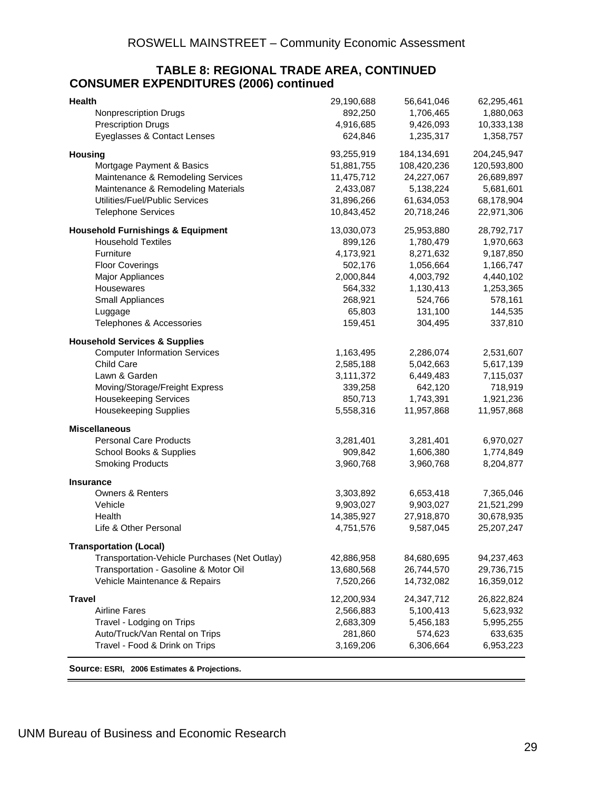#### <span id="page-32-0"></span>**CONSUMER EXPENDITURES (2006) continued TABLE 8: REGIONAL TRADE AREA, CONTINUED**

| 892,250<br>1,706,465<br>Nonprescription Drugs<br>1,880,063<br>4,916,685<br>10,333,138<br><b>Prescription Drugs</b><br>9,426,093<br>Eyeglasses & Contact Lenses<br>1,358,757<br>624,846<br>1,235,317<br>204,245,947<br><b>Housing</b><br>93,255,919<br>184,134,691<br>108,420,236<br>Mortgage Payment & Basics<br>51,881,755<br>120,593,800<br>Maintenance & Remodeling Services<br>11,475,712<br>24,227,067<br>26,689,897<br>Maintenance & Remodeling Materials<br>2,433,087<br>5,138,224<br>5,681,601<br>Utilities/Fuel/Public Services<br>31,896,266<br>61,634,053<br>68,178,904<br><b>Telephone Services</b><br>10,843,452<br>20,718,246<br>22,971,306<br>13,030,073<br>25,953,880<br>28,792,717<br><b>Household Furnishings &amp; Equipment</b><br><b>Household Textiles</b><br>899,126<br>1,780,479<br>1,970,663<br>Furniture<br>4,173,921<br>8,271,632<br>9,187,850<br><b>Floor Coverings</b><br>1,166,747<br>502,176<br>1,056,664<br>Major Appliances<br>2,000,844<br>4,003,792<br>4,440,102<br>1,130,413<br>1,253,365<br>Housewares<br>564,332<br>268,921<br>578,161<br>Small Appliances<br>524,766<br>65,803<br>131,100<br>144,535<br>Luggage<br>Telephones & Accessories<br>159,451<br>304,495<br>337,810<br><b>Household Services &amp; Supplies</b><br><b>Computer Information Services</b><br>1,163,495<br>2,286,074<br>2,531,607<br>Child Care<br>2,585,188<br>5,042,663<br>5,617,139<br>3,111,372<br>6,449,483<br>7,115,037<br>Lawn & Garden<br>Moving/Storage/Freight Express<br>642,120<br>718,919<br>339,258<br><b>Housekeeping Services</b><br>850,713<br>1,743,391<br>1,921,236<br><b>Housekeeping Supplies</b><br>5,558,316<br>11,957,868<br><b>Miscellaneous</b><br><b>Personal Care Products</b><br>3,281,401<br>3,281,401<br>6,970,027<br>School Books & Supplies<br>1,606,380<br>1,774,849<br>909,842<br>8,204,877<br><b>Smoking Products</b><br>3,960,768<br>3,960,768<br>Insurance<br><b>Owners &amp; Renters</b><br>3,303,892<br>6,653,418<br>7,365,046<br>9,903,027<br>9,903,027<br>21,521,299<br>Vehicle<br>14,385,927<br>27,918,870<br>30,678,935<br>Health<br>Life & Other Personal<br>9,587,045<br>25, 207, 247<br>4,751,576 | <b>Health</b>                  | 29,190,688 | 56,641,046 | 62,295,461 |
|---------------------------------------------------------------------------------------------------------------------------------------------------------------------------------------------------------------------------------------------------------------------------------------------------------------------------------------------------------------------------------------------------------------------------------------------------------------------------------------------------------------------------------------------------------------------------------------------------------------------------------------------------------------------------------------------------------------------------------------------------------------------------------------------------------------------------------------------------------------------------------------------------------------------------------------------------------------------------------------------------------------------------------------------------------------------------------------------------------------------------------------------------------------------------------------------------------------------------------------------------------------------------------------------------------------------------------------------------------------------------------------------------------------------------------------------------------------------------------------------------------------------------------------------------------------------------------------------------------------------------------------------------------------------------------------------------------------------------------------------------------------------------------------------------------------------------------------------------------------------------------------------------------------------------------------------------------------------------------------------------------------------------------------------------------------------------------------------------------------------------------------------------------------|--------------------------------|------------|------------|------------|
|                                                                                                                                                                                                                                                                                                                                                                                                                                                                                                                                                                                                                                                                                                                                                                                                                                                                                                                                                                                                                                                                                                                                                                                                                                                                                                                                                                                                                                                                                                                                                                                                                                                                                                                                                                                                                                                                                                                                                                                                                                                                                                                                                               |                                |            |            |            |
| 11,957,868                                                                                                                                                                                                                                                                                                                                                                                                                                                                                                                                                                                                                                                                                                                                                                                                                                                                                                                                                                                                                                                                                                                                                                                                                                                                                                                                                                                                                                                                                                                                                                                                                                                                                                                                                                                                                                                                                                                                                                                                                                                                                                                                                    |                                |            |            |            |
|                                                                                                                                                                                                                                                                                                                                                                                                                                                                                                                                                                                                                                                                                                                                                                                                                                                                                                                                                                                                                                                                                                                                                                                                                                                                                                                                                                                                                                                                                                                                                                                                                                                                                                                                                                                                                                                                                                                                                                                                                                                                                                                                                               |                                |            |            |            |
|                                                                                                                                                                                                                                                                                                                                                                                                                                                                                                                                                                                                                                                                                                                                                                                                                                                                                                                                                                                                                                                                                                                                                                                                                                                                                                                                                                                                                                                                                                                                                                                                                                                                                                                                                                                                                                                                                                                                                                                                                                                                                                                                                               |                                |            |            |            |
|                                                                                                                                                                                                                                                                                                                                                                                                                                                                                                                                                                                                                                                                                                                                                                                                                                                                                                                                                                                                                                                                                                                                                                                                                                                                                                                                                                                                                                                                                                                                                                                                                                                                                                                                                                                                                                                                                                                                                                                                                                                                                                                                                               |                                |            |            |            |
|                                                                                                                                                                                                                                                                                                                                                                                                                                                                                                                                                                                                                                                                                                                                                                                                                                                                                                                                                                                                                                                                                                                                                                                                                                                                                                                                                                                                                                                                                                                                                                                                                                                                                                                                                                                                                                                                                                                                                                                                                                                                                                                                                               |                                |            |            |            |
|                                                                                                                                                                                                                                                                                                                                                                                                                                                                                                                                                                                                                                                                                                                                                                                                                                                                                                                                                                                                                                                                                                                                                                                                                                                                                                                                                                                                                                                                                                                                                                                                                                                                                                                                                                                                                                                                                                                                                                                                                                                                                                                                                               |                                |            |            |            |
|                                                                                                                                                                                                                                                                                                                                                                                                                                                                                                                                                                                                                                                                                                                                                                                                                                                                                                                                                                                                                                                                                                                                                                                                                                                                                                                                                                                                                                                                                                                                                                                                                                                                                                                                                                                                                                                                                                                                                                                                                                                                                                                                                               |                                |            |            |            |
|                                                                                                                                                                                                                                                                                                                                                                                                                                                                                                                                                                                                                                                                                                                                                                                                                                                                                                                                                                                                                                                                                                                                                                                                                                                                                                                                                                                                                                                                                                                                                                                                                                                                                                                                                                                                                                                                                                                                                                                                                                                                                                                                                               |                                |            |            |            |
|                                                                                                                                                                                                                                                                                                                                                                                                                                                                                                                                                                                                                                                                                                                                                                                                                                                                                                                                                                                                                                                                                                                                                                                                                                                                                                                                                                                                                                                                                                                                                                                                                                                                                                                                                                                                                                                                                                                                                                                                                                                                                                                                                               |                                |            |            |            |
|                                                                                                                                                                                                                                                                                                                                                                                                                                                                                                                                                                                                                                                                                                                                                                                                                                                                                                                                                                                                                                                                                                                                                                                                                                                                                                                                                                                                                                                                                                                                                                                                                                                                                                                                                                                                                                                                                                                                                                                                                                                                                                                                                               |                                |            |            |            |
|                                                                                                                                                                                                                                                                                                                                                                                                                                                                                                                                                                                                                                                                                                                                                                                                                                                                                                                                                                                                                                                                                                                                                                                                                                                                                                                                                                                                                                                                                                                                                                                                                                                                                                                                                                                                                                                                                                                                                                                                                                                                                                                                                               |                                |            |            |            |
|                                                                                                                                                                                                                                                                                                                                                                                                                                                                                                                                                                                                                                                                                                                                                                                                                                                                                                                                                                                                                                                                                                                                                                                                                                                                                                                                                                                                                                                                                                                                                                                                                                                                                                                                                                                                                                                                                                                                                                                                                                                                                                                                                               |                                |            |            |            |
|                                                                                                                                                                                                                                                                                                                                                                                                                                                                                                                                                                                                                                                                                                                                                                                                                                                                                                                                                                                                                                                                                                                                                                                                                                                                                                                                                                                                                                                                                                                                                                                                                                                                                                                                                                                                                                                                                                                                                                                                                                                                                                                                                               |                                |            |            |            |
|                                                                                                                                                                                                                                                                                                                                                                                                                                                                                                                                                                                                                                                                                                                                                                                                                                                                                                                                                                                                                                                                                                                                                                                                                                                                                                                                                                                                                                                                                                                                                                                                                                                                                                                                                                                                                                                                                                                                                                                                                                                                                                                                                               |                                |            |            |            |
|                                                                                                                                                                                                                                                                                                                                                                                                                                                                                                                                                                                                                                                                                                                                                                                                                                                                                                                                                                                                                                                                                                                                                                                                                                                                                                                                                                                                                                                                                                                                                                                                                                                                                                                                                                                                                                                                                                                                                                                                                                                                                                                                                               |                                |            |            |            |
|                                                                                                                                                                                                                                                                                                                                                                                                                                                                                                                                                                                                                                                                                                                                                                                                                                                                                                                                                                                                                                                                                                                                                                                                                                                                                                                                                                                                                                                                                                                                                                                                                                                                                                                                                                                                                                                                                                                                                                                                                                                                                                                                                               |                                |            |            |            |
|                                                                                                                                                                                                                                                                                                                                                                                                                                                                                                                                                                                                                                                                                                                                                                                                                                                                                                                                                                                                                                                                                                                                                                                                                                                                                                                                                                                                                                                                                                                                                                                                                                                                                                                                                                                                                                                                                                                                                                                                                                                                                                                                                               |                                |            |            |            |
|                                                                                                                                                                                                                                                                                                                                                                                                                                                                                                                                                                                                                                                                                                                                                                                                                                                                                                                                                                                                                                                                                                                                                                                                                                                                                                                                                                                                                                                                                                                                                                                                                                                                                                                                                                                                                                                                                                                                                                                                                                                                                                                                                               |                                |            |            |            |
|                                                                                                                                                                                                                                                                                                                                                                                                                                                                                                                                                                                                                                                                                                                                                                                                                                                                                                                                                                                                                                                                                                                                                                                                                                                                                                                                                                                                                                                                                                                                                                                                                                                                                                                                                                                                                                                                                                                                                                                                                                                                                                                                                               |                                |            |            |            |
|                                                                                                                                                                                                                                                                                                                                                                                                                                                                                                                                                                                                                                                                                                                                                                                                                                                                                                                                                                                                                                                                                                                                                                                                                                                                                                                                                                                                                                                                                                                                                                                                                                                                                                                                                                                                                                                                                                                                                                                                                                                                                                                                                               |                                |            |            |            |
|                                                                                                                                                                                                                                                                                                                                                                                                                                                                                                                                                                                                                                                                                                                                                                                                                                                                                                                                                                                                                                                                                                                                                                                                                                                                                                                                                                                                                                                                                                                                                                                                                                                                                                                                                                                                                                                                                                                                                                                                                                                                                                                                                               |                                |            |            |            |
|                                                                                                                                                                                                                                                                                                                                                                                                                                                                                                                                                                                                                                                                                                                                                                                                                                                                                                                                                                                                                                                                                                                                                                                                                                                                                                                                                                                                                                                                                                                                                                                                                                                                                                                                                                                                                                                                                                                                                                                                                                                                                                                                                               |                                |            |            |            |
|                                                                                                                                                                                                                                                                                                                                                                                                                                                                                                                                                                                                                                                                                                                                                                                                                                                                                                                                                                                                                                                                                                                                                                                                                                                                                                                                                                                                                                                                                                                                                                                                                                                                                                                                                                                                                                                                                                                                                                                                                                                                                                                                                               |                                |            |            |            |
|                                                                                                                                                                                                                                                                                                                                                                                                                                                                                                                                                                                                                                                                                                                                                                                                                                                                                                                                                                                                                                                                                                                                                                                                                                                                                                                                                                                                                                                                                                                                                                                                                                                                                                                                                                                                                                                                                                                                                                                                                                                                                                                                                               |                                |            |            |            |
|                                                                                                                                                                                                                                                                                                                                                                                                                                                                                                                                                                                                                                                                                                                                                                                                                                                                                                                                                                                                                                                                                                                                                                                                                                                                                                                                                                                                                                                                                                                                                                                                                                                                                                                                                                                                                                                                                                                                                                                                                                                                                                                                                               |                                |            |            |            |
|                                                                                                                                                                                                                                                                                                                                                                                                                                                                                                                                                                                                                                                                                                                                                                                                                                                                                                                                                                                                                                                                                                                                                                                                                                                                                                                                                                                                                                                                                                                                                                                                                                                                                                                                                                                                                                                                                                                                                                                                                                                                                                                                                               |                                |            |            |            |
|                                                                                                                                                                                                                                                                                                                                                                                                                                                                                                                                                                                                                                                                                                                                                                                                                                                                                                                                                                                                                                                                                                                                                                                                                                                                                                                                                                                                                                                                                                                                                                                                                                                                                                                                                                                                                                                                                                                                                                                                                                                                                                                                                               |                                |            |            |            |
|                                                                                                                                                                                                                                                                                                                                                                                                                                                                                                                                                                                                                                                                                                                                                                                                                                                                                                                                                                                                                                                                                                                                                                                                                                                                                                                                                                                                                                                                                                                                                                                                                                                                                                                                                                                                                                                                                                                                                                                                                                                                                                                                                               |                                |            |            |            |
|                                                                                                                                                                                                                                                                                                                                                                                                                                                                                                                                                                                                                                                                                                                                                                                                                                                                                                                                                                                                                                                                                                                                                                                                                                                                                                                                                                                                                                                                                                                                                                                                                                                                                                                                                                                                                                                                                                                                                                                                                                                                                                                                                               |                                |            |            |            |
|                                                                                                                                                                                                                                                                                                                                                                                                                                                                                                                                                                                                                                                                                                                                                                                                                                                                                                                                                                                                                                                                                                                                                                                                                                                                                                                                                                                                                                                                                                                                                                                                                                                                                                                                                                                                                                                                                                                                                                                                                                                                                                                                                               |                                |            |            |            |
|                                                                                                                                                                                                                                                                                                                                                                                                                                                                                                                                                                                                                                                                                                                                                                                                                                                                                                                                                                                                                                                                                                                                                                                                                                                                                                                                                                                                                                                                                                                                                                                                                                                                                                                                                                                                                                                                                                                                                                                                                                                                                                                                                               |                                |            |            |            |
|                                                                                                                                                                                                                                                                                                                                                                                                                                                                                                                                                                                                                                                                                                                                                                                                                                                                                                                                                                                                                                                                                                                                                                                                                                                                                                                                                                                                                                                                                                                                                                                                                                                                                                                                                                                                                                                                                                                                                                                                                                                                                                                                                               |                                |            |            |            |
|                                                                                                                                                                                                                                                                                                                                                                                                                                                                                                                                                                                                                                                                                                                                                                                                                                                                                                                                                                                                                                                                                                                                                                                                                                                                                                                                                                                                                                                                                                                                                                                                                                                                                                                                                                                                                                                                                                                                                                                                                                                                                                                                                               |                                |            |            |            |
|                                                                                                                                                                                                                                                                                                                                                                                                                                                                                                                                                                                                                                                                                                                                                                                                                                                                                                                                                                                                                                                                                                                                                                                                                                                                                                                                                                                                                                                                                                                                                                                                                                                                                                                                                                                                                                                                                                                                                                                                                                                                                                                                                               | <b>Transportation (Local)</b>  |            |            |            |
| Transportation-Vehicle Purchases (Net Outlay)<br>42,886,958<br>84,680,695<br>94,237,463                                                                                                                                                                                                                                                                                                                                                                                                                                                                                                                                                                                                                                                                                                                                                                                                                                                                                                                                                                                                                                                                                                                                                                                                                                                                                                                                                                                                                                                                                                                                                                                                                                                                                                                                                                                                                                                                                                                                                                                                                                                                       |                                |            |            |            |
| Transportation - Gasoline & Motor Oil<br>29,736,715<br>13,680,568<br>26,744,570                                                                                                                                                                                                                                                                                                                                                                                                                                                                                                                                                                                                                                                                                                                                                                                                                                                                                                                                                                                                                                                                                                                                                                                                                                                                                                                                                                                                                                                                                                                                                                                                                                                                                                                                                                                                                                                                                                                                                                                                                                                                               |                                |            |            |            |
| 16,359,012<br>Vehicle Maintenance & Repairs<br>7,520,266<br>14,732,082                                                                                                                                                                                                                                                                                                                                                                                                                                                                                                                                                                                                                                                                                                                                                                                                                                                                                                                                                                                                                                                                                                                                                                                                                                                                                                                                                                                                                                                                                                                                                                                                                                                                                                                                                                                                                                                                                                                                                                                                                                                                                        |                                |            |            |            |
| <b>Travel</b><br>12,200,934<br>24,347,712<br>26,822,824                                                                                                                                                                                                                                                                                                                                                                                                                                                                                                                                                                                                                                                                                                                                                                                                                                                                                                                                                                                                                                                                                                                                                                                                                                                                                                                                                                                                                                                                                                                                                                                                                                                                                                                                                                                                                                                                                                                                                                                                                                                                                                       |                                |            |            |            |
| <b>Airline Fares</b><br>2,566,883<br>5,100,413<br>5,623,932                                                                                                                                                                                                                                                                                                                                                                                                                                                                                                                                                                                                                                                                                                                                                                                                                                                                                                                                                                                                                                                                                                                                                                                                                                                                                                                                                                                                                                                                                                                                                                                                                                                                                                                                                                                                                                                                                                                                                                                                                                                                                                   |                                |            |            |            |
| Travel - Lodging on Trips<br>2,683,309<br>5,456,183<br>5,995,255                                                                                                                                                                                                                                                                                                                                                                                                                                                                                                                                                                                                                                                                                                                                                                                                                                                                                                                                                                                                                                                                                                                                                                                                                                                                                                                                                                                                                                                                                                                                                                                                                                                                                                                                                                                                                                                                                                                                                                                                                                                                                              |                                |            |            |            |
| Auto/Truck/Van Rental on Trips<br>281,860<br>574,623<br>633,635                                                                                                                                                                                                                                                                                                                                                                                                                                                                                                                                                                                                                                                                                                                                                                                                                                                                                                                                                                                                                                                                                                                                                                                                                                                                                                                                                                                                                                                                                                                                                                                                                                                                                                                                                                                                                                                                                                                                                                                                                                                                                               |                                |            |            |            |
|                                                                                                                                                                                                                                                                                                                                                                                                                                                                                                                                                                                                                                                                                                                                                                                                                                                                                                                                                                                                                                                                                                                                                                                                                                                                                                                                                                                                                                                                                                                                                                                                                                                                                                                                                                                                                                                                                                                                                                                                                                                                                                                                                               | Travel - Food & Drink on Trips | 3,169,206  | 6,306,664  | 6,953,223  |

**Source: ESRI, 2006 Estimates & Projections.**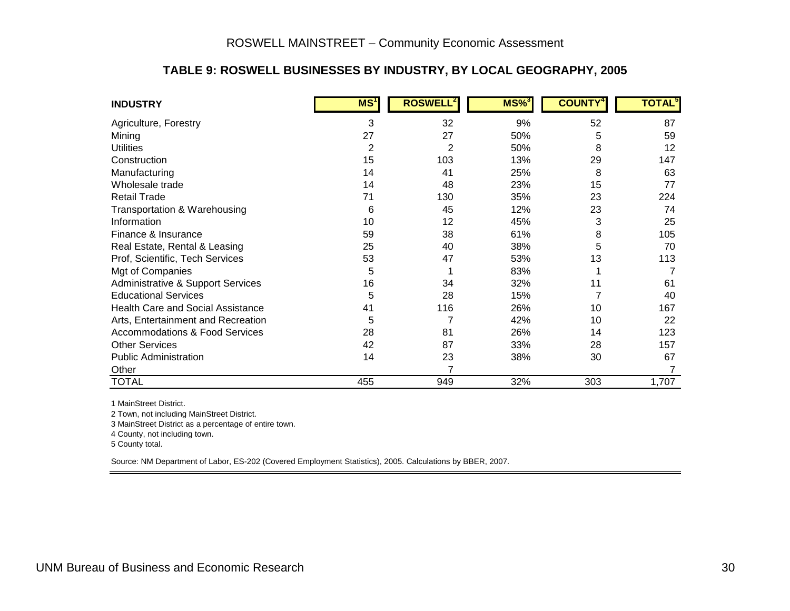#### **TABLE 9: ROSWELL BUSINESSES BY INDUSTRY, BY LOCAL GEOGRAPHY, 2005**

| <b>INDUSTRY</b>                           | MS <sup>T</sup> | <b>ROSWELL<sup>2</sup></b> | $MS\%$ | <b>COUNTY</b> | <b>TOTAL</b> |
|-------------------------------------------|-----------------|----------------------------|--------|---------------|--------------|
| Agriculture, Forestry                     | 3               | 32                         | 9%     | 52            | 87           |
| Mining                                    | 27              | 27                         | 50%    | 5             | 59           |
| <b>Utilities</b>                          | 2               | 2                          | 50%    | 8             | 12           |
| Construction                              | 15              | 103                        | 13%    | 29            | 147          |
| Manufacturing                             | 14              | 41                         | 25%    | 8             | 63           |
| Wholesale trade                           | 14              | 48                         | 23%    | 15            | 77           |
| <b>Retail Trade</b>                       | 71              | 130                        | 35%    | 23            | 224          |
| Transportation & Warehousing              | 6               | 45                         | 12%    | 23            | 74           |
| Information                               | 10              | 12                         | 45%    | 3             | 25           |
| Finance & Insurance                       | 59              | 38                         | 61%    | 8             | 105          |
| Real Estate, Rental & Leasing             | 25              | 40                         | 38%    | 5             | 70           |
| Prof, Scientific, Tech Services           | 53              | 47                         | 53%    | 13            | 113          |
| Mgt of Companies                          | 5               |                            | 83%    |               |              |
| Administrative & Support Services         | 16              | 34                         | 32%    | 11            | 61           |
| <b>Educational Services</b>               | 5               | 28                         | 15%    |               | 40           |
| <b>Health Care and Social Assistance</b>  | 41              | 116                        | 26%    | 10            | 167          |
| Arts, Entertainment and Recreation        | 5               | $\overline{7}$             | 42%    | 10            | 22           |
| <b>Accommodations &amp; Food Services</b> | 28              | 81                         | 26%    | 14            | 123          |
| <b>Other Services</b>                     | 42              | 87                         | 33%    | 28            | 157          |
| <b>Public Administration</b>              | 14              | 23                         | 38%    | 30            | 67           |
| Other                                     |                 | $\overline{7}$             |        |               |              |
| <b>TOTAL</b>                              | 455             | 949                        | 32%    | 303           | 1,707        |

1 MainStreet District.

2 Town, not including MainStreet District.

3 MainStreet District as a percentage of entire town.

4 County, not including town.

<span id="page-33-0"></span>5 County total.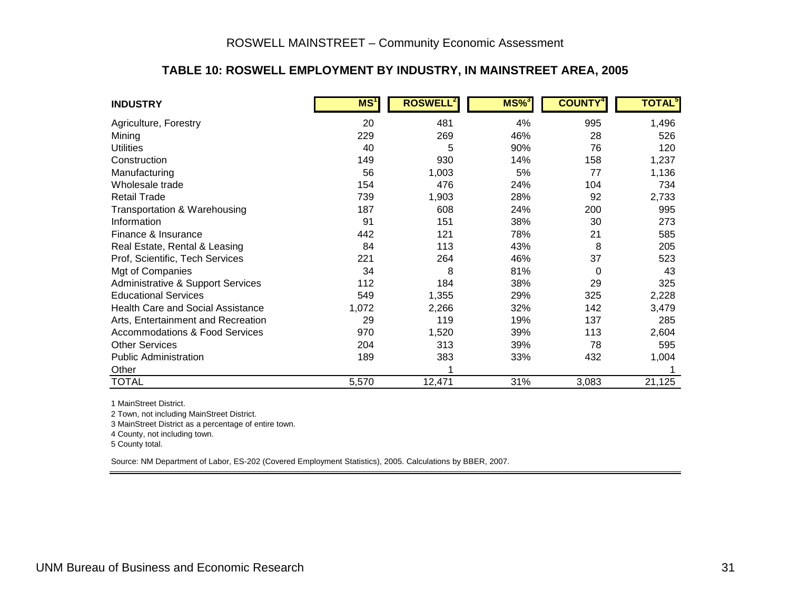#### **TABLE 10: ROSWELL EMPLOYMENT BY INDUSTRY, IN MAINSTREET AREA, 2005**

| <b>INDUSTRY</b>                              | MS <sup>T</sup> | <b>ROSWELL</b> | $MS\%$ <sup>3</sup> | <b>COUNTY</b> | <b>TOTAL</b> <sup>3</sup> |
|----------------------------------------------|-----------------|----------------|---------------------|---------------|---------------------------|
| Agriculture, Forestry                        | 20              | 481            | 4%                  | 995           | 1,496                     |
| Mining                                       | 229             | 269            | 46%                 | 28            | 526                       |
| <b>Utilities</b>                             | 40              | 5              | 90%                 | 76            | 120                       |
| Construction                                 | 149             | 930            | 14%                 | 158           | 1,237                     |
| Manufacturing                                | 56              | 1,003          | 5%                  | 77            | 1,136                     |
| Wholesale trade                              | 154             | 476            | 24%                 | 104           | 734                       |
| <b>Retail Trade</b>                          | 739             | 1,903          | 28%                 | 92            | 2,733                     |
| Transportation & Warehousing                 | 187             | 608            | 24%                 | 200           | 995                       |
| Information                                  | 91              | 151            | 38%                 | 30            | 273                       |
| Finance & Insurance                          | 442             | 121            | 78%                 | 21            | 585                       |
| Real Estate, Rental & Leasing                | 84              | 113            | 43%                 | 8             | 205                       |
| Prof, Scientific, Tech Services              | 221             | 264            | 46%                 | 37            | 523                       |
| Mgt of Companies                             | 34              | 8              | 81%                 | $\Omega$      | 43                        |
| <b>Administrative &amp; Support Services</b> | 112             | 184            | 38%                 | 29            | 325                       |
| <b>Educational Services</b>                  | 549             | 1,355          | 29%                 | 325           | 2,228                     |
| <b>Health Care and Social Assistance</b>     | 1,072           | 2,266          | 32%                 | 142           | 3,479                     |
| Arts, Entertainment and Recreation           | 29              | 119            | 19%                 | 137           | 285                       |
| <b>Accommodations &amp; Food Services</b>    | 970             | 1,520          | 39%                 | 113           | 2,604                     |
| <b>Other Services</b>                        | 204             | 313            | 39%                 | 78            | 595                       |
| <b>Public Administration</b>                 | 189             | 383            | 33%                 | 432           | 1,004                     |
| Other                                        |                 | 1              |                     |               |                           |
| <b>TOTAL</b>                                 | 5,570           | 12,471         | 31%                 | 3,083         | 21,125                    |

1 MainStreet District.

2 Town, not including MainStreet District.

3 MainStreet District as a percentage of entire town.

4 County, not including town.

<span id="page-34-0"></span>5 County total.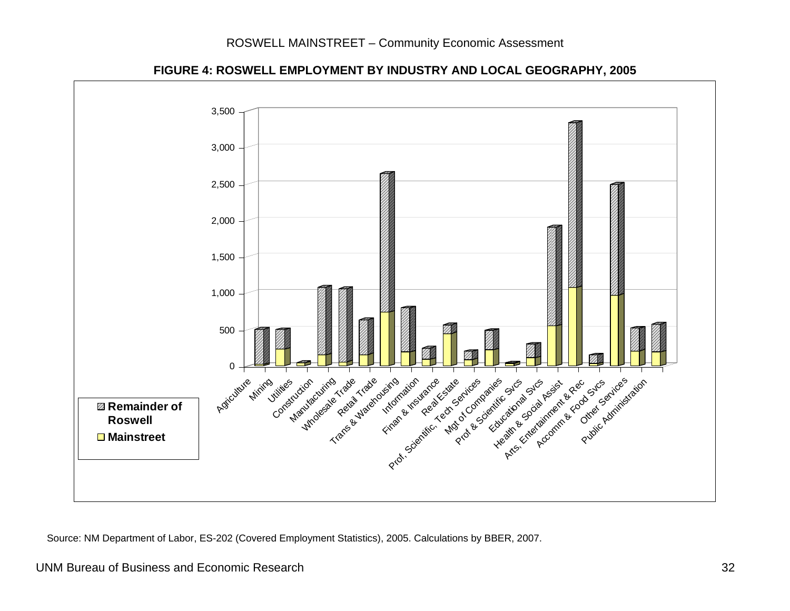#### ROSWELL MAINSTREET – Community Economic Assessment



#### **FIGURE 4: ROSWELL EMPLOYMENT BY INDUSTRY AND LOCAL GEOGRAPHY, 2005**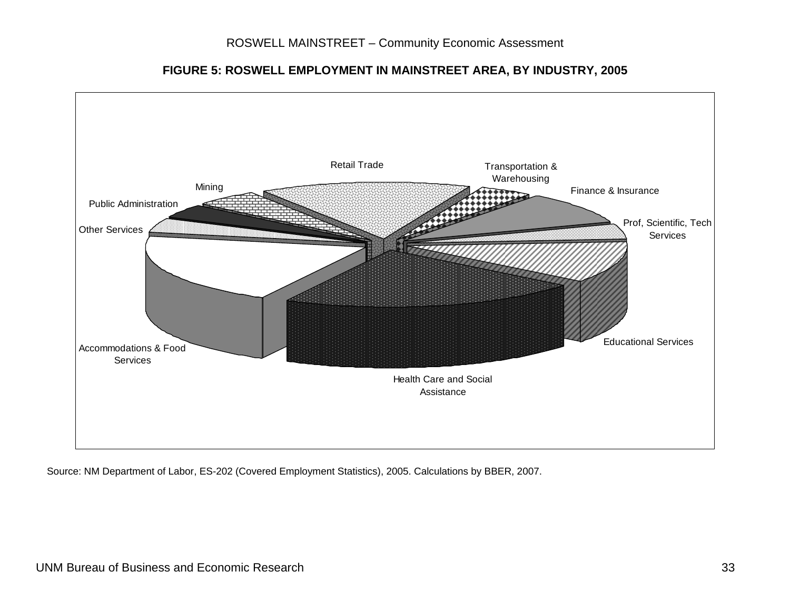<span id="page-36-0"></span>

**FIGURE 5: ROSWELL EMPLOYMENT IN MAINSTREET AREA, BY INDUSTRY, 2005**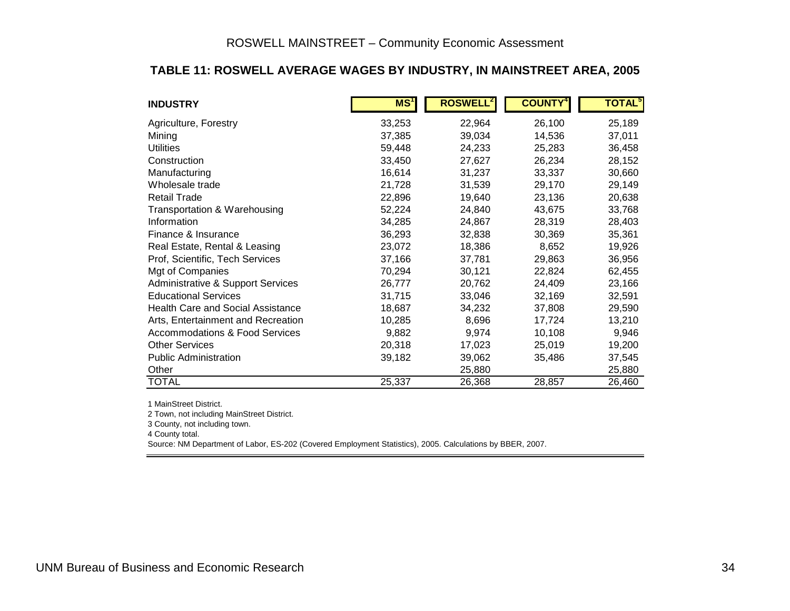#### **TABLE 11: ROSWELL AVERAGE WAGES BY INDUSTRY, IN MAINSTREET AREA, 2005**

| <b>INDUSTRY</b>                              | MS <sup>1</sup> | <b>ROSWELL</b> | <b>COUNTY</b> | <b>TOTAL</b> <sup>5</sup> |
|----------------------------------------------|-----------------|----------------|---------------|---------------------------|
| Agriculture, Forestry                        | 33,253          | 22,964         | 26,100        | 25,189                    |
| Mining                                       | 37,385          | 39,034         | 14,536        | 37,011                    |
| <b>Utilities</b>                             | 59,448          | 24,233         | 25,283        | 36,458                    |
| Construction                                 | 33,450          | 27,627         | 26,234        | 28,152                    |
| Manufacturing                                | 16,614          | 31,237         | 33,337        | 30,660                    |
| Wholesale trade                              | 21,728          | 31,539         | 29,170        | 29,149                    |
| <b>Retail Trade</b>                          | 22,896          | 19,640         | 23,136        | 20,638                    |
| Transportation & Warehousing                 | 52,224          | 24,840         | 43,675        | 33,768                    |
| Information                                  | 34,285          | 24,867         | 28,319        | 28,403                    |
| Finance & Insurance                          | 36,293          | 32,838         | 30,369        | 35,361                    |
| Real Estate, Rental & Leasing                | 23,072          | 18,386         | 8,652         | 19,926                    |
| Prof, Scientific, Tech Services              | 37,166          | 37,781         | 29,863        | 36,956                    |
| Mgt of Companies                             | 70,294          | 30,121         | 22,824        | 62,455                    |
| <b>Administrative &amp; Support Services</b> | 26,777          | 20,762         | 24,409        | 23,166                    |
| <b>Educational Services</b>                  | 31,715          | 33,046         | 32,169        | 32,591                    |
| <b>Health Care and Social Assistance</b>     | 18,687          | 34,232         | 37,808        | 29,590                    |
| Arts, Entertainment and Recreation           | 10,285          | 8,696          | 17,724        | 13,210                    |
| <b>Accommodations &amp; Food Services</b>    | 9,882           | 9,974          | 10,108        | 9,946                     |
| <b>Other Services</b>                        | 20,318          | 17,023         | 25,019        | 19,200                    |
| <b>Public Administration</b>                 | 39,182          | 39,062         | 35,486        | 37,545                    |
| Other                                        |                 | 25,880         |               | 25,880                    |
| <b>TOTAL</b>                                 | 25,337          | 26,368         | 28,857        | 26,460                    |

1 MainStreet District.

2 Town, not including MainStreet District.

3 County, not including town.

<span id="page-37-0"></span>4 County total.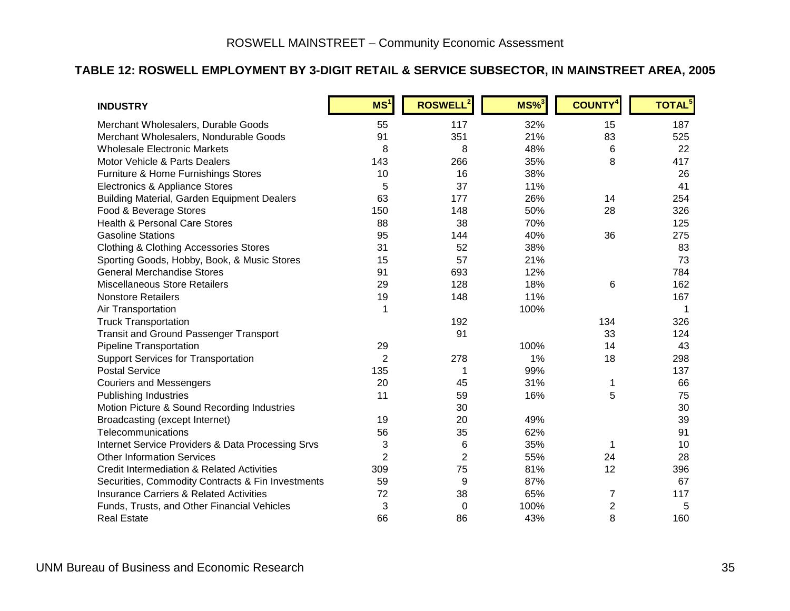#### **TABLE 12: ROSWELL EMPLOYMENT BY 3-DIGIT RETAIL & SERVICE SUBSECTOR, IN MAINSTREET AREA, 2005**

| <b>INDUSTRY</b>                                       | MS <sup>1</sup> | <b>ROSWELL<sup>2</sup></b> | $MS\%$ <sup>3</sup> | <b>COUNTY<sup>4</sup></b> | TOTAL <sup>5</sup> |
|-------------------------------------------------------|-----------------|----------------------------|---------------------|---------------------------|--------------------|
| Merchant Wholesalers, Durable Goods                   | 55              | 117                        | 32%                 | 15                        | 187                |
| Merchant Wholesalers, Nondurable Goods                | 91              | 351                        | 21%                 | 83                        | 525                |
| <b>Wholesale Electronic Markets</b>                   | 8               | 8                          | 48%                 | 6                         | 22                 |
| Motor Vehicle & Parts Dealers                         | 143             | 266                        | 35%                 | 8                         | 417                |
| Furniture & Home Furnishings Stores                   | 10              | 16                         | 38%                 |                           | 26                 |
| Electronics & Appliance Stores                        | 5               | 37                         | 11%                 |                           | 41                 |
| <b>Building Material, Garden Equipment Dealers</b>    | 63              | 177                        | 26%                 | 14                        | 254                |
| Food & Beverage Stores                                | 150             | 148                        | 50%                 | 28                        | 326                |
| <b>Health &amp; Personal Care Stores</b>              | 88              | 38                         | 70%                 |                           | 125                |
| <b>Gasoline Stations</b>                              | 95              | 144                        | 40%                 | 36                        | 275                |
| <b>Clothing &amp; Clothing Accessories Stores</b>     | 31              | 52                         | 38%                 |                           | 83                 |
| Sporting Goods, Hobby, Book, & Music Stores           | 15              | 57                         | 21%                 |                           | 73                 |
| <b>General Merchandise Stores</b>                     | 91              | 693                        | 12%                 |                           | 784                |
| <b>Miscellaneous Store Retailers</b>                  | 29              | 128                        | 18%                 | 6                         | 162                |
| <b>Nonstore Retailers</b>                             | 19              | 148                        | 11%                 |                           | 167                |
| Air Transportation                                    | 1               |                            | 100%                |                           | 1                  |
| <b>Truck Transportation</b>                           |                 | 192                        |                     | 134                       | 326                |
| <b>Transit and Ground Passenger Transport</b>         |                 | 91                         |                     | 33                        | 124                |
| Pipeline Transportation                               | 29              |                            | 100%                | 14                        | 43                 |
| <b>Support Services for Transportation</b>            | $\overline{2}$  | 278                        | 1%                  | 18                        | 298                |
| <b>Postal Service</b>                                 | 135             | 1                          | 99%                 |                           | 137                |
| <b>Couriers and Messengers</b>                        | 20              | 45                         | 31%                 | 1                         | 66                 |
| <b>Publishing Industries</b>                          | 11              | 59                         | 16%                 | 5                         | 75                 |
| Motion Picture & Sound Recording Industries           |                 | 30                         |                     |                           | 30                 |
| Broadcasting (except Internet)                        | 19              | 20                         | 49%                 |                           | 39                 |
| Telecommunications                                    | 56              | 35                         | 62%                 |                           | 91                 |
| Internet Service Providers & Data Processing Srvs     | 3               | 6                          | 35%                 | 1                         | 10                 |
| <b>Other Information Services</b>                     | $\overline{2}$  | $\overline{2}$             | 55%                 | 24                        | 28                 |
| <b>Credit Intermediation &amp; Related Activities</b> | 309             | 75                         | 81%                 | 12                        | 396                |
| Securities, Commodity Contracts & Fin Investments     | 59              | 9                          | 87%                 |                           | 67                 |
| <b>Insurance Carriers &amp; Related Activities</b>    | 72              | 38                         | 65%                 | 7                         | 117                |
| Funds, Trusts, and Other Financial Vehicles           | 3               | 0                          | 100%                | $\overline{c}$            | 5                  |
| <b>Real Estate</b>                                    | 66              | 86                         | 43%                 | 8                         | 160                |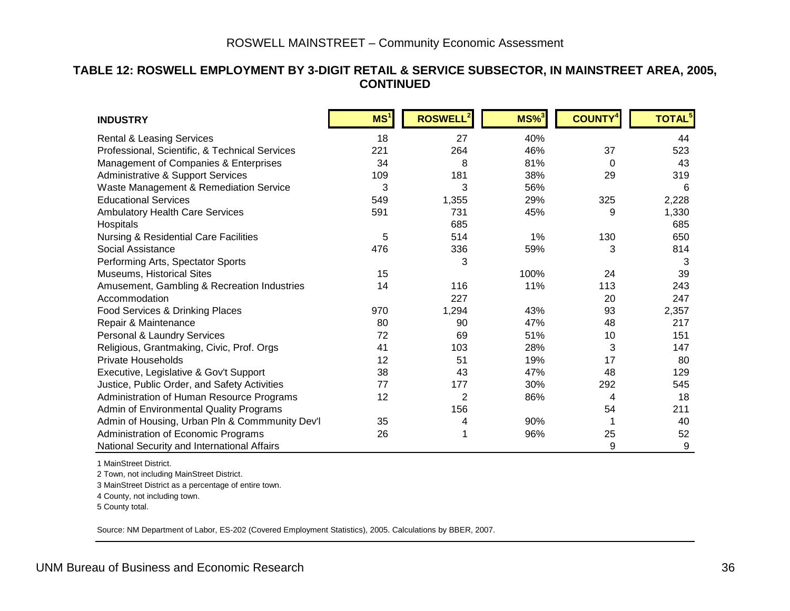#### <span id="page-39-1"></span>**TABLE 12: ROSWELL EMPLOYMENT BY 3-DIGIT RETAIL & SERVICE SUBSECTOR, IN MAINSTREET AREA, 2005, CONTINUED**

| <b>INDUSTRY</b>                                  | MS <sup>1</sup> | ROSWELL <sup>2</sup> | $MS\%$ <sup>3</sup> | <b>COUNTY</b> | <b>TOTAL<sup>5</sup></b> |
|--------------------------------------------------|-----------------|----------------------|---------------------|---------------|--------------------------|
| <b>Rental &amp; Leasing Services</b>             | 18              | 27                   | 40%                 |               | 44                       |
| Professional, Scientific, & Technical Services   | 221             | 264                  | 46%                 | 37            | 523                      |
| Management of Companies & Enterprises            | 34              | 8                    | 81%                 | 0             | 43                       |
| Administrative & Support Services                | 109             | 181                  | 38%                 | 29            | 319                      |
| Waste Management & Remediation Service           | 3               | 3                    | 56%                 |               | 6                        |
| <b>Educational Services</b>                      | 549             | 1,355                | 29%                 | 325           | 2,228                    |
| <b>Ambulatory Health Care Services</b>           | 591             | 731                  | 45%                 | 9             | 1,330                    |
| Hospitals                                        |                 | 685                  |                     |               | 685                      |
| <b>Nursing &amp; Residential Care Facilities</b> | 5               | 514                  | 1%                  | 130           | 650                      |
| Social Assistance                                | 476             | 336                  | 59%                 | 3             | 814                      |
| Performing Arts, Spectator Sports                |                 | 3                    |                     |               | 3                        |
| Museums, Historical Sites                        | 15              |                      | 100%                | 24            | 39                       |
| Amusement, Gambling & Recreation Industries      | 14              | 116                  | 11%                 | 113           | 243                      |
| Accommodation                                    |                 | 227                  |                     | 20            | 247                      |
| Food Services & Drinking Places                  | 970             | 1,294                | 43%                 | 93            | 2,357                    |
| Repair & Maintenance                             | 80              | 90                   | 47%                 | 48            | 217                      |
| Personal & Laundry Services                      | 72              | 69                   | 51%                 | 10            | 151                      |
| Religious, Grantmaking, Civic, Prof. Orgs        | 41              | 103                  | 28%                 | 3             | 147                      |
| <b>Private Households</b>                        | 12              | 51                   | 19%                 | 17            | 80                       |
| Executive, Legislative & Gov't Support           | 38              | 43                   | 47%                 | 48            | 129                      |
| Justice, Public Order, and Safety Activities     | 77              | 177                  | 30%                 | 292           | 545                      |
| Administration of Human Resource Programs        | 12              | $\overline{2}$       | 86%                 | 4             | 18                       |
| Admin of Environmental Quality Programs          |                 | 156                  |                     | 54            | 211                      |
| Admin of Housing, Urban Pln & Commmunity Dev'l   | 35              | 4                    | 90%                 |               | 40                       |
| Administration of Economic Programs              | 26              |                      | 96%                 | 25            | 52                       |
| National Security and International Affairs      |                 |                      |                     | 9             | 9                        |

1 MainStreet District.

2 Town, not including MainStreet District.

3 MainStreet District as a percentage of entire town.

4 County, not including town.

<span id="page-39-0"></span>5 County total.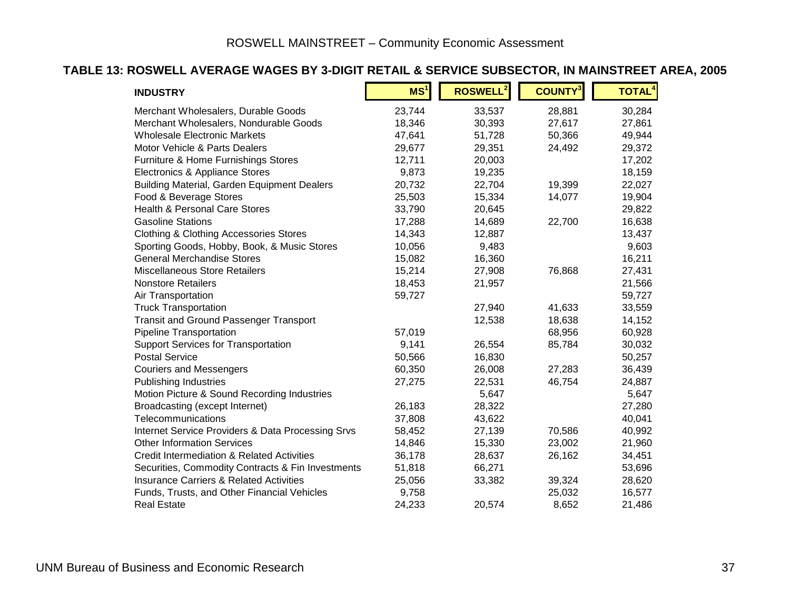#### **TABLE 13: ROSWELL AVERAGE WAGES BY 3-DIGIT RETAIL & SERVICE SUBSECTOR, IN MAINSTREET AREA, 2005**

| <b>INDUSTRY</b>                                    | MS <sup>1</sup> | <b>ROSWELL<sup>2</sup></b> | <b>COUNTY</b> <sup>3</sup> | <b>TOTAL<sup>4</sup></b> |
|----------------------------------------------------|-----------------|----------------------------|----------------------------|--------------------------|
| Merchant Wholesalers, Durable Goods                | 23,744          | 33,537                     | 28,881                     | 30,284                   |
| Merchant Wholesalers, Nondurable Goods             | 18,346          | 30,393                     | 27,617                     | 27,861                   |
| <b>Wholesale Electronic Markets</b>                | 47,641          | 51,728                     | 50,366                     | 49,944                   |
| Motor Vehicle & Parts Dealers                      | 29,677          | 29,351                     | 24,492                     | 29,372                   |
| Furniture & Home Furnishings Stores                | 12,711          | 20,003                     |                            | 17,202                   |
| Electronics & Appliance Stores                     | 9,873           | 19,235                     |                            | 18,159                   |
| <b>Building Material, Garden Equipment Dealers</b> | 20,732          | 22,704                     | 19,399                     | 22,027                   |
| Food & Beverage Stores                             | 25,503          | 15,334                     | 14,077                     | 19,904                   |
| <b>Health &amp; Personal Care Stores</b>           | 33,790          | 20,645                     |                            | 29,822                   |
| <b>Gasoline Stations</b>                           | 17,288          | 14,689                     | 22,700                     | 16,638                   |
| <b>Clothing &amp; Clothing Accessories Stores</b>  | 14,343          | 12,887                     |                            | 13,437                   |
| Sporting Goods, Hobby, Book, & Music Stores        | 10,056          | 9,483                      |                            | 9,603                    |
| <b>General Merchandise Stores</b>                  | 15,082          | 16,360                     |                            | 16,211                   |
| <b>Miscellaneous Store Retailers</b>               | 15,214          | 27,908                     | 76,868                     | 27,431                   |
| <b>Nonstore Retailers</b>                          | 18,453          | 21,957                     |                            | 21,566                   |
| Air Transportation                                 | 59,727          |                            |                            | 59,727                   |
| <b>Truck Transportation</b>                        |                 | 27,940                     | 41,633                     | 33,559                   |
| <b>Transit and Ground Passenger Transport</b>      |                 | 12,538                     | 18,638                     | 14,152                   |
| <b>Pipeline Transportation</b>                     | 57,019          |                            | 68,956                     | 60,928                   |
| <b>Support Services for Transportation</b>         | 9,141           | 26,554                     | 85,784                     | 30,032                   |
| <b>Postal Service</b>                              | 50,566          | 16,830                     |                            | 50,257                   |
| <b>Couriers and Messengers</b>                     | 60,350          | 26,008                     | 27,283                     | 36,439                   |
| <b>Publishing Industries</b>                       | 27,275          | 22,531                     | 46,754                     | 24,887                   |
| Motion Picture & Sound Recording Industries        |                 | 5,647                      |                            | 5,647                    |
| Broadcasting (except Internet)                     | 26,183          | 28,322                     |                            | 27,280                   |
| Telecommunications                                 | 37,808          | 43,622                     |                            | 40,041                   |
| Internet Service Providers & Data Processing Srvs  | 58,452          | 27,139                     | 70,586                     | 40,992                   |
| <b>Other Information Services</b>                  | 14,846          | 15,330                     | 23,002                     | 21,960                   |
| Credit Intermediation & Related Activities         | 36,178          | 28,637                     | 26,162                     | 34,451                   |
| Securities, Commodity Contracts & Fin Investments  | 51,818          | 66,271                     |                            | 53,696                   |
| <b>Insurance Carriers &amp; Related Activities</b> | 25,056          | 33,382                     | 39,324                     | 28,620                   |
| Funds, Trusts, and Other Financial Vehicles        | 9,758           |                            | 25,032                     | 16,577                   |
| <b>Real Estate</b>                                 | 24,233          | 20,574                     | 8,652                      | 21,486                   |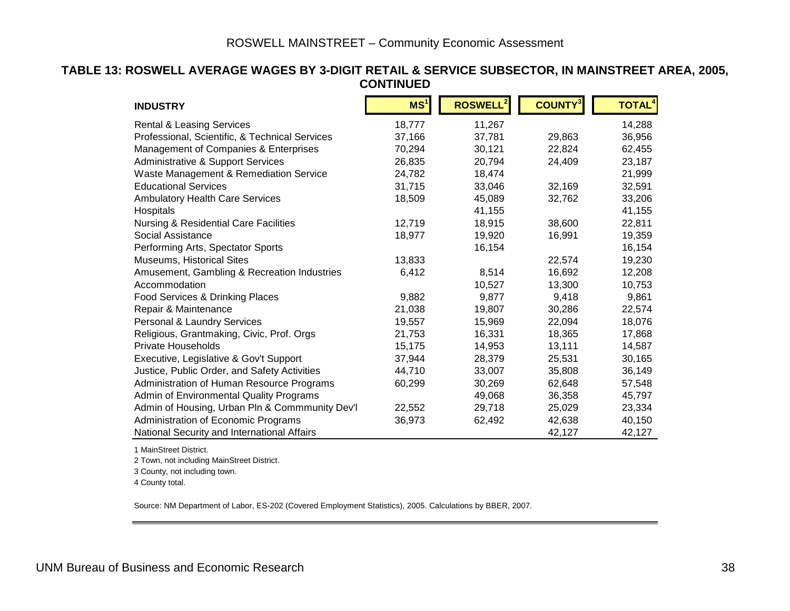#### **TABLE 13: ROSWELL AVERAGE WAGES BY 3-DIGIT RETAIL & SERVICE SUBSECTOR, IN MAINSTREET AREA, 2005, CONTINUED**

| <b>INDUSTRY</b>                                  | MS <sup>1</sup> | ROSWELL <sup>2</sup> | <b>COUNTY</b> | <b>TOTAL<sup>4</sup></b> |
|--------------------------------------------------|-----------------|----------------------|---------------|--------------------------|
| <b>Rental &amp; Leasing Services</b>             | 18,777          | 11,267               |               | 14,288                   |
| Professional, Scientific, & Technical Services   | 37,166          | 37,781               | 29,863        | 36,956                   |
| Management of Companies & Enterprises            | 70,294          | 30,121               | 22,824        | 62,455                   |
| <b>Administrative &amp; Support Services</b>     | 26,835          | 20,794               | 24,409        | 23,187                   |
| Waste Management & Remediation Service           | 24,782          | 18,474               |               | 21,999                   |
| <b>Educational Services</b>                      | 31,715          | 33,046               | 32,169        | 32,591                   |
| <b>Ambulatory Health Care Services</b>           | 18,509          | 45,089               | 32,762        | 33,206                   |
| Hospitals                                        |                 | 41,155               |               | 41,155                   |
| <b>Nursing &amp; Residential Care Facilities</b> | 12,719          | 18,915               | 38,600        | 22,811                   |
| Social Assistance                                | 18,977          | 19,920               | 16,991        | 19,359                   |
| Performing Arts, Spectator Sports                |                 | 16,154               |               | 16,154                   |
| Museums, Historical Sites                        | 13,833          |                      | 22,574        | 19,230                   |
| Amusement, Gambling & Recreation Industries      | 6,412           | 8,514                | 16,692        | 12,208                   |
| Accommodation                                    |                 | 10,527               | 13,300        | 10,753                   |
| Food Services & Drinking Places                  | 9,882           | 9,877                | 9,418         | 9,861                    |
| Repair & Maintenance                             | 21,038          | 19,807               | 30,286        | 22,574                   |
| Personal & Laundry Services                      | 19,557          | 15,969               | 22,094        | 18,076                   |
| Religious, Grantmaking, Civic, Prof. Orgs        | 21,753          | 16,331               | 18,365        | 17,868                   |
| <b>Private Households</b>                        | 15,175          | 14,953               | 13,111        | 14,587                   |
| Executive, Legislative & Gov't Support           | 37,944          | 28,379               | 25,531        | 30,165                   |
| Justice, Public Order, and Safety Activities     | 44,710          | 33,007               | 35,808        | 36,149                   |
| Administration of Human Resource Programs        | 60,299          | 30,269               | 62,648        | 57,548                   |
| Admin of Environmental Quality Programs          |                 | 49,068               | 36,358        | 45,797                   |
| Admin of Housing, Urban Pln & Commmunity Dev'l   | 22,552          | 29,718               | 25,029        | 23,334                   |
| Administration of Economic Programs              | 36,973          | 62,492               | 42,638        | 40,150                   |
| National Security and International Affairs      |                 |                      | 42,127        | 42,127                   |

1 MainStreet District.

2 Town, not including MainStreet District.

3 County, not including town.

4 County total.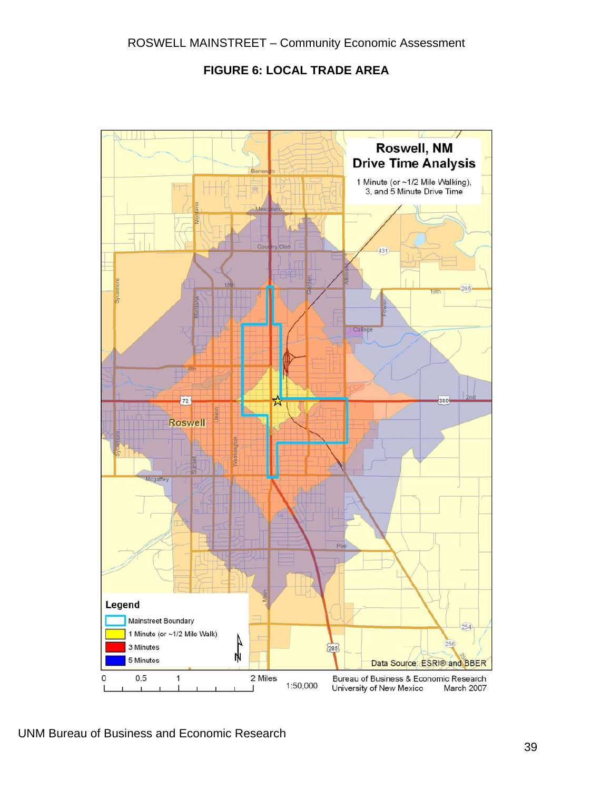#### **FIGURE 6: LOCAL TRADE AREA**

<span id="page-42-0"></span>

UNM Bureau of Business and Economic Research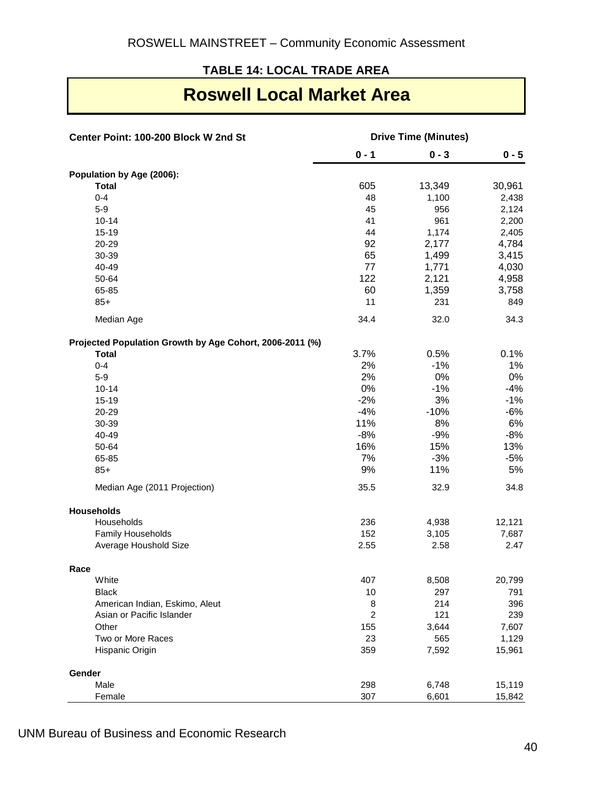#### **TABLE 14: LOCAL TRADE AREA**

### **Roswell Local Market Area**

| Center Point: 100-200 Block W 2nd St                     | <b>Drive Time (Minutes)</b> |         |         |
|----------------------------------------------------------|-----------------------------|---------|---------|
|                                                          | $0 - 1$                     | $0 - 3$ | $0 - 5$ |
| Population by Age (2006):                                |                             |         |         |
| <b>Total</b>                                             | 605                         | 13,349  | 30,961  |
| $0 - 4$                                                  | 48                          | 1,100   | 2,438   |
| $5-9$                                                    | 45                          | 956     | 2,124   |
| $10 - 14$                                                | 41                          | 961     | 2,200   |
| $15 - 19$                                                | 44                          | 1,174   | 2,405   |
| 20-29                                                    | 92                          | 2,177   | 4,784   |
| 30-39                                                    | 65                          | 1,499   | 3,415   |
| 40-49                                                    | 77                          | 1,771   | 4,030   |
| 50-64                                                    | 122                         | 2,121   | 4,958   |
| 65-85                                                    | 60                          | 1,359   | 3,758   |
| $85+$                                                    | 11                          | 231     | 849     |
| Median Age                                               | 34.4                        | 32.0    | 34.3    |
| Projected Population Growth by Age Cohort, 2006-2011 (%) |                             |         |         |
| <b>Total</b>                                             | 3.7%                        | 0.5%    | 0.1%    |
| $0 - 4$                                                  | 2%                          | $-1%$   | 1%      |
| $5-9$                                                    | 2%                          | 0%      | $0\%$   |
| $10 - 14$                                                | 0%                          | $-1%$   | $-4%$   |
| $15-19$                                                  | $-2%$                       | 3%      | $-1\%$  |
| 20-29                                                    | $-4%$                       | $-10%$  | $-6%$   |
| 30-39                                                    | 11%                         | 8%      | 6%      |
| 40-49                                                    | $-8%$                       | $-9%$   | $-8%$   |
| 50-64                                                    | 16%                         | 15%     | 13%     |
| 65-85                                                    | 7%                          | $-3%$   | $-5%$   |
| $85+$                                                    | 9%                          | 11%     | 5%      |
| Median Age (2011 Projection)                             | 35.5                        | 32.9    | 34.8    |
| <b>Households</b>                                        |                             |         |         |
| Households                                               | 236                         | 4,938   | 12,121  |
| Family Households                                        | 152                         | 3,105   | 7,687   |
| Average Houshold Size                                    | 2.55                        | 2.58    | 2.47    |
| Race                                                     |                             |         |         |
| White                                                    | 407                         | 8,508   | 20,799  |
| <b>Black</b>                                             | 10                          | 297     | 791     |
| American Indian, Eskimo, Aleut                           | 8                           | 214     | 396     |
| Asian or Pacific Islander                                | $\overline{c}$              | 121     | 239     |
| Other                                                    | 155                         | 3,644   | 7,607   |
| Two or More Races                                        | 23                          | 565     | 1,129   |
| Hispanic Origin                                          | 359                         | 7,592   | 15,961  |
| Gender                                                   |                             |         |         |
| Male                                                     | 298                         | 6,748   | 15,119  |
| Female                                                   | 307                         | 6,601   | 15,842  |

UNM Bureau of Business and Economic Research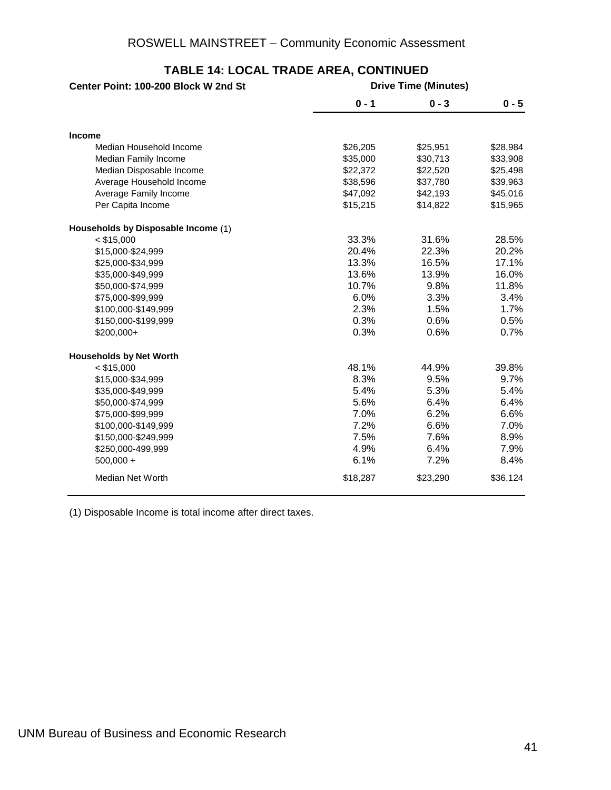| Center Point: 100-200 Block W 2nd St | <b>Drive Time (Minutes)</b> |          |          |  |
|--------------------------------------|-----------------------------|----------|----------|--|
|                                      | $0 - 1$                     | $0 - 3$  | $0 - 5$  |  |
| <b>Income</b>                        |                             |          |          |  |
| Median Household Income              | \$26,205                    | \$25,951 | \$28,984 |  |
| Median Family Income                 | \$35,000                    | \$30,713 | \$33,908 |  |
| Median Disposable Income             | \$22,372                    | \$22,520 | \$25,498 |  |
| Average Household Income             | \$38,596                    | \$37,780 | \$39,963 |  |
| Average Family Income                | \$47,092                    | \$42,193 | \$45,016 |  |
| Per Capita Income                    | \$15,215                    | \$14,822 | \$15,965 |  |
| Households by Disposable Income (1)  |                             |          |          |  |
| $<$ \$15,000                         | 33.3%                       | 31.6%    | 28.5%    |  |
| \$15,000-\$24,999                    | 20.4%                       | 22.3%    | 20.2%    |  |
| \$25,000-\$34,999                    | 13.3%                       | 16.5%    | 17.1%    |  |
| \$35,000-\$49,999                    | 13.6%                       | 13.9%    | 16.0%    |  |
| \$50,000-\$74,999                    | 10.7%                       | 9.8%     | 11.8%    |  |
| \$75,000-\$99,999                    | 6.0%                        | 3.3%     | 3.4%     |  |
| \$100,000-\$149,999                  | 2.3%                        | 1.5%     | 1.7%     |  |
| \$150,000-\$199,999                  | 0.3%                        | 0.6%     | 0.5%     |  |
| \$200,000+                           | 0.3%                        | 0.6%     | 0.7%     |  |
| <b>Households by Net Worth</b>       |                             |          |          |  |
| $<$ \$15,000                         | 48.1%                       | 44.9%    | 39.8%    |  |
| \$15,000-\$34,999                    | 8.3%                        | 9.5%     | 9.7%     |  |
| \$35,000-\$49,999                    | 5.4%                        | 5.3%     | 5.4%     |  |
| \$50,000-\$74,999                    | 5.6%                        | 6.4%     | 6.4%     |  |
| \$75,000-\$99,999                    | 7.0%                        | 6.2%     | 6.6%     |  |
| \$100,000-\$149,999                  | 7.2%                        | 6.6%     | 7.0%     |  |
| \$150,000-\$249,999                  | 7.5%                        | 7.6%     | 8.9%     |  |
| \$250,000-499,999                    | 4.9%                        | 6.4%     | 7.9%     |  |
| $500,000 +$                          | 6.1%                        | 7.2%     | 8.4%     |  |
| <b>Median Net Worth</b>              | \$18,287                    | \$23,290 | \$36,124 |  |

#### **TABLE 14: LOCAL TRADE AREA, CONTINUED**

(1) Disposable Income is total income after direct taxes.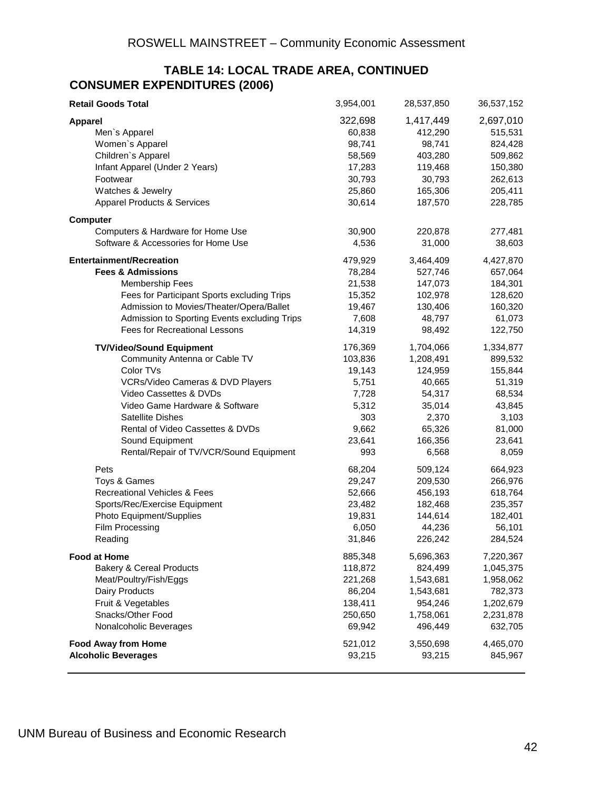#### **TABLE 14: LOCAL TRADE AREA, CONTINUED CONSUMER EXPENDITURES (2006)**

| <b>Retail Goods Total</b>                    | 3,954,001 | 28,537,850 | 36,537,152           |
|----------------------------------------------|-----------|------------|----------------------|
| <b>Apparel</b>                               | 322,698   | 1,417,449  | 2,697,010            |
| Men's Apparel                                | 60,838    | 412,290    | 515,531              |
| Women's Apparel                              | 98,741    | 98,741     | 824,428              |
| Children's Apparel                           | 58,569    | 403,280    | 509,862              |
| Infant Apparel (Under 2 Years)               | 17,283    | 119,468    | 150,380              |
| Footwear                                     | 30,793    | 30,793     | 262,613              |
| Watches & Jewelry                            | 25,860    | 165,306    | 205,411              |
| <b>Apparel Products &amp; Services</b>       | 30,614    | 187,570    | 228,785              |
|                                              |           |            |                      |
| <b>Computer</b>                              |           |            |                      |
| Computers & Hardware for Home Use            | 30,900    | 220,878    | 277,481              |
| Software & Accessories for Home Use          | 4,536     | 31,000     | 38,603               |
| <b>Entertainment/Recreation</b>              | 479,929   | 3,464,409  | 4,427,870            |
| <b>Fees &amp; Admissions</b>                 | 78,284    | 527,746    | 657,064              |
| <b>Membership Fees</b>                       | 21,538    | 147,073    | 184,301              |
| Fees for Participant Sports excluding Trips  | 15,352    | 102,978    | 128,620              |
| Admission to Movies/Theater/Opera/Ballet     | 19,467    | 130,406    | 160,320              |
| Admission to Sporting Events excluding Trips | 7,608     | 48,797     | 61,073               |
| <b>Fees for Recreational Lessons</b>         | 14,319    | 98,492     | 122,750              |
| <b>TV/Video/Sound Equipment</b>              | 176,369   | 1,704,066  | 1,334,877            |
| Community Antenna or Cable TV                | 103,836   | 1,208,491  | 899,532              |
| Color TVs                                    | 19,143    | 124,959    | 155,844              |
| VCRs/Video Cameras & DVD Players             | 5,751     | 40,665     | 51,319               |
| Video Cassettes & DVDs                       | 7,728     | 54,317     | 68,534               |
| Video Game Hardware & Software               | 5,312     | 35,014     | 43,845               |
| <b>Satellite Dishes</b>                      | 303       | 2,370      | 3,103                |
| Rental of Video Cassettes & DVDs             | 9,662     | 65,326     | 81,000               |
| Sound Equipment                              | 23,641    | 166,356    | 23,641               |
| Rental/Repair of TV/VCR/Sound Equipment      | 993       | 6,568      | 8,059                |
| Pets                                         | 68,204    | 509,124    | 664,923              |
| Toys & Games                                 | 29,247    | 209,530    | 266,976              |
| Recreational Vehicles & Fees                 | 52,666    | 456,193    | 618,764              |
| Sports/Rec/Exercise Equipment                | 23,482    | 182,468    | 235,357              |
| Photo Equipment/Supplies                     | 19,831    | 144,614    | 182,401              |
| Film Processing                              | 6,050     | 44,236     | 56,101               |
| Reading                                      | 31,846    | 226,242    | 284,524              |
| <b>Food at Home</b>                          | 885,348   | 5,696,363  | 7,220,367            |
| <b>Bakery &amp; Cereal Products</b>          | 118,872   | 824,499    | 1,045,375            |
| Meat/Poultry/Fish/Eggs                       | 221,268   | 1,543,681  | 1,958,062            |
| Dairy Products                               | 86,204    | 1,543,681  | 782,373              |
| Fruit & Vegetables                           | 138,411   | 954,246    | 1,202,679            |
| Snacks/Other Food                            | 250,650   | 1,758,061  |                      |
| Nonalcoholic Beverages                       | 69,942    | 496,449    | 2,231,878<br>632,705 |
|                                              |           |            |                      |
| <b>Food Away from Home</b>                   | 521,012   | 3,550,698  | 4,465,070            |
| <b>Alcoholic Beverages</b>                   | 93,215    | 93,215     | 845,967              |